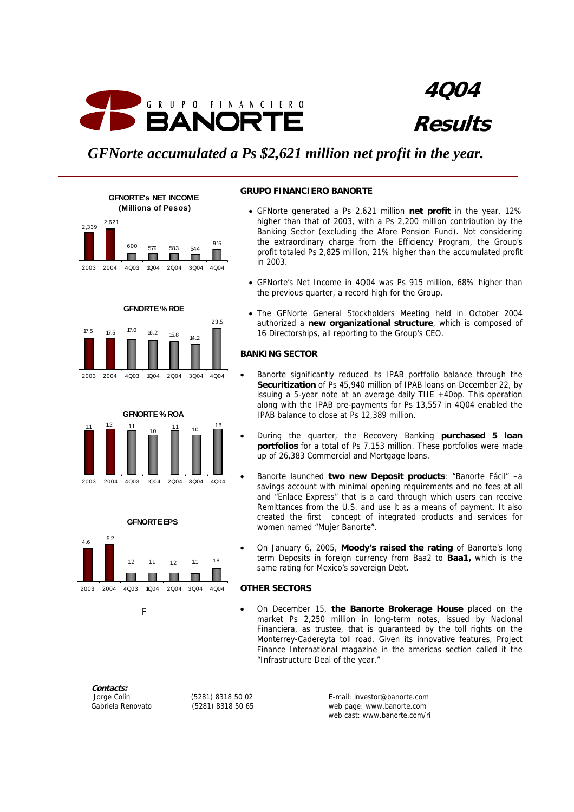

**4Q04 Results**

# *GFNorte accumulated a Ps \$2,621 million net profit in the year.*

**GFNORTE'S NET INCOME (Millions of Pesos)**











#### **GRUPO FINANCIERO BANORTE**

- GFNorte generated a Ps 2,621 million **net profit** in the year, 12% higher than that of 2003, with a Ps 2,200 million contribution by the Banking Sector (excluding the Afore Pension Fund). Not considering the extraordinary charge from the Efficiency Program, the Group's profit totaled Ps 2,825 million, 21% higher than the accumulated profit in 2003.
- GFNorte's Net Income in 4Q04 was Ps 915 million, 68% higher than the previous quarter, a record high for the Group.
- The GFNorte General Stockholders Meeting held in October 2004 authorized a **new organizational structure**, which is composed of 16 Directorships, all reporting to the Group's CEO.

## **BANKING SECTOR**

- Banorte significantly reduced its IPAB portfolio balance through the **Securitization** of Ps 45,940 million of IPAB loans on December 22, by issuing a 5-year note at an average daily TIIE +40bp. This operation along with the IPAB pre-payments for Ps 13,557 in 4Q04 enabled the IPAB balance to close at Ps 12,389 million.
- During the quarter, the Recovery Banking **purchased 5 loan portfolios** for a total of Ps 7,153 million. These portfolios were made up of 26,383 Commercial and Mortgage loans.
- Banorte launched **two new Deposit products**: "Banorte Fácil" –a savings account with minimal opening requirements and no fees at all and "Enlace Express" that is a card through which users can receive Remittances from the U.S. and use it as a means of payment. It also created the first concept of integrated products and services for women named "Mujer Banorte".
- On January 6, 2005, **Moody's raised the rating** of Banorte's long term Deposits in foreign currency from Baa2 to **Baa1,** which is the same rating for Mexico's sovereign Debt.

## **OTHER SECTORS**

• On December 15, **the Banorte Brokerage House** placed on the market Ps 2,250 million in long-term notes, issued by Nacional Financiera, as trustee, that is guaranteed by the toll rights on the Monterrey-Cadereyta toll road. Given its innovative features, Project Finance International magazine in the americas section called it the "Infrastructure Deal of the year."

**Contacts:** 

 Jorge Colin (5281) 8318 50 02 E-mail: investor@banorte.com Gabriela Renovato (5281) 8318 50 65 web page: www.banorte.com web cast: www.banorte.com/ri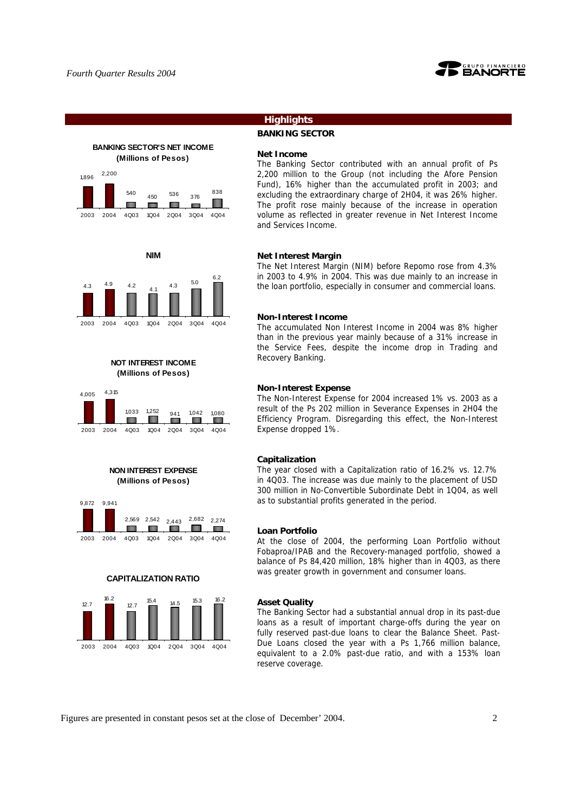

# **BANKING SECTOR'S NET INCOME (Millions of Pesos)**









## **NON INTEREST EXPENSE (Millions of Pesos)**



## **CAPITALIZATION RATIO**



## **Highlights**

**BANKING SECTOR**

### **Net Income**

The Banking Sector contributed with an annual profit of Ps 2,200 million to the Group (not including the Afore Pension Fund), 16% higher than the accumulated profit in 2003; and excluding the extraordinary charge of 2H04, it was 26% higher. The profit rose mainly because of the increase in operation volume as reflected in greater revenue in Net Interest Income and Services Income.

#### **Net Interest Margin**

The Net Interest Margin (NIM) before Repomo rose from 4.3% in 2003 to 4.9% in 2004. This was due mainly to an increase in the loan portfolio, especially in consumer and commercial loans.

#### **Non-Interest Income**

The accumulated Non Interest Income in 2004 was 8% higher than in the previous year mainly because of a 31% increase in the Service Fees, despite the income drop in Trading and Recovery Banking.

#### **Non-Interest Expense**

The Non-Interest Expense for 2004 increased 1% vs. 2003 as a result of the Ps 202 million in Severance Expenses in 2H04 the Efficiency Program. Disregarding this effect, the Non-Interest Expense dropped 1%.

#### **Capitalization**

The year closed with a Capitalization ratio of 16.2% vs. 12.7% in 4Q03. The increase was due mainly to the placement of USD 300 million in No-Convertible Subordinate Debt in 1Q04, as well as to substantial profits generated in the period.

#### **Loan Portfolio**

At the close of 2004, the performing Loan Portfolio without Fobaproa/IPAB and the Recovery-managed portfolio, showed a balance of Ps 84,420 million, 18% higher than in 4Q03, as there was greater growth in government and consumer loans.

## **Asset Quality**

The Banking Sector had a substantial annual drop in its past-due loans as a result of important charge-offs during the year on fully reserved past-due loans to clear the Balance Sheet. Past-Due Loans closed the year with a Ps 1,766 million balance, equivalent to a 2.0% past-due ratio, and with a 153% loan reserve coverage.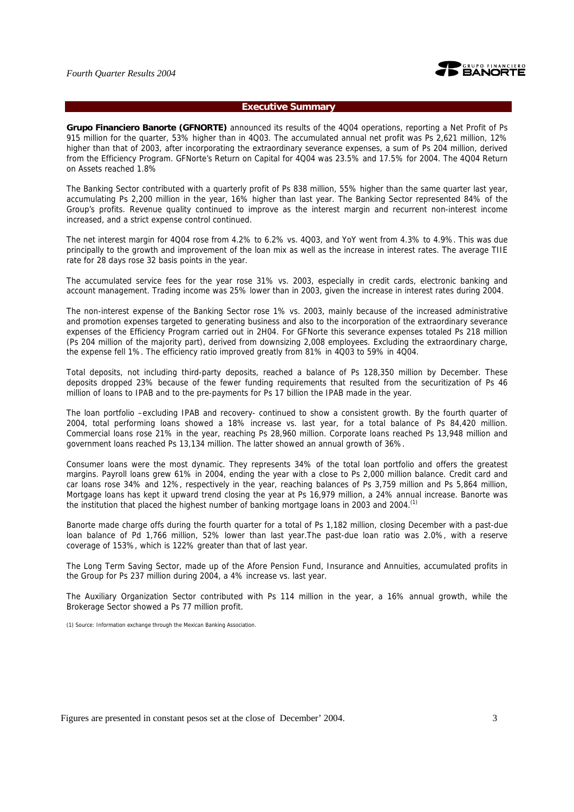

### **Executive Summary**

**Grupo Financiero Banorte (GFNORTE)** announced its results of the 4Q04 operations, reporting a Net Profit of Ps 915 million for the quarter, 53% higher than in 4Q03. The accumulated annual net profit was Ps 2,621 million, 12% higher than that of 2003, after incorporating the extraordinary severance expenses, a sum of Ps 204 million, derived from the Efficiency Program. GFNorte's Return on Capital for 4Q04 was 23.5% and 17.5% for 2004. The 4Q04 Return on Assets reached 1.8%

The Banking Sector contributed with a quarterly profit of Ps 838 million, 55% higher than the same quarter last year, accumulating Ps 2,200 million in the year, 16% higher than last year. The Banking Sector represented 84% of the Group's profits. Revenue quality continued to improve as the interest margin and recurrent non-interest income increased, and a strict expense control continued.

The net interest margin for 4Q04 rose from 4.2% to 6.2% vs. 4Q03, and YoY went from 4.3% to 4.9%. This was due principally to the growth and improvement of the loan mix as well as the increase in interest rates. The average TIIE rate for 28 days rose 32 basis points in the year.

The accumulated service fees for the year rose 31% vs. 2003, especially in credit cards, electronic banking and account management. Trading income was 25% lower than in 2003, given the increase in interest rates during 2004.

The non-interest expense of the Banking Sector rose 1% vs. 2003, mainly because of the increased administrative and promotion expenses targeted to generating business and also to the incorporation of the extraordinary severance expenses of the Efficiency Program carried out in 2H04. For GFNorte this severance expenses totaled Ps 218 million (Ps 204 million of the majority part), derived from downsizing 2,008 employees. Excluding the extraordinary charge, the expense fell 1%. The efficiency ratio improved greatly from 81% in 4Q03 to 59% in 4Q04.

Total deposits, not including third-party deposits, reached a balance of Ps 128,350 million by December. These deposits dropped 23% because of the fewer funding requirements that resulted from the securitization of Ps 46 million of loans to IPAB and to the pre-payments for Ps 17 billion the IPAB made in the year.

The loan portfolio –excluding IPAB and recovery- continued to show a consistent growth. By the fourth quarter of 2004, total performing loans showed a 18% increase vs. last year, for a total balance of Ps 84,420 million. Commercial loans rose 21% in the year, reaching Ps 28,960 million. Corporate loans reached Ps 13,948 million and government loans reached Ps 13,134 million. The latter showed an annual growth of 36%.

Consumer loans were the most dynamic. They represents 34% of the total loan portfolio and offers the greatest margins. Payroll loans grew 61% in 2004, ending the year with a close to Ps 2,000 million balance. Credit card and car loans rose 34% and 12%, respectively in the year, reaching balances of Ps 3,759 million and Ps 5,864 million, Mortgage loans has kept it upward trend closing the year at Ps 16,979 million, a 24% annual increase. Banorte was the institution that placed the highest number of banking mortgage loans in 2003 and 2004.<sup>(1)</sup>

Banorte made charge offs during the fourth quarter for a total of Ps 1,182 million, closing December with a past-due loan balance of Pd 1,766 million, 52% lower than last year.The past-due loan ratio was 2.0%, with a reserve coverage of 153%, which is 122% greater than that of last year.

The Long Term Saving Sector, made up of the Afore Pension Fund, Insurance and Annuities, accumulated profits in the Group for Ps 237 million during 2004, a 4% increase vs. last year.

The Auxiliary Organization Sector contributed with Ps 114 million in the year, a 16% annual growth, while the Brokerage Sector showed a Ps 77 million profit.

(1) Source: Information exchange through the Mexican Banking Association.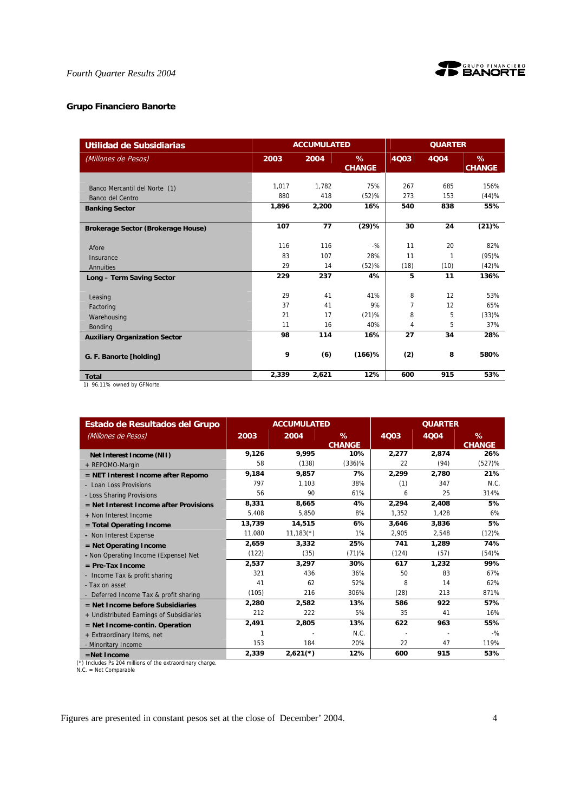

## **Grupo Financiero Banorte**

| Utilidad de Subsidiarias                       |       | <b>ACCUMULATED</b> |                       |      | <b>QUARTER</b> |                    |
|------------------------------------------------|-------|--------------------|-----------------------|------|----------------|--------------------|
| (Millones de Pesos)                            | 2003  | 2004               | $\%$<br><b>CHANGE</b> | 4Q03 | 4004           | %<br><b>CHANGE</b> |
| Banco Mercantil del Norte (1)                  | 1,017 | 1,782              | 75%                   | 267  | 685            | 156%               |
| Banco del Centro                               | 880   | 418                | (52)%                 | 273  | 153            | (44)%              |
| <b>Banking Sector</b>                          | 1,896 | 2,200              | 16%                   | 540  | 838            | 55%                |
| Brokerage Sector (Brokerage House)             | 107   | 77                 | (29)%                 | 30   | 24             | (21)%              |
| Afore                                          | 116   | 116                | $-$ %                 | 11   | 20             | 82%                |
| Insurance                                      | 83    | 107                | 28%                   | 11   | 1              | (95)%              |
| Annuities                                      | 29    | 14                 | (52)%                 | (18) | (10)           | (42)%              |
| Long - Term Saving Sector                      | 229   | 237                | 4%                    | 5    | 11             | 136%               |
| Leasing                                        | 29    | 41                 | 41%                   | 8    | 12             | 53%                |
| Factoring                                      | 37    | 41                 | 9%                    | 7    | 12             | 65%                |
| Warehousing                                    | 21    | 17                 | (21)%                 | 8    | 5              | (33)%              |
| <b>Bonding</b>                                 | 11    | 16                 | 40%                   | 4    | 5              | 37%                |
| <b>Auxiliary Organization Sector</b>           | 98    | 114                | 16%                   | 27   | 34             | 28%                |
| G. F. Banorte [holding]                        | 9     | (6)                | $(166)$ %             | (2)  | 8              | 580%               |
| <b>Total</b><br>$1 \times 0$ $110$ $$ $$ $110$ | 2.339 | 2,621              | 12%                   | 600  | 915            | 53%                |

1) 96.11% owned by GFNorte.

| Estado de Resultados del Grupo           |        | <b>ACCUMULATED</b> |                    |             | <b>QUARTER</b> |                    |
|------------------------------------------|--------|--------------------|--------------------|-------------|----------------|--------------------|
| (Millones de Pesos)                      | 2003   | 2004               | %<br><b>CHANGE</b> | <b>4Q03</b> | 4004           | %<br><b>CHANGE</b> |
| Net Interest Income (NII)                | 9.126  | 9.995              | 10%                | 2,277       | 2.874          | 26%                |
| + REPOMO-Margin                          | 58     | (138)              | $(336)\%$          | 22          | (94)           | $(527)$ %          |
| $=$ NET Interest Income after Repomo     | 9,184  | 9.857              | 7%                 | 2,299       | 2,780          | 21%                |
| - Loan Loss Provisions                   | 797    | 1.103              | 38%                | (1)         | 347            | N.C.               |
| - Loss Sharing Provisions                | 56     | 90                 | 61%                | 6           | 25             | 314%               |
| $=$ Net Interest Income after Provisions | 8,331  | 8.665              | 4%                 | 2,294       | 2.408          | 5%                 |
| + Non Interest Income                    | 5,408  | 5,850              | 8%                 | 1,352       | 1,428          | 6%                 |
| $=$ Total Operating Income               | 13,739 | 14,515             | 6%                 | 3,646       | 3,836          | 5%                 |
| - Non Interest Expense                   | 11,080 | $11,183(*)$        | 1%                 | 2,905       | 2,548          | (12)%              |
| $=$ Net Operating Income                 | 2.659  | 3.332              | 25%                | 741         | 1,289          | 74%                |
| - Non Operating Income (Expense) Net     | (122)  | (35)               | (71)%              | (124)       | (57)           | (54)%              |
| $=$ Pre-Tax Income                       | 2,537  | 3,297              | 30%                | 617         | 1,232          | 99%                |
| - Income Tax & profit sharing            | 321    | 436                | 36%                | 50          | 83             | 67%                |
| - Tax on asset                           | 41     | 62                 | 52%                | 8           | 14             | 62%                |
| - Deferred Income Tax & profit sharing   | (105)  | 216                | 306%               | (28)        | 213            | 871%               |
| $=$ Net Income before Subsidiaries       | 2,280  | 2.582              | 13%                | 586         | 922            | 57%                |
| + Undistributed Earnings of Subsidiaries | 212    | 222                | 5%                 | 35          | 41             | 16%                |
| $=$ Net Income-contin. Operation         | 2,491  | 2,805              | 13%                | 622         | 963            | 55%                |
| + Extraordinary Items, net               | 1      |                    | N.C.               |             |                | $-9/2$             |
| - Minoritary Income                      | 153    | 184                | 20%                | 22          | 47             | 119%               |
| $=$ Net Income                           | 2,339  | $2,621$ (*)        | 12%                | 600         | 915            | 53%                |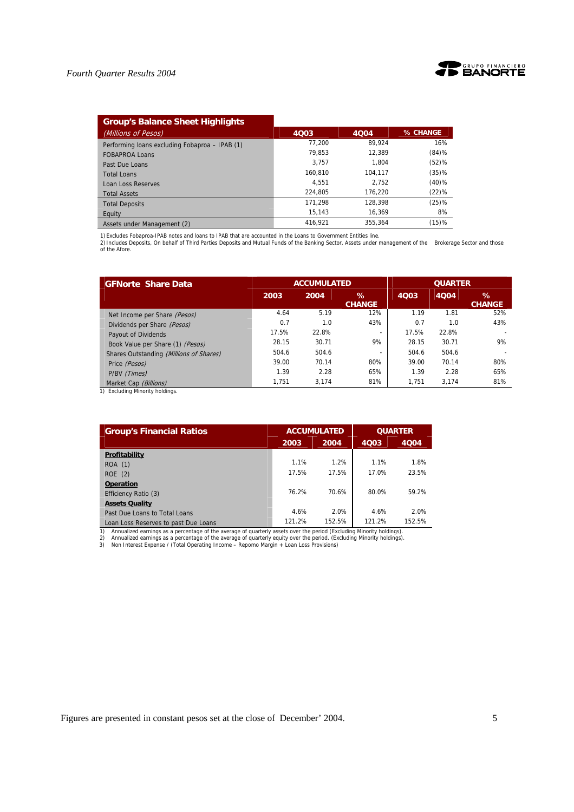

| <b>Group's Balance Sheet Highlights</b>        |         |         |          |
|------------------------------------------------|---------|---------|----------|
| (Millions of Pesos)                            | 4003    | 4004    | % CHANGE |
| Performing loans excluding Fobaproa - IPAB (1) | 77.200  | 89.924  | 16%      |
| <b>FOBAPROA Loans</b>                          | 79.853  | 12.389  | (84)%    |
| Past Due Loans                                 | 3.757   | 1.804   | (52)%    |
| <b>Total Loans</b>                             | 160.810 | 104.117 | (35)%    |
| <b>Loan Loss Reserves</b>                      | 4.551   | 2.752   | $(40)\%$ |
| <b>Total Assets</b>                            | 224.805 | 176.220 | $(22)\%$ |
| <b>Total Deposits</b>                          | 171.298 | 128.398 | (25)%    |
| Equity                                         | 15.143  | 16.369  | 8%       |
| Assets under Management (2)                    | 416.921 | 355.364 | (15)%    |

1) Excludes Fobaproa-IPAB notes and loans to IPAB that are accounted in the Loans to Government Entities line.<br>2) Includes Deposits, On behalf of Third Parties Deposits and Mutual Funds of the Banking Sector, Assets under

| <b>GFNorte Share Data</b>               |       | <b>ACCUMULATED</b> |                          | <b>QUARTER</b> |       |                    |  |
|-----------------------------------------|-------|--------------------|--------------------------|----------------|-------|--------------------|--|
|                                         | 2003  | 2004               | $\%$<br><b>CHANGE</b>    | 4Q03           | 4004  | ℅<br><b>CHANGE</b> |  |
| Net Income per Share (Pesos)            | 4.64  | 5.19               | 12%                      | 1.19           | 1.81  | 52%                |  |
| Dividends per Share (Pesos)             | 0.7   | 1.0                | 43%                      | 0.7            | 1.0   | 43%                |  |
| Payout of Dividends                     | 17.5% | 22.8%              | $\overline{\phantom{0}}$ | 17.5%          | 22.8% |                    |  |
| Book Value per Share (1) (Pesos)        | 28.15 | 30.71              | 9%                       | 28.15          | 30.71 | 9%                 |  |
| Shares Outstanding (Millions of Shares) | 504.6 | 504.6              |                          | 504.6          | 504.6 |                    |  |
| Price (Pesos)                           | 39.00 | 70.14              | 80%                      | 39.00          | 70.14 | 80%                |  |
| P/BV (Times)                            | 1.39  | 2.28               | 65%                      | 1.39           | 2.28  | 65%                |  |
| Market Cap (Billions)                   | 1.751 | 3.174              | 81%                      | 1.751          | 3.174 | 81%                |  |

1) Excluding Minority holdings.

| <b>Group's Financial Ratios</b>                                                                                                                                                                                                                                                                                                                             |        | <b>ACCUMULATED</b> | <b>QUARTER</b> |        |  |
|-------------------------------------------------------------------------------------------------------------------------------------------------------------------------------------------------------------------------------------------------------------------------------------------------------------------------------------------------------------|--------|--------------------|----------------|--------|--|
|                                                                                                                                                                                                                                                                                                                                                             | 2003   | 2004               | 4003           | 4004   |  |
| Profitability                                                                                                                                                                                                                                                                                                                                               |        |                    |                |        |  |
| ROA (1)                                                                                                                                                                                                                                                                                                                                                     | 1.1%   | 1.2%               | 1.1%           | 1.8%   |  |
| ROE(2)                                                                                                                                                                                                                                                                                                                                                      | 17.5%  | 17.5%              | 17.0%          | 23.5%  |  |
| <b>Operation</b>                                                                                                                                                                                                                                                                                                                                            |        |                    |                |        |  |
| Efficiency Ratio (3)                                                                                                                                                                                                                                                                                                                                        | 76.2%  | 70.6%              | 80.0%          | 59.2%  |  |
| <b>Assets Quality</b>                                                                                                                                                                                                                                                                                                                                       |        |                    |                |        |  |
| Past Due Loans to Total Loans                                                                                                                                                                                                                                                                                                                               | 4.6%   | 2.0%               | 4.6%           | 2.0%   |  |
| Loan Loss Reserves to past Due Loans                                                                                                                                                                                                                                                                                                                        | 121.2% | 152.5%             | 121.2%         | 152.5% |  |
| Annualized earnings as a percentage of the average of quarterly assets over the period (Excluding Minority holdings).<br>1)<br>Annualized earnings as a percentage of the average of guarterly equity over the period. (Excluding Minority holdings).<br>2)<br>3)<br>Non Interest Expense / (Total Operating Income - Repomo Margin + Loan Loss Provisions) |        |                    |                |        |  |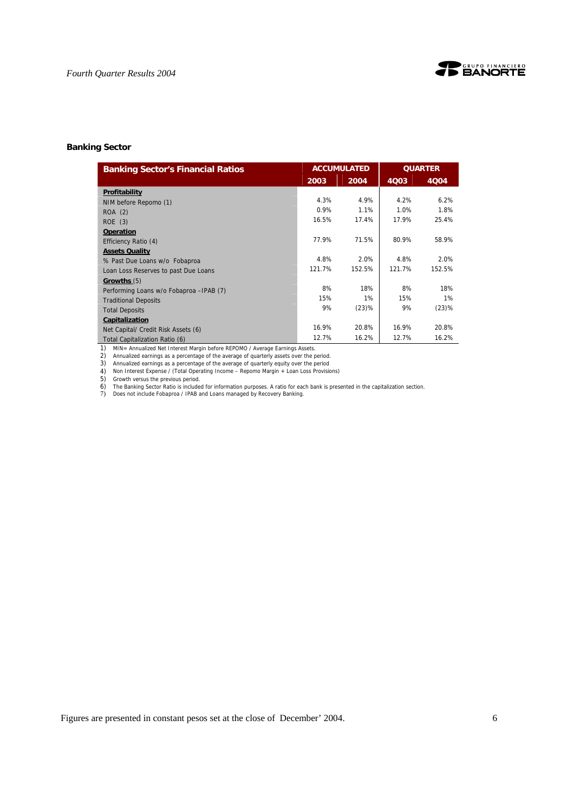

## **Banking Sector**

| <b>Banking Sector's Financial Ratios</b> |        | <b>ACCUMULATED</b> | <b>QUARTER</b> |        |
|------------------------------------------|--------|--------------------|----------------|--------|
|                                          | 2003   | 2004               | 4Q03           | 4004   |
| Profitability                            |        |                    |                |        |
| NIM before Repomo (1)                    | 4.3%   | 4.9%               | 4.2%           | 6.2%   |
| ROA (2)                                  | 0.9%   | 1.1%               | 1.0%           | 1.8%   |
| ROE(3)                                   | 16.5%  | 17.4%              | 17.9%          | 25.4%  |
| <b>Operation</b>                         |        |                    |                |        |
| Efficiency Ratio (4)                     | 77.9%  | 71.5%              | 80.9%          | 58.9%  |
| <b>Assets Quality</b>                    |        |                    |                |        |
| % Past Due Loans w/o Fobaproa            | 4.8%   | 2.0%               | 4.8%           | 2.0%   |
| Loan Loss Reserves to past Due Loans     | 121.7% | 152.5%             | 121.7%         | 152.5% |
| Growths (5)                              |        |                    |                |        |
| Performing Loans w/o Fobaproa - IPAB (7) | 8%     | 18%                | 8%             | 18%    |
| <b>Traditional Deposits</b>              | 15%    | 1%                 | 15%            | 1%     |
| <b>Total Deposits</b>                    | 9%     | (23)%              | 9%             | (23)%  |
| Capitalization                           |        |                    |                |        |
| Net Capital/ Credit Risk Assets (6)      | 16.9%  | 20.8%              | 16.9%          | 20.8%  |
| Total Capitalization Ratio (6)           | 12.7%  | 16.2%              | 12.7%          | 16.2%  |

1) MIN= Annualized Net Interest Margin before REPOMO / Average Earnings Assets. 2) Annualized earnings as a percentage of the average of quarterly assets over the period.

3) Annualized earnings as a percentage of the average of quarterly equity over the period 4) Non Interest Expense / (Total Operating Income – Repomo Margin + Loan Loss Provisions)

5) Growth versus the previous period.

6) The Banking Sector Ratio is included for information purposes. A ratio for each bank is presented in the capitalization section. 7) Does not include Fobaproa / IPAB and Loans managed by Recovery Banking.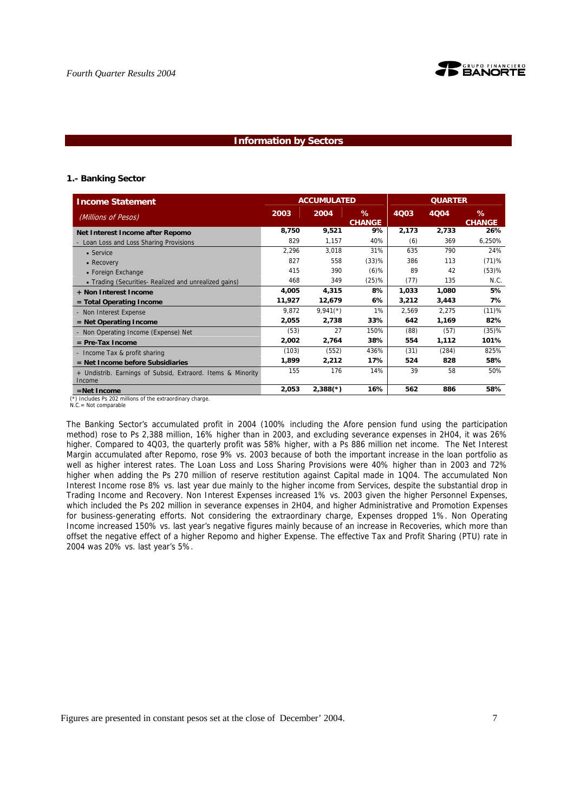

### **Information by Sectors**

#### **1.- Banking Sector**

| <b>Income Statement</b>                                               |        | <b>ACCUMULATED</b>     |                    | <b>QUARTER</b> |       |                       |  |
|-----------------------------------------------------------------------|--------|------------------------|--------------------|----------------|-------|-----------------------|--|
| (Millions of Pesos)                                                   | 2003   | 2004                   | %<br><b>CHANGE</b> | 4Q03           | 4Q04  | $\%$<br><b>CHANGE</b> |  |
| Net Interest Income after Repomo                                      | 8,750  | 9,521                  | 9%                 | 2,173          | 2,733 | 26%                   |  |
| - Loan Loss and Loss Sharing Provisions                               | 829    | 1,157                  | 40%                | (6)            | 369   | 6,250%                |  |
| • Service                                                             | 2,296  | 3,018                  | 31%                | 635            | 790   | 24%                   |  |
| • Recovery                                                            | 827    | 558                    | (33)%              | 386            | 113   | (71)%                 |  |
| • Foreign Exchange                                                    | 415    | 390                    | $(6)$ %            | 89             | 42    | (53)%                 |  |
| • Trading (Securities- Realized and unrealized gains)                 | 468    | 349                    | (25)%              | (77)           | 135   | N.C.                  |  |
| + Non Interest Income                                                 | 4,005  | 4,315                  | 8%                 | 1,033          | 1,080 | 5%                    |  |
| $=$ Total Operating Income                                            | 11,927 | 12,679                 | 6%                 | 3,212          | 3,443 | 7%                    |  |
| - Non Interest Expense                                                | 9,872  | $9,941$ <sup>(*)</sup> | 1%                 | 2,569          | 2,275 | (11)%                 |  |
| $=$ Net Operating Income                                              | 2,055  | 2,738                  | 33%                | 642            | 1,169 | 82%                   |  |
| - Non Operating Income (Expense) Net                                  | (53)   | 27                     | 150%               | (88)           | (57)  | (35)%                 |  |
| $=$ Pre-Tax Income                                                    | 2,002  | 2,764                  | 38%                | 554            | 1,112 | 101%                  |  |
| - Income Tax & profit sharing                                         | (103)  | (552)                  | 436%               | (31)           | (284) | 825%                  |  |
| $=$ Net Income before Subsidiaries                                    | 1,899  | 2,212                  | 17%                | 524            | 828   | 58%                   |  |
| + Undistrib. Earnings of Subsid, Extraord. Items & Minority<br>Income | 155    | 176                    | 14%                | 39             | 58    | 50%                   |  |
| $=$ Net Income                                                        | 2,053  | $2,388(*)$             | 16%                | 562            | 886   | 58%                   |  |

N.C.= Not comparable

The Banking Sector's accumulated profit in 2004 (100% including the Afore pension fund using the participation method) rose to Ps 2,388 million, 16% higher than in 2003, and excluding severance expenses in 2H04, it was 26% higher. Compared to 4003, the quarterly profit was 58% higher, with a Ps 886 million net income. The Net Interest Margin accumulated after Repomo, rose 9% vs. 2003 because of both the important increase in the loan portfolio as well as higher interest rates. The Loan Loss and Loss Sharing Provisions were 40% higher than in 2003 and 72% higher when adding the Ps 270 million of reserve restitution against Capital made in 1Q04. The accumulated Non Interest Income rose 8% vs. last year due mainly to the higher income from Services, despite the substantial drop in Trading Income and Recovery. Non Interest Expenses increased 1% vs. 2003 given the higher Personnel Expenses, which included the Ps 202 million in severance expenses in 2H04, and higher Administrative and Promotion Expenses for business-generating efforts. Not considering the extraordinary charge, Expenses dropped 1%. Non Operating Income increased 150% vs. last year's negative figures mainly because of an increase in Recoveries, which more than offset the negative effect of a higher Repomo and higher Expense. The effective Tax and Profit Sharing (PTU) rate in 2004 was 20% vs. last year's 5%.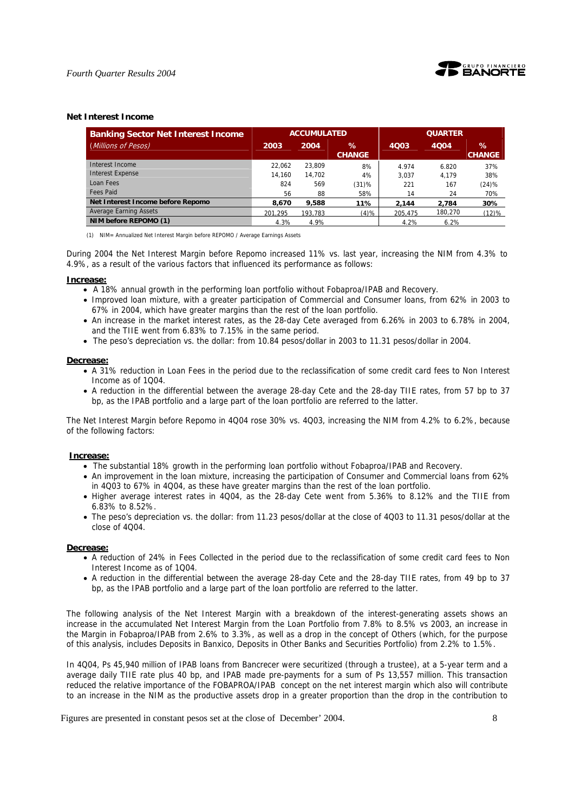

#### **Net Interest Income**

| <b>Banking Sector Net Interest Income</b> |         | <b>ACCUMULATED</b> |                       | <b>QUARTER</b> |         |                       |  |
|-------------------------------------------|---------|--------------------|-----------------------|----------------|---------|-----------------------|--|
| (Millions of Pesos)                       | 2003    | 2004               | $\%$<br><b>CHANGE</b> | 4Q03           | 4004    | $\%$<br><b>CHANGE</b> |  |
| Interest Income                           | 22.062  | 23.809             | 8%                    | 4.974          | 6.820   | 37%                   |  |
| <b>Interest Expense</b>                   | 14.160  | 14.702             | 4%                    | 3.037          | 4.179   | 38%                   |  |
| Loan Fees                                 | 824     | 569                | $(31)$ %              | 221            | 167     | (24)%                 |  |
| <b>Fees Paid</b>                          | 56      | 88                 | 58%                   | 14             | 24      | 70%                   |  |
| Net Interest Income before Repomo         | 8,670   | 9,588              | 11%                   | 2.144          | 2.784   | 30%                   |  |
| <b>Average Earning Assets</b>             | 201.295 | 193.783            | (4)%                  | 205.475        | 180.270 | (12)%                 |  |
| NIM before REPOMO (1)                     | 4.3%    | 4.9%               |                       | 4.2%           | 6.2%    |                       |  |

(1) NIM= Annualized Net Interest Margin before REPOMO / Average Earnings Assets

During 2004 the Net Interest Margin before Repomo increased 11% vs. last year, increasing the NIM from 4.3% to 4.9%, as a result of the various factors that influenced its performance as follows:

#### **Increase:**

- A 18% annual growth in the performing loan portfolio without Fobaproa/IPAB and Recovery.
- Improved loan mixture, with a greater participation of Commercial and Consumer loans, from 62% in 2003 to 67% in 2004, which have greater margins than the rest of the loan portfolio.
- An increase in the market interest rates, as the 28-day Cete averaged from 6.26% in 2003 to 6.78% in 2004, and the TIIE went from 6.83% to 7.15% in the same period.
- The peso's depreciation vs. the dollar: from 10.84 pesos/dollar in 2003 to 11.31 pesos/dollar in 2004.

#### **Decrease:**

- A 31% reduction in Loan Fees in the period due to the reclassification of some credit card fees to Non Interest Income as of 1Q04.
- A reduction in the differential between the average 28-day Cete and the 28-day TIIE rates, from 57 bp to 37 bp, as the IPAB portfolio and a large part of the loan portfolio are referred to the latter.

The Net Interest Margin before Repomo in 4Q04 rose 30% vs. 4Q03, increasing the NIM from 4.2% to 6.2%, because of the following factors:

#### **Increase:**

- The substantial 18% growth in the performing loan portfolio without Fobaproa/IPAB and Recovery.
- An improvement in the loan mixture, increasing the participation of Consumer and Commercial loans from 62% in 4Q03 to 67% in 4Q04, as these have greater margins than the rest of the loan portfolio.
- Higher average interest rates in 4Q04, as the 28-day Cete went from 5.36% to 8.12% and the TIIE from 6.83% to 8.52%.
- The peso's depreciation vs. the dollar: from 11.23 pesos/dollar at the close of 4Q03 to 11.31 pesos/dollar at the close of 4Q04.

#### **Decrease:**

- A reduction of 24% in Fees Collected in the period due to the reclassification of some credit card fees to Non Interest Income as of 1Q04.
- A reduction in the differential between the average 28-day Cete and the 28-day TIIE rates, from 49 bp to 37 bp, as the IPAB portfolio and a large part of the loan portfolio are referred to the latter.

The following analysis of the Net Interest Margin with a breakdown of the interest-generating assets shows an increase in the accumulated Net Interest Margin from the Loan Portfolio from 7.8% to 8.5% vs 2003, an increase in the Margin in Fobaproa/IPAB from 2.6% to 3.3%, as well as a drop in the concept of Others (which, for the purpose of this analysis, includes Deposits in Banxico, Deposits in Other Banks and Securities Portfolio) from 2.2% to 1.5%.

In 4Q04, Ps 45,940 million of IPAB loans from Bancrecer were securitized (through a trustee), at a 5-year term and a average daily TIIE rate plus 40 bp, and IPAB made pre-payments for a sum of Ps 13,557 million. This transaction reduced the relative importance of the FOBAPROA/IPAB concept on the net interest margin which also will contribute to an increase in the NIM as the productive assets drop in a greater proportion than the drop in the contribution to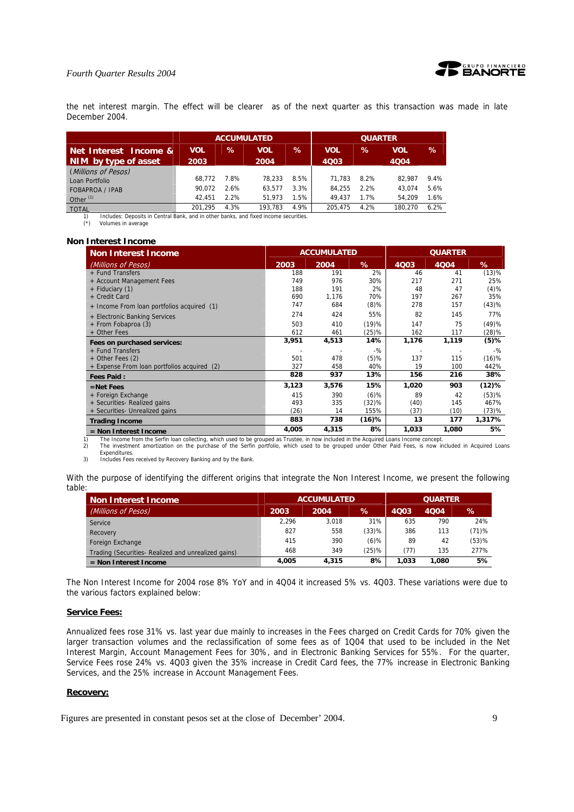

the net interest margin. The effect will be clearer as of the next quarter as this transaction was made in late December 2004.

|                                                                                      |                    | <b>ACCUMULATED</b> |             |      | <b>QUARTER</b>     |      |                    |         |
|--------------------------------------------------------------------------------------|--------------------|--------------------|-------------|------|--------------------|------|--------------------|---------|
| Net Interest Income &<br>NIM by type of asset                                        | <b>VOL</b><br>2003 | $\%$               | VOL<br>2004 | ℅    | <b>VOL</b><br>4Q03 | $\%$ | <b>VOL</b><br>4004 | %       |
| (Millions of Pesos)                                                                  |                    |                    |             |      |                    |      |                    |         |
| Loan Portfolio                                                                       | 68.772             | 7.8%               | 78.233      | 8.5% | 71.783             | 8.2% | 82.987             | $9.4\%$ |
| <b>FOBAPROA / IPAB</b>                                                               | 90.072             | 2.6%               | 63.577      | 3.3% | 84.255             | 2.2% | 43.074             | 5.6%    |
| Other $(1)$                                                                          | 42.451             | 2.2%               | 51.973      | 1.5% | 49.437             | 1.7% | 54.209             | 1.6%    |
| <b>TOTAL</b>                                                                         | 201.295            | 4.3%               | 193.783     | 4.9% | 205.475            | 4.2% | 180.270            | 6.2%    |
| Includes: Deposits in Central Bank, and in other banks, and fixed income securities. |                    |                    |             |      |                    |      |                    |         |

(\*) Volumes in average

#### **Non Interest Income**

| <b>Non Interest Income</b>                  |       | <b>ACCUMULATED</b> |          |       | <b>QUARTER</b> |        |
|---------------------------------------------|-------|--------------------|----------|-------|----------------|--------|
| (Millions of Pesos)                         | 2003  | 2004               | %        | 4Q03  | 4004           | %      |
| + Fund Transfers                            | 188   | 191                | 2%       | 46    | 41             | (13)%  |
| + Account Management Fees                   | 749   | 976                | 30%      | 217   | 271            | 25%    |
| + Fiduciary (1)                             | 188   | 191                | 2%       | 48    | 47             | (4)%   |
| + Credit Card                               | 690   | 1,176              | 70%      | 197   | 267            | 35%    |
| + Income From loan portfolios acquired (1)  | 747   | 684                | $(8)$ %  | 278   | 157            | (43)%  |
| + Electronic Banking Services               | 274   | 424                | 55%      | 82    | 145            | 77%    |
| + From Fobaproa (3)                         | 503   | 410                | (19)%    | 147   | 75             | (49)%  |
| + Other Fees                                | 612   | 461                | $(25)\%$ | 162   | 117            | (28)%  |
| Fees on purchased services:                 | 3,951 | 4,513              | 14%      | 1,176 | 1,119          | (5)%   |
| + Fund Transfers                            |       |                    | $-$ %    |       |                | $-$ %  |
| $+$ Other Fees (2)                          | 501   | 478                | $(5)$ %  | 137   | 115            | (16)%  |
| + Expense From loan portfolios acquired (2) | 327   | 458                | 40%      | 19    | 100            | 442%   |
| <b>Fees Paid:</b>                           | 828   | 937                | 13%      | 156   | 216            | 38%    |
| $=$ Net Fees                                | 3,123 | 3,576              | 15%      | 1,020 | 903            | (12)%  |
| + Foreign Exchange                          | 415   | 390                | $(6)$ %  | 89    | 42             | (53)%  |
| + Securities- Realized gains                | 493   | 335                | (32)%    | (40)  | 145            | 467%   |
| + Securities- Unrealized gains              | (26)  | 14                 | 155%     | (37)  | (10)           | (73)%  |
| <b>Trading Income</b>                       | 883   | 738                | $(16)$ % | 13    | 177            | 1,317% |
| $=$ Non Interest Income                     | 4,005 | 4,315              | 8%       | 1,033 | 1,080          | 5%     |

1) The Income from the Serfin loan collecting, which used to be grouped as Trustee, in now included in the Acquired Loans Income concept.<br>2) The investment amortization on the purchase of the Serfin portfolio, which used t 2) The investment amortization on the purchase of the Serfin portfolio, which used to be grouped under Other Paid Fees, is now included in Acquired Loans Expenditures.

3) Includes Fees received by Recovery Banking and by the Bank.

With the purpose of identifying the different origins that integrate the Non Interest Income, we present the following table:

| <b>Non Interest Income</b>                         |       | <b>ACCUMULATED</b> | <b>QUARTER</b> |       |       |       |
|----------------------------------------------------|-------|--------------------|----------------|-------|-------|-------|
| (Millions of Pesos)                                | 2003  | 2004               | ℅              | 4003  | 4004  | ℅     |
| Service                                            | 2.296 | 3.018              | 31%            | 635   | 790   | 24%   |
| Recovery                                           | 827   | 558                | (33)%          | 386   | 113   | (71)% |
| Foreign Exchange                                   | 415   | 390                | $(6)$ %        | 89    | 42    | (53)% |
| Trading (Securities-Realized and unrealized gains) | 468   | 349                | $(25)$ %       | (77)  | 135   | 277%  |
| $=$ Non Interest Income                            | 4.005 | 4,315              | 8%             | 1.033 | 1.080 | 5%    |

The Non Interest Income for 2004 rose 8% YoY and in 4Q04 it increased 5% vs. 4Q03. These variations were due to the various factors explained below:

## **Service Fees:**

Annualized fees rose 31% vs. last year due mainly to increases in the Fees charged on Credit Cards for 70% given the larger transaction volumes and the reclassification of some fees as of 1Q04 that used to be included in the Net Interest Margin, Account Management Fees for 30%, and in Electronic Banking Services for 55%. For the quarter, Service Fees rose 24% vs. 4Q03 given the 35% increase in Credit Card fees, the 77% increase in Electronic Banking Services, and the 25% increase in Account Management Fees.

#### **Recovery:**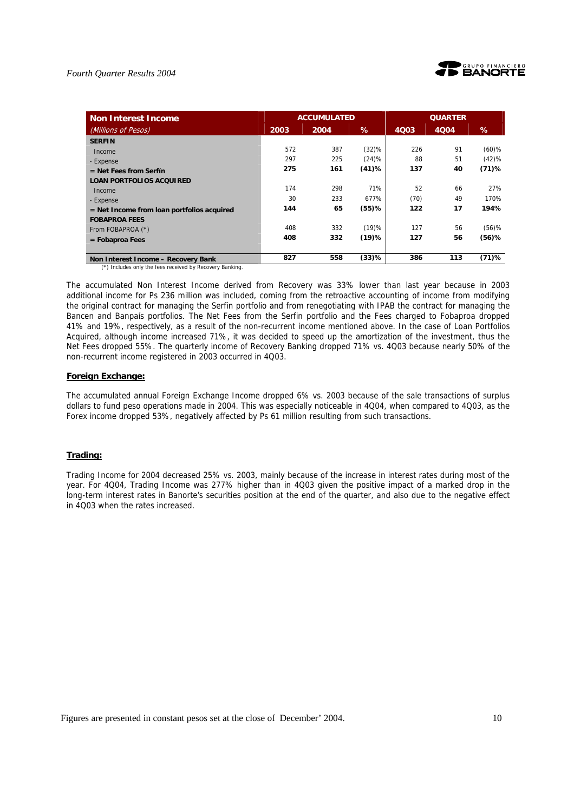

| <b>Non Interest Income</b>                   |      | <b>ACCUMULATED</b> |          |      | <b>QUARTER</b> |          |
|----------------------------------------------|------|--------------------|----------|------|----------------|----------|
| (Millions of Pesos)                          | 2003 | 2004               | %        | 4003 | 4004           | ℅        |
| <b>SERFIN</b>                                |      |                    |          |      |                |          |
| Income                                       | 572  | 387                | (32)%    | 226  | 91             | $(60)$ % |
| - Expense                                    | 297  | 225                | (24)%    | 88   | 51             | (42)%    |
| $=$ Net Fees from Serfín                     | 275  | 161                | (41)%    | 137  | 40             | $(71)$ % |
| <b>LOAN PORTFOLIOS ACQUIRED</b>              |      |                    |          |      |                |          |
| Income                                       | 174  | 298                | 71%      | 52   | 66             | 27%      |
| - Expense                                    | 30   | 233                | 677%     | (70) | 49             | 170%     |
| $=$ Net Income from loan portfolios acquired | 144  | 65                 | $(55)$ % | 122  | 17             | 194%     |
| <b>FOBAPROA FEES</b>                         |      |                    |          |      |                |          |
| From FOBAPROA (*)                            | 408  | 332                | (19)%    | 127  | 56             | $(56)$ % |
| $=$ Fobaproa Fees                            | 408  | 332                | $(19)$ % | 127  | 56             | $(56)$ % |
|                                              |      |                    |          |      |                |          |
| Non Interest Income - Recovery Bank          | 827  | 558                | (33)%    | 386  | 113            | $(71)$ % |

(\*) Includes only the fees received by Recovery Banking.

The accumulated Non Interest Income derived from Recovery was 33% lower than last year because in 2003 additional income for Ps 236 million was included, coming from the retroactive accounting of income from modifying the original contract for managing the Serfin portfolio and from renegotiating with IPAB the contract for managing the Bancen and Banpaís portfolios. The Net Fees from the Serfin portfolio and the Fees charged to Fobaproa dropped 41% and 19%, respectively, as a result of the non-recurrent income mentioned above. In the case of Loan Portfolios Acquired, although income increased 71%, it was decided to speed up the amortization of the investment, thus the Net Fees dropped 55%. The quarterly income of Recovery Banking dropped 71% vs. 4Q03 because nearly 50% of the non-recurrent income registered in 2003 occurred in 4Q03.

### **Foreign Exchange:**

The accumulated annual Foreign Exchange Income dropped 6% vs. 2003 because of the sale transactions of surplus dollars to fund peso operations made in 2004. This was especially noticeable in 4Q04, when compared to 4Q03, as the Forex income dropped 53%, negatively affected by Ps 61 million resulting from such transactions.

## **Trading:**

Trading Income for 2004 decreased 25% vs. 2003, mainly because of the increase in interest rates during most of the year. For 4Q04, Trading Income was 277% higher than in 4Q03 given the positive impact of a marked drop in the long-term interest rates in Banorte's securities position at the end of the quarter, and also due to the negative effect in 4Q03 when the rates increased.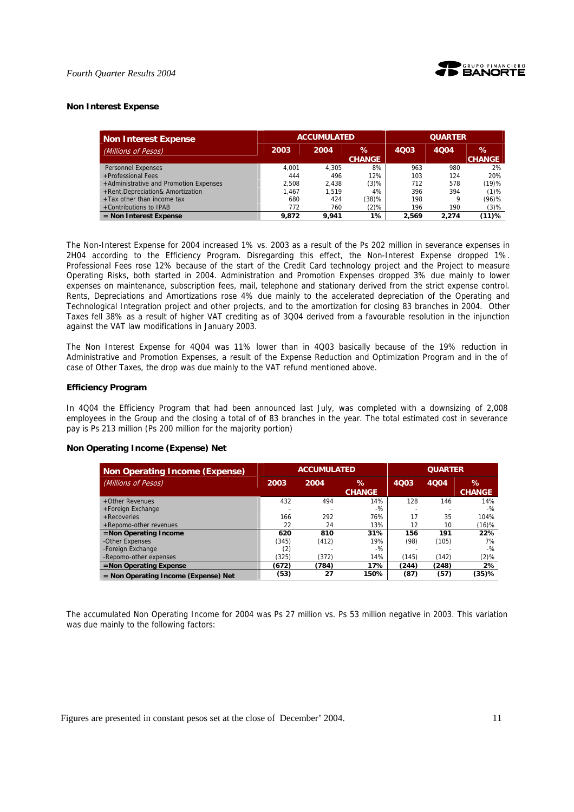

### **Non Interest Expense**

| <b>Non Interest Expense</b>            | <b>ACCUMULATED</b> |       |                    | <b>QUARTER</b> |       |                       |
|----------------------------------------|--------------------|-------|--------------------|----------------|-------|-----------------------|
| (Millions of Pesos)                    | 2003               | 2004  | ℅<br><b>CHANGE</b> | 4003           | 4004  | $\%$<br><b>CHANGE</b> |
| <b>Personnel Expenses</b>              | 4.001              | 4.305 | 8%                 | 963            | 980   | 2%                    |
| +Professional Fees                     | 444                | 496   | 12%                | 103            | 124   | 20%                   |
| +Administrative and Promotion Expenses | 2.508              | 2.438 | $(3)$ %            | 712            | 578   | (19)%                 |
| +Rent, Depreciation& Amortization      | 1.467              | 1.519 | 4%                 | 396            | 394   | $(1)$ %               |
| +Tax other than income tax             | 680                | 424   | (38)%              | 198            | 9     | $(96)$ %              |
| +Contributions to IPAB                 | 772                | 760   | (2)%               | 196            | 190   | $(3)$ %               |
| $=$ Non Interest Expense               | 9.872              | 9.941 | 1%                 | 2.569          | 2.274 | (11)%                 |

The Non-Interest Expense for 2004 increased 1% vs. 2003 as a result of the Ps 202 million in severance expenses in 2H04 according to the Efficiency Program. Disregarding this effect, the Non-Interest Expense dropped 1%. Professional Fees rose 12% because of the start of the Credit Card technology project and the Project to measure Operating Risks, both started in 2004. Administration and Promotion Expenses dropped 3% due mainly to lower expenses on maintenance, subscription fees, mail, telephone and stationary derived from the strict expense control. Rents, Depreciations and Amortizations rose 4% due mainly to the accelerated depreciation of the Operating and Technological Integration project and other projects, and to the amortization for closing 83 branches in 2004. Other Taxes fell 38% as a result of higher VAT crediting as of 3Q04 derived from a favourable resolution in the injunction against the VAT law modifications in January 2003.

The Non Interest Expense for 4Q04 was 11% lower than in 4Q03 basically because of the 19% reduction in Administrative and Promotion Expenses, a result of the Expense Reduction and Optimization Program and in the of case of Other Taxes, the drop was due mainly to the VAT refund mentioned above.

#### **Efficiency Program**

In 4Q04 the Efficiency Program that had been announced last July, was completed with a downsizing of 2,008 employees in the Group and the closing a total of of 83 branches in the year. The total estimated cost in severance pay is Ps 213 million (Ps 200 million for the majority portion)

| <b>Non Operating Income (Expense)</b>  |       | <b>ACCUMULATED</b> |                       |       | <b>QUARTER</b> |                       |  |
|----------------------------------------|-------|--------------------|-----------------------|-------|----------------|-----------------------|--|
| (Millions of Pesos)                    | 2003  | 2004               | $\%$<br><b>CHANGE</b> | 4003  | 4004           | $\%$<br><b>CHANGE</b> |  |
| +Other Revenues                        | 432   | 494                | 14%                   | 128   | 146            | 14%                   |  |
| +Foreign Exchange                      |       |                    | $-9/2$                |       |                | $-9/2$                |  |
| $+$ Recoveries                         | 166   | 292                | 76%                   | 17    | 35             | 104%                  |  |
| +Repomo-other revenues                 | 22    | 24                 | 13%                   | 12    | 10             | (16)%                 |  |
| $=$ Non Operating Income               | 620   | 810                | 31%                   | 156   | 191            | 22%                   |  |
| -Other Expenses                        | (345) | (412)              | 19%                   | (98)  | (105)          | 7%                    |  |
| -Foreign Exchange                      | (2)   |                    | $-9/2$                |       |                | $-9/2$                |  |
| -Repomo-other expenses                 | (325) | (372)              | 14%                   | (145) | (142)          | $(2)$ %               |  |
| $=$ Non Operating Expense              | (672) | (784)              | 17%                   | (244) | (248)          | 2%                    |  |
| $=$ Non Operating Income (Expense) Net | (53)  | 27                 | 150%                  | (87)  | (57)           | (35)%                 |  |

### **Non Operating Income (Expense) Net**

The accumulated Non Operating Income for 2004 was Ps 27 million vs. Ps 53 million negative in 2003. This variation was due mainly to the following factors:

Figures are presented in constant pesos set at the close of December' 2004. 11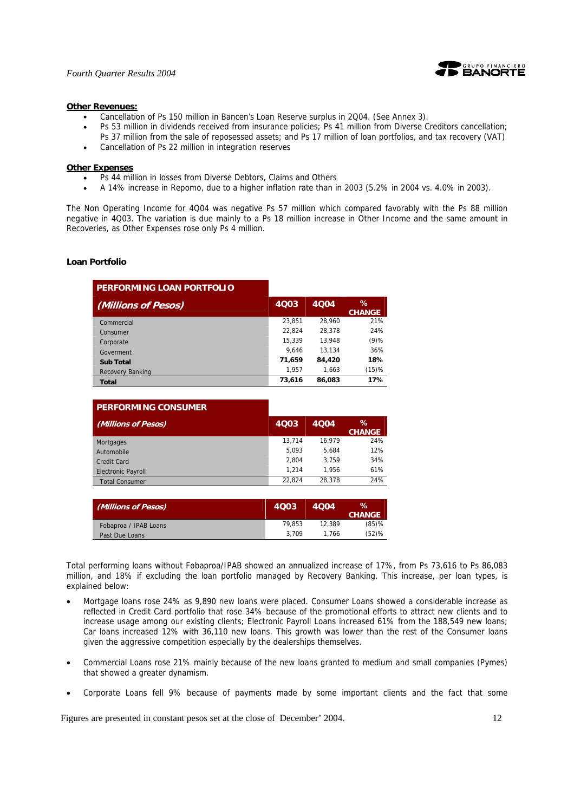

#### **Other Revenues:**

- Cancellation of Ps 150 million in Bancen's Loan Reserve surplus in 2Q04. (See Annex 3).
- Ps 53 million in dividends received from insurance policies; Ps 41 million from Diverse Creditors cancellation;
- Ps 37 million from the sale of reposessed assets; and Ps 17 million of loan portfolios, and tax recovery (VAT)
- Cancellation of Ps 22 million in integration reserves

#### **Other Expenses**

- Ps 44 million in losses from Diverse Debtors, Claims and Others
- A 14% increase in Repomo, due to a higher inflation rate than in 2003 (5.2% in 2004 vs. 4.0% in 2003).

The Non Operating Income for 4Q04 was negative Ps 57 million which compared favorably with the Ps 88 million negative in 4Q03. The variation is due mainly to a Ps 18 million increase in Other Income and the same amount in Recoveries, as Other Expenses rose only Ps 4 million.

#### **Loan Portfolio**

| PERFORMING LOAN PORTFOLIO |        |        |                       |
|---------------------------|--------|--------|-----------------------|
| (Millions of Pesos)       | 4003   | 4004   | $\%$<br><b>CHANGE</b> |
| Commercial                | 23.851 | 28.960 | 21%                   |
| Consumer                  | 22.824 | 28.378 | 24%                   |
| Corporate                 | 15.339 | 13.948 | $(9)$ %               |
| Goverment                 | 9.646  | 13.134 | 36%                   |
| <b>Sub Total</b>          | 71,659 | 84,420 | 18%                   |
| <b>Recovery Banking</b>   | 1.957  | 1.663  | (15)%                 |
| Total                     | 73,616 | 86,083 | 17%                   |

| <b>PERFORMING CONSUMER</b> |        |        |                       |
|----------------------------|--------|--------|-----------------------|
| (Millions of Pesos)        | 4003   | 4004   | $\%$<br><b>CHANGE</b> |
| Mortgages                  | 13.714 | 16.979 | 24%                   |
| Automobile                 | 5.093  | 5.684  | 12%                   |
| Credit Card                | 2.804  | 3.759  | 34%                   |
| <b>Electronic Payroll</b>  | 1.214  | 1.956  | 61%                   |
| <b>Total Consumer</b>      | 22.824 | 28.378 | 24%                   |

| (Millions of Pesos)   | 4003   | 4004   | $\%$<br><b>CHANGE</b> |
|-----------------------|--------|--------|-----------------------|
| Fobaproa / IPAB Loans | 79.853 | 12.389 | $(85)$ %              |
| Past Due Loans        | 3.709  | 1.766  | $(52)$ %              |

Total performing loans without Fobaproa/IPAB showed an annualized increase of 17%, from Ps 73,616 to Ps 86,083 million, and 18% if excluding the loan portfolio managed by Recovery Banking. This increase, per loan types, is explained below:

- Mortgage loans rose 24% as 9,890 new loans were placed. Consumer Loans showed a considerable increase as reflected in Credit Card portfolio that rose 34% because of the promotional efforts to attract new clients and to increase usage among our existing clients; Electronic Payroll Loans increased 61% from the 188,549 new loans; Car loans increased 12% with 36,110 new loans. This growth was lower than the rest of the Consumer loans given the aggressive competition especially by the dealerships themselves.
- Commercial Loans rose 21% mainly because of the new loans granted to medium and small companies (Pymes) that showed a greater dynamism.
- Corporate Loans fell 9% because of payments made by some important clients and the fact that some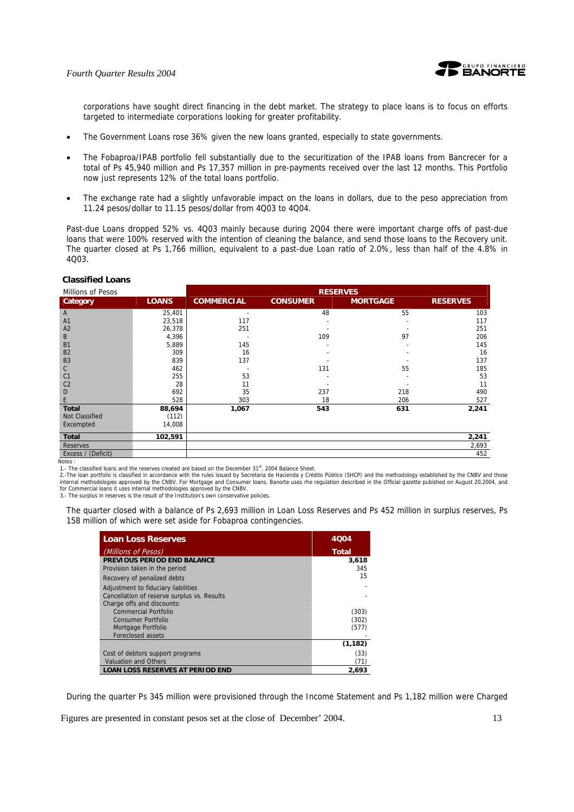

corporations have sought direct financing in the debt market. The strategy to place loans is to focus on efforts targeted to intermediate corporations looking for greater profitability.

- The Government Loans rose 36% given the new loans granted, especially to state governments.
- The Fobaproa/IPAB portfolio fell substantially due to the securitization of the IPAB loans from Bancrecer for a total of Ps 45,940 million and Ps 17,357 million in pre-payments received over the last 12 months. This Portfolio now just represents 12% of the total loans portfolio.
- The exchange rate had a slightly unfavorable impact on the loans in dollars, due to the peso appreciation from 11.24 pesos/dollar to 11.15 pesos/dollar from 4Q03 to 4Q04.

Past-due Loans dropped 52% vs. 4Q03 mainly because during 2Q04 there were important charge offs of past-due loans that were 100% reserved with the intention of cleaning the balance, and send those loans to the Recovery unit. The quarter closed at Ps 1,766 million, equivalent to a past-due Loan ratio of 2.0%, less than half of the 4.8% in 4Q03.

| Millions of Pesos     |              | <b>RESERVES</b>   |                 |                 |                 |
|-----------------------|--------------|-------------------|-----------------|-----------------|-----------------|
| Category              | <b>LOANS</b> | <b>COMMERCIAL</b> | <b>CONSUMER</b> | <b>MORTGAGE</b> | <b>RESERVES</b> |
| A                     | 25,401       |                   | 48              | 55              | 103             |
| A1                    | 23,518       | 117               |                 |                 | 117             |
| A2                    | 26,378       | 251               |                 |                 | 251             |
| B                     | 4,396        |                   | 109             | 97              | 206             |
| <b>B1</b>             | 5,889        | 145               |                 |                 | 145             |
| <b>B2</b>             | 309          | 16                |                 |                 | 16              |
| B <sub>3</sub>        | 839          | 137               |                 |                 | 137             |
| C                     | 462          |                   | 131             | 55              | 185             |
| C <sub>1</sub>        | 255          | 53                |                 |                 | 53              |
| C <sub>2</sub>        | 28           | 11                |                 |                 | 11              |
| D                     | 692          | 35                | 237             | 218             | 490             |
| E.                    | 528          | 303               | 18              | 206             | 527             |
| <b>Total</b>          | 88,694       | 1,067             | 543             | 631             | 2,241           |
| Not Classified        | (112)        |                   |                 |                 |                 |
| Excempted             | 14,008       |                   |                 |                 |                 |
| <b>Total</b>          | 102,591      |                   |                 |                 | 2,241           |
| <b>Reserves</b>       |              |                   |                 |                 | 2,693           |
| (Deficit)<br>Excess / |              |                   |                 |                 | 452             |

## **Classified Loans**

Notes :<br>1.- The classified loans and the reserves created are based on the December 31<sup>st</sup>, 2004 Balance Sheet.

2.-The loan portfolio is classified in accordance with the rules issued by Secretaria de Hacienda y Crédito Público (SHCP) and the methodology established by the CNBV and those<br>internal methodologies approved by the CNBV. for Commercial loans it uses internal methodologies approved by the CNBV. 3.- The surplus in reserves is the result of the Institution's own conservative policies.

The quarter closed with a balance of Ps 2,693 million in Loan Loss Reserves and Ps 452 million in surplus reserves, Ps 158 million of which were set aside for Fobaproa contingencies.

| <b>Loan Loss Reserves</b>                   | 4004     |
|---------------------------------------------|----------|
| (Millions of Pesos)                         | Total    |
| <b>PREVIOUS PERIOD END BALANCE</b>          | 3,618    |
| Provision taken in the period               | 345      |
| Recovery of penalized debts                 | 15       |
| Adjustment to fiduciary liabilities         |          |
| Cancellation of reserve surplus vs. Results |          |
| Charge offs and discounts:                  |          |
| Commercial Portfolio                        | (303)    |
| Consumer Portfolio                          | (302)    |
| Mortgage Portfolio                          | (577)    |
| Foreclosed assets                           |          |
|                                             | (1, 182) |
| Cost of debtors support programs            | (33)     |
| <b>Valuation and Others</b>                 | (71)     |
| <b>LOAN LOSS RESERVES AT PERIOD END</b>     | 2.693    |

During the quarter Ps 345 million were provisioned through the Income Statement and Ps 1,182 million were Charged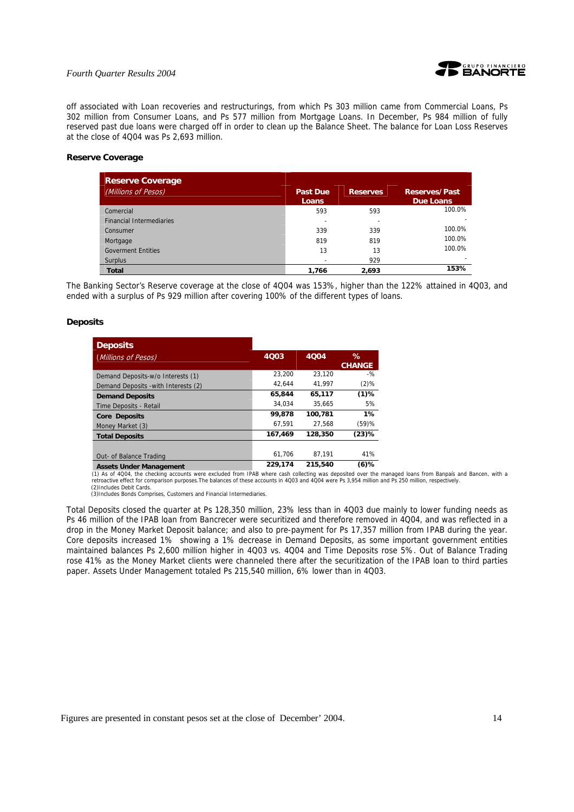

off associated with Loan recoveries and restructurings, from which Ps 303 million came from Commercial Loans, Ps 302 million from Consumer Loans, and Ps 577 million from Mortgage Loans. In December, Ps 984 million of fully reserved past due loans were charged off in order to clean up the Balance Sheet. The balance for Loan Loss Reserves at the close of 4Q04 was Ps 2,693 million.

### **Reserve Coverage**

| <b>Reserve Coverage</b>         |                          |                 |                                   |
|---------------------------------|--------------------------|-----------------|-----------------------------------|
| (Millions of Pesos)             | <b>Past Due</b><br>Loans | <b>Reserves</b> | <b>Reserves/Past</b><br>Due Loans |
| Comercial                       | 593                      | 593             | 100.0%                            |
| <b>Financial Intermediaries</b> |                          | ۰               |                                   |
| Consumer                        | 339                      | 339             | 100.0%                            |
| Mortgage                        | 819                      | 819             | 100.0%                            |
| <b>Goverment Entities</b>       | 13                       | 13              | 100.0%                            |
| <b>Surplus</b>                  |                          | 929             |                                   |
| <b>Total</b>                    | 1.766                    | 2.693           | 153%                              |

The Banking Sector's Reserve coverage at the close of 4Q04 was 153%, higher than the 122% attained in 4Q03, and ended with a surplus of Ps 929 million after covering 100% of the different types of loans.

## **Deposits**

| <b>Deposits</b>                      |         |         |               |
|--------------------------------------|---------|---------|---------------|
| (Millions of Pesos)                  | 4003    | 4004    | $\%$          |
|                                      |         |         | <b>CHANGE</b> |
| Demand Deposits-w/o Interests (1)    | 23.200  | 23.120  | $-$ %         |
| Demand Deposits - with Interests (2) | 42.644  | 41.997  | $(2)$ %       |
| <b>Demand Deposits</b>               | 65,844  | 65.117  | $(1)$ %       |
| Time Deposits - Retail               | 34.034  | 35.665  | 5%            |
| <b>Core Deposits</b>                 | 99,878  | 100.781 | $1\%$         |
| Money Market (3)                     | 67.591  | 27.568  | (59)%         |
| <b>Total Deposits</b>                | 167,469 | 128,350 | $(23)$ %      |
|                                      |         |         |               |
| Out- of Balance Trading              | 61.706  | 87.191  | 41%           |
| <b>Assets Under Management</b>       | 229,174 | 215,540 | $(6)$ %       |

Assets Under Management **229,174** 215,540 (6)%<br>(1) As of 4004, the checking accounts were excluded from IPAB where cash collecting was deposited over the managed loans from Banpaís and Bancen, with a retroactive effect for comparison purposes.The balances of these accounts in 4Q03 and 4Q04 were Ps 3,954 million and Ps 250 million, respectively. (2)Includes Debit Cards.

(3)Includes Bonds Comprises, Customers and Financial Intermediaries.

Total Deposits closed the quarter at Ps 128,350 million, 23% less than in 4Q03 due mainly to lower funding needs as Ps 46 million of the IPAB loan from Bancrecer were securitized and therefore removed in 4Q04, and was reflected in a drop in the Money Market Deposit balance; and also to pre-payment for Ps 17,357 million from IPAB during the year. Core deposits increased 1% showing a 1% decrease in Demand Deposits, as some important government entities maintained balances Ps 2,600 million higher in 4Q03 vs. 4Q04 and Time Deposits rose 5%. Out of Balance Trading rose 41% as the Money Market clients were channeled there after the securitization of the IPAB loan to third parties paper. Assets Under Management totaled Ps 215,540 million, 6% lower than in 4Q03.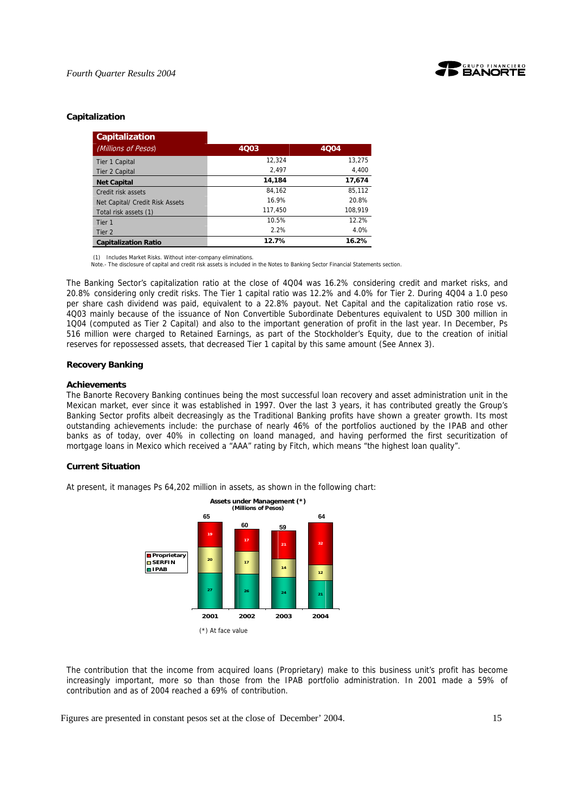

## **Capitalization**

| <b>Capitalization</b>           |         |         |
|---------------------------------|---------|---------|
| (Millions of Pesos)             | 4Q03    | 4004    |
| Tier 1 Capital                  | 12,324  | 13,275  |
| Tier 2 Capital                  | 2,497   | 4,400   |
| <b>Net Capital</b>              | 14,184  | 17,674  |
| Credit risk assets              | 84.162  | 85,112  |
| Net Capital/ Credit Risk Assets | 16.9%   | 20.8%   |
| Total risk assets (1)           | 117.450 | 108.919 |
| Tier 1                          | 10.5%   | 12.2%   |
| Tier 2                          | 2.2%    | 4.0%    |
| <b>Capitalization Ratio</b>     | 12.7%   | 16.2%   |

(1) Includes Market Risks. Without inter-company eliminations.

Note.- The disclosure of capital and credit risk assets is included in the Notes to Banking Sector Financial Statements section.

The Banking Sector's capitalization ratio at the close of 4Q04 was 16.2% considering credit and market risks, and 20.8% considering only credit risks. The Tier 1 capital ratio was 12.2% and 4.0% for Tier 2. During 4Q04 a 1.0 peso per share cash dividend was paid, equivalent to a 22.8% payout. Net Capital and the capitalization ratio rose vs. 4Q03 mainly because of the issuance of Non Convertible Subordinate Debentures equivalent to USD 300 million in 1Q04 (computed as Tier 2 Capital) and also to the important generation of profit in the last year. In December, Ps 516 million were charged to Retained Earnings, as part of the Stockholder's Equity, due to the creation of initial reserves for repossessed assets, that decreased Tier 1 capital by this same amount (See Annex 3).

### **Recovery Banking**

#### **Achievements**

The Banorte Recovery Banking continues being the most successful loan recovery and asset administration unit in the Mexican market, ever since it was established in 1997. Over the last 3 years, it has contributed greatly the Group's Banking Sector profits albeit decreasingly as the Traditional Banking profits have shown a greater growth. Its most outstanding achievements include: the purchase of nearly 46% of the portfolios auctioned by the IPAB and other banks as of today, over 40% in collecting on loand managed, and having performed the first securitization of mortgage loans in Mexico which received a "AAA" rating by Fitch, which means "the highest loan quality".

## **Current Situation**

At present, it manages Ps 64,202 million in assets, as shown in the following chart:



The contribution that the income from acquired loans (Proprietary) make to this business unit's profit has become increasingly important, more so than those from the IPAB portfolio administration. In 2001 made a 59% of contribution and as of 2004 reached a 69% of contribution.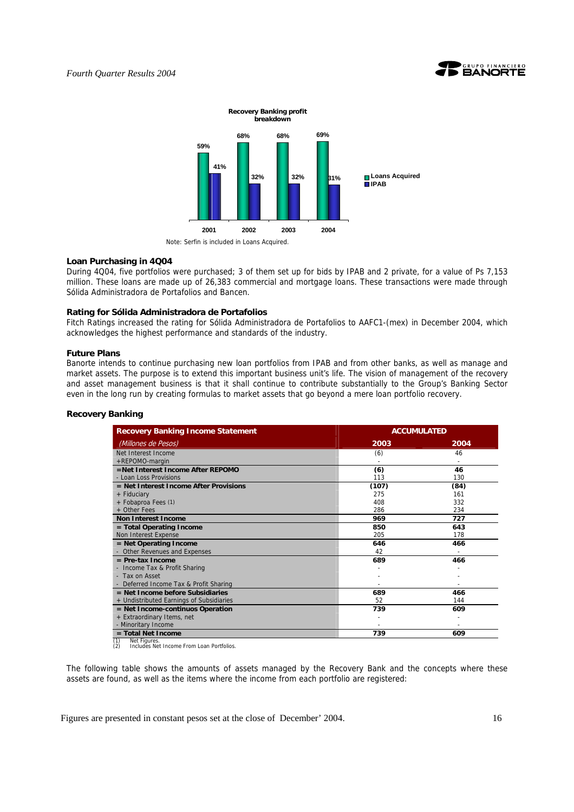



#### **Loan Purchasing in 4Q04**

During 4Q04, five portfolios were purchased; 3 of them set up for bids by IPAB and 2 private, for a value of Ps 7,153 million. These loans are made up of 26,383 commercial and mortgage loans. These transactions were made through Sólida Administradora de Portafolios and Bancen.

## **Rating for Sólida Administradora de Portafolios**

Fitch Ratings increased the rating for Sólida Administradora de Portafolios to AAFC1-(mex) in December 2004, which acknowledges the highest performance and standards of the industry.

#### **Future Plans**

Banorte intends to continue purchasing new loan portfolios from IPAB and from other banks, as well as manage and market assets. The purpose is to extend this important business unit's life. The vision of management of the recovery and asset management business is that it shall continue to contribute substantially to the Group's Banking Sector even in the long run by creating formulas to market assets that go beyond a mere loan portfolio recovery.

#### **Recovery Banking**

| <b>Recovery Banking Income Statement</b> |       | <b>ACCUMULATED</b> |  |  |
|------------------------------------------|-------|--------------------|--|--|
| (Millones de Pesos)                      | 2003  | 2004               |  |  |
| Net Interest Income                      | (6)   | 46                 |  |  |
| +REPOMO-margin                           |       |                    |  |  |
| =Net Interest Income After REPOMO        | (6)   | 46                 |  |  |
| - Loan Loss Provisions                   | 113   | 130                |  |  |
| $=$ Net Interest Income After Provisions | (107) | (84)               |  |  |
| + Fiduciary                              | 275   | 161                |  |  |
| + Fobaproa Fees (1)                      | 408   | 332                |  |  |
| + Other Fees                             | 286   | 234                |  |  |
| <b>Non Interest Income</b>               | 969   | 727                |  |  |
| = Total Operating Income                 | 850   | 643                |  |  |
| Non Interest Expense                     | 205   | 178                |  |  |
| $=$ Net Operating Income                 | 646   | 466                |  |  |
| - Other Revenues and Expenses            | 42    |                    |  |  |
| $=$ Pre-tax Income                       | 689   | 466                |  |  |
| - Income Tax & Profit Sharing            |       |                    |  |  |
| - Tax on Asset                           |       |                    |  |  |
| Deferred Income Tax & Profit Sharing     |       |                    |  |  |
| $=$ Net Income before Subsidiaries       | 689   | 466                |  |  |
| + Undistributed Earnings of Subsidiaries | 52    | 144                |  |  |
| = Net Income-continuos Operation         | 739   | 609                |  |  |
| + Extraordinary Items, net               |       |                    |  |  |
| - Minoritary Income                      |       |                    |  |  |
| $=$ Total Net Income                     | 739   | 609                |  |  |

(1) Net Figures. (2) Includes Net Income From Loan Portfolios.

The following table shows the amounts of assets managed by the Recovery Bank and the concepts where these assets are found, as well as the items where the income from each portfolio are registered: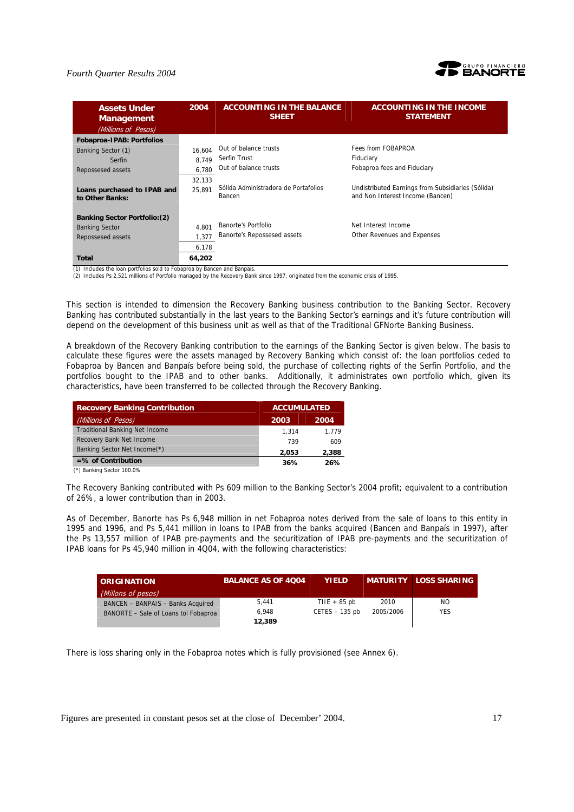

| <b>Assets Under</b><br><b>Management</b><br>(Millions of Pesos) | 2004   | <b>ACCOUNTING IN THE BALANCE</b><br><b>SHEET</b> | <b>ACCOUNTING IN THE INCOME</b><br><b>STATEMENT</b>                                   |
|-----------------------------------------------------------------|--------|--------------------------------------------------|---------------------------------------------------------------------------------------|
| Fobaproa-IPAB: Portfolios                                       |        |                                                  |                                                                                       |
| Banking Sector (1)                                              | 16.604 | Out of balance trusts                            | Fees from FOBAPROA                                                                    |
| Serfin                                                          | 8.749  | Serfin Trust                                     | Fiduciary                                                                             |
| Repossesed assets                                               | 6.780  | Out of balance trusts                            | Fobaproa fees and Fiduciary                                                           |
|                                                                 | 32.133 |                                                  |                                                                                       |
| Loans purchased to IPAB and<br>to Other Banks:                  | 25.891 | Sólida Administradora de Portafolios<br>Bancen   | Undistributed Earnings from Subsidiaries (Sólida)<br>and Non Interest Income (Bancen) |
| <b>Banking Sector Portfolio: (2)</b>                            |        |                                                  |                                                                                       |
| <b>Banking Sector</b>                                           | 4.801  | Banorte's Portfolio                              | Net Interest Income                                                                   |
| Repossesed assets                                               | 1.377  | Banorte's Repossesed assets                      | Other Revenues and Expenses                                                           |
|                                                                 | 6,178  |                                                  |                                                                                       |
| <b>Total</b>                                                    | 64,202 |                                                  |                                                                                       |

(1) Includes the loan portfolios sold to Fobaproa by Bancen and Banpaís.

(2) Includes Ps 2,521 millions of Portfolio managed by the Recovery Bank since 1997, originated from the economic crisis of 1995.

This section is intended to dimension the Recovery Banking business contribution to the Banking Sector. Recovery Banking has contributed substantially in the last years to the Banking Sector's earnings and it's future contribution will depend on the development of this business unit as well as that of the Traditional GFNorte Banking Business.

A breakdown of the Recovery Banking contribution to the earnings of the Banking Sector is given below. The basis to calculate these figures were the assets managed by Recovery Banking which consist of: the loan portfolios ceded to Fobaproa by Bancen and Banpaís before being sold, the purchase of collecting rights of the Serfin Portfolio, and the portfolios bought to the IPAB and to other banks. Additionally, it administrates own portfolio which, given its characteristics, have been transferred to be collected through the Recovery Banking.

| <b>Recovery Banking Contribution</b>  | <b>ACCUMULATED</b> |       |
|---------------------------------------|--------------------|-------|
| (Millions of Pesos)                   | 2003               | 2004  |
| <b>Traditional Banking Net Income</b> | 1.314              | 1.779 |
| Recovery Bank Net Income              | 739                | 609   |
| Banking Sector Net Income(*)          | 2.053              | 2,388 |
| $=$ % of Contribution                 | 36%                | 26%   |

(\*) Banking Sector 100.0%

The Recovery Banking contributed with Ps 609 million to the Banking Sector's 2004 profit; equivalent to a contribution of 26%, a lower contribution than in 2003.

As of December, Banorte has Ps 6,948 million in net Fobaproa notes derived from the sale of loans to this entity in 1995 and 1996, and Ps 5,441 million in loans to IPAB from the banks acquired (Bancen and Banpaís in 1997), after the Ps 13,557 million of IPAB pre-payments and the securitization of IPAB pre-payments and the securitization of IPAB loans for Ps 45,940 million in 4Q04, with the following characteristics:

| <b>ORIGINATION</b>                   | <b>BALANCE AS OF 4004</b> | <b>YIELD</b>     |           | <b>MATURITY LOSS SHARING</b> |
|--------------------------------------|---------------------------|------------------|-----------|------------------------------|
| (Millons of pesos)                   |                           |                  |           |                              |
| BANCEN - BANPAIS - Banks Acquired    | 5.441                     | THE $+85$ pb     | 2010      | NO.                          |
| BANORTE - Sale of Loans tol Fobaproa | 6.948                     | $CETES - 135$ pb | 2005/2006 | <b>YES</b>                   |
|                                      | 12,389                    |                  |           |                              |

There is loss sharing only in the Fobaproa notes which is fully provisioned (see Annex 6).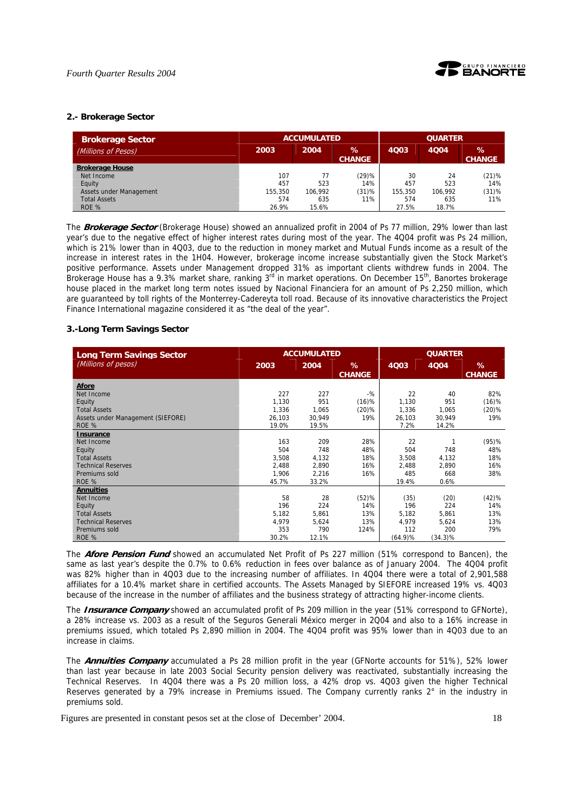

## **2.- Brokerage Sector**

| <b>Brokerage Sector</b> |         | <b>ACCUMULATED</b> |                       |         |         | <b>QUARTER</b>     |  |  |  |
|-------------------------|---------|--------------------|-----------------------|---------|---------|--------------------|--|--|--|
| (Millions of Pesos)     | 2003    | 2004               | $\%$<br><b>CHANGE</b> | 4003    | 4Q04    | %<br><b>CHANGE</b> |  |  |  |
| <b>Brokerage House</b>  |         |                    |                       |         |         |                    |  |  |  |
| Net Income              | 107     |                    | (29)%                 | 30      | 24      | (21)%              |  |  |  |
| Equity                  | 457     | 523                | 14%                   | 457     | 523     | 14%                |  |  |  |
| Assets under Management | 155,350 | 106.992            | (31)%                 | 155.350 | 106.992 | $(31)$ %           |  |  |  |
| <b>Total Assets</b>     | 574     | 635                | 11%                   | 574     | 635     | 11%                |  |  |  |
| ROE %                   | 26.9%   | 15.6%              |                       | 27.5%   | 18.7%   |                    |  |  |  |

The **Brokerage Sector** (Brokerage House) showed an annualized profit in 2004 of Ps 77 million, 29% lower than last year's due to the negative effect of higher interest rates during most of the year. The 4Q04 profit was Ps 24 million, which is 21% lower than in 4Q03, due to the reduction in money market and Mutual Funds income as a result of the increase in interest rates in the 1H04. However, brokerage income increase substantially given the Stock Market's positive performance. Assets under Management dropped 31% as important clients withdrew funds in 2004. The Brokerage House has a 9.3% market share, ranking 3<sup>rd</sup> in market operations. On December 15<sup>th</sup>, Banortes brokerage house placed in the market long term notes issued by Nacional Financiera for an amount of Ps 2,250 million, which are guaranteed by toll rights of the Monterrey-Cadereyta toll road. Because of its innovative characteristics the Project Finance International magazine considered it as "the deal of the year".

## **3.-Long Term Savings Sector**

| <b>Long Term Savings Sector</b>   | <b>ACCUMULATED</b> |        | <b>QUARTER</b>     |         |            |                    |
|-----------------------------------|--------------------|--------|--------------------|---------|------------|--------------------|
| (Millions of pesos)               | 2003               | 2004   | %<br><b>CHANGE</b> | 4Q03    | 4004       | %<br><b>CHANGE</b> |
| Afore                             |                    |        |                    |         |            |                    |
| Net Income                        | 227                | 227    | $-$ %              | 22      | 40         | 82%                |
| Equity                            | 1,130              | 951    | (16)%              | 1,130   | 951        | (16)%              |
| <b>Total Assets</b>               | 1,336              | 1,065  | (20)%              | 1,336   | 1,065      | $(20)$ %           |
| Assets under Management (SIEFORE) | 26,103             | 30,949 | 19%                | 26,103  | 30,949     | 19%                |
| ROE %                             | 19.0%              | 19.5%  |                    | 7.2%    | 14.2%      |                    |
| Insurance                         |                    |        |                    |         |            |                    |
| Net Income                        | 163                | 209    | 28%                | 22      | 1          | (95)%              |
| Equity                            | 504                | 748    | 48%                | 504     | 748        | 48%                |
| <b>Total Assets</b>               | 3,508              | 4,132  | 18%                | 3,508   | 4,132      | 18%                |
| <b>Technical Reserves</b>         | 2,488              | 2,890  | 16%                | 2,488   | 2,890      | 16%                |
| Premiums sold                     | 1,906              | 2,216  | 16%                | 485     | 668        | 38%                |
| ROE %                             | 45.7%              | 33.2%  |                    | 19.4%   | 0.6%       |                    |
| <b>Annuities</b>                  |                    |        |                    |         |            |                    |
| Net Income                        | 58                 | 28     | (52)%              | (35)    | (20)       | (42)%              |
| Equity                            | 196                | 224    | 14%                | 196     | 224        | 14%                |
| <b>Total Assets</b>               | 5,182              | 5,861  | 13%                | 5,182   | 5,861      | 13%                |
| <b>Technical Reserves</b>         | 4,979              | 5,624  | 13%                | 4.979   | 5,624      | 13%                |
| Premiums sold                     | 353                | 790    | 124%               | 112     | 200        | 79%                |
| ROE %                             | 30.2%              | 12.1%  |                    | (64.9)% | $(34.3)\%$ |                    |

The **Afore Pension Fund** showed an accumulated Net Profit of Ps 227 million (51% correspond to Bancen), the same as last year's despite the 0.7% to 0.6% reduction in fees over balance as of January 2004. The 4Q04 profit was 82% higher than in 4Q03 due to the increasing number of affiliates. In 4Q04 there were a total of 2,901,588 affiliates for a 10.4% market share in certified accounts. The Assets Managed by SIEFORE increased 19% vs. 4Q03 because of the increase in the number of affiliates and the business strategy of attracting higher-income clients.

The **Insurance Company** showed an accumulated profit of Ps 209 million in the year (51% correspond to GFNorte), a 28% increase vs. 2003 as a result of the Seguros Generali México merger in 2Q04 and also to a 16% increase in premiums issued, which totaled Ps 2,890 million in 2004. The 4Q04 profit was 95% lower than in 4Q03 due to an increase in claims.

The **Annuities Company** accumulated a Ps 28 million profit in the year (GFNorte accounts for 51%), 52% lower than last year because in late 2003 Social Security pension delivery was reactivated, substantially increasing the Technical Reserves. In 4Q04 there was a Ps 20 million loss, a 42% drop vs. 4Q03 given the higher Technical Reserves generated by a 79% increase in Premiums issued. The Company currently ranks 2° in the industry in premiums sold.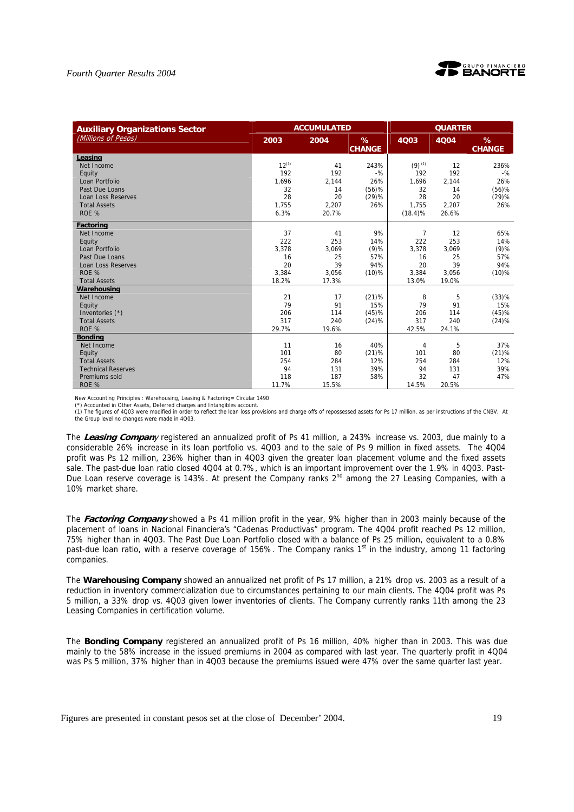



| <b>Auxiliary Organizations Sector</b> |            | <b>ACCUMULATED</b> |                    | <b>QUARTER</b>       |       |                    |
|---------------------------------------|------------|--------------------|--------------------|----------------------|-------|--------------------|
| (Millions of Pesos)                   | 2003       | 2004               | %<br><b>CHANGE</b> | <b>4Q03</b>          | 4004  | %<br><b>CHANGE</b> |
| Leasing                               |            |                    |                    |                      |       |                    |
| Net Income                            | $12^{(1)}$ | 41                 | 243%               | $(9)$ <sup>(1)</sup> | 12    | 236%               |
| Equity                                | 192        | 192                | $-9/6$             | 192                  | 192   | $-$ %              |
| Loan Portfolio                        | 1.696      | 2.144              | 26%                | 1,696                | 2,144 | 26%                |
| Past Due Loans                        | 32         | 14                 | $(56)$ %           | 32                   | 14    | $(56)$ %           |
| <b>Loan Loss Reserves</b>             | 28         | 20                 | (29)%              | 28                   | 20    | (29)%              |
| <b>Total Assets</b>                   | 1.755      | 2,207              | 26%                | 1.755                | 2,207 | 26%                |
| ROE %                                 | 6.3%       | 20.7%              |                    | $(18.4)\%$           | 26.6% |                    |
| <b>Factoring</b>                      |            |                    |                    |                      |       |                    |
| Net Income                            | 37         | 41                 | 9%                 | $\overline{7}$       | 12    | 65%                |
| Equity                                | 222        | 253                | 14%                | 222                  | 253   | 14%                |
| Loan Portfolio                        | 3,378      | 3,069              | $(9)$ %            | 3,378                | 3,069 | $(9)$ %            |
| Past Due Loans                        | 16         | 25                 | 57%                | 16                   | 25    | 57%                |
| <b>Loan Loss Reserves</b>             | 20         | 39                 | 94%                | 20                   | 39    | 94%                |
| ROE %                                 | 3,384      | 3,056              | $(10)$ %           | 3,384                | 3,056 | $(10)\%$           |
| <b>Total Assets</b>                   | 18.2%      | 17.3%              |                    | 13.0%                | 19.0% |                    |
| Warehousing                           |            |                    |                    |                      |       |                    |
| Net Income                            | 21         | 17                 | (21)%              | 8                    | 5     | (33)%              |
| Equity                                | 79         | 91                 | 15%                | 79                   | 91    | 15%                |
| Inventories (*)                       | 206        | 114                | (45)%              | 206                  | 114   | (45)%              |
| <b>Total Assets</b>                   | 317        | 240                | (24)%              | 317                  | 240   | (24)%              |
| ROE %                                 | 29.7%      | 19.6%              |                    | 42.5%                | 24.1% |                    |
| <b>Bonding</b>                        |            |                    |                    |                      |       |                    |
| Net Income                            | 11         | 16                 | 40%                | 4                    | 5     | 37%                |
| Equity                                | 101        | 80                 | (21)%              | 101                  | 80    | (21)%              |
| <b>Total Assets</b>                   | 254        | 284                | 12%                | 254                  | 284   | 12%                |
| <b>Technical Reserves</b>             | 94         | 131                | 39%                | 94                   | 131   | 39%                |
| Premiums sold                         | 118        | 187                | 58%                | 32                   | 47    | 47%                |
| ROE %                                 | 11.7%      | 15.5%              |                    | 14.5%                | 20.5% |                    |

New Accounting Principles : Warehousing, Leasing & Factoring= Circular 1490

(\*) Accounted in Other Assets, Deferred charges and Intangibles account.

(1) The figures of 4Q03 were modified in order to reflect the loan loss provisions and charge offs of repossessed assets for Ps 17 million, as per instructions of the CNBV. At the Group level no changes were made in 4Q03.

The **Leasing Compan**y registered an annualized profit of Ps 41 million, a 243% increase vs. 2003, due mainly to a considerable 26% increase in its loan portfolio vs. 4Q03 and to the sale of Ps 9 million in fixed assets. The 4Q04 profit was Ps 12 million, 236% higher than in 4Q03 given the greater loan placement volume and the fixed assets sale. The past-due loan ratio closed 4Q04 at 0.7%, which is an important improvement over the 1.9% in 4Q03. Past-Due Loan reserve coverage is 143%. At present the Company ranks 2<sup>nd</sup> among the 27 Leasing Companies, with a 10% market share.

The **Factoring Company** showed a Ps 41 million profit in the year, 9% higher than in 2003 mainly because of the placement of loans in Nacional Financiera's "Cadenas Productivas" program. The 4Q04 profit reached Ps 12 million, 75% higher than in 4Q03. The Past Due Loan Portfolio closed with a balance of Ps 25 million, equivalent to a 0.8% past-due loan ratio, with a reserve coverage of 156%. The Company ranks  $1<sup>st</sup>$  in the industry, among 11 factoring companies.

The **Warehousing Company** showed an annualized net profit of Ps 17 million, a 21% drop vs. 2003 as a result of a reduction in inventory commercialization due to circumstances pertaining to our main clients. The 4Q04 profit was Ps 5 million, a 33% drop vs. 4Q03 given lower inventories of clients. The Company currently ranks 11th among the 23 Leasing Companies in certification volume.

The **Bonding Company** registered an annualized profit of Ps 16 million, 40% higher than in 2003. This was due mainly to the 58% increase in the issued premiums in 2004 as compared with last year. The quarterly profit in 4Q04 was Ps 5 million, 37% higher than in 4Q03 because the premiums issued were 47% over the same quarter last year.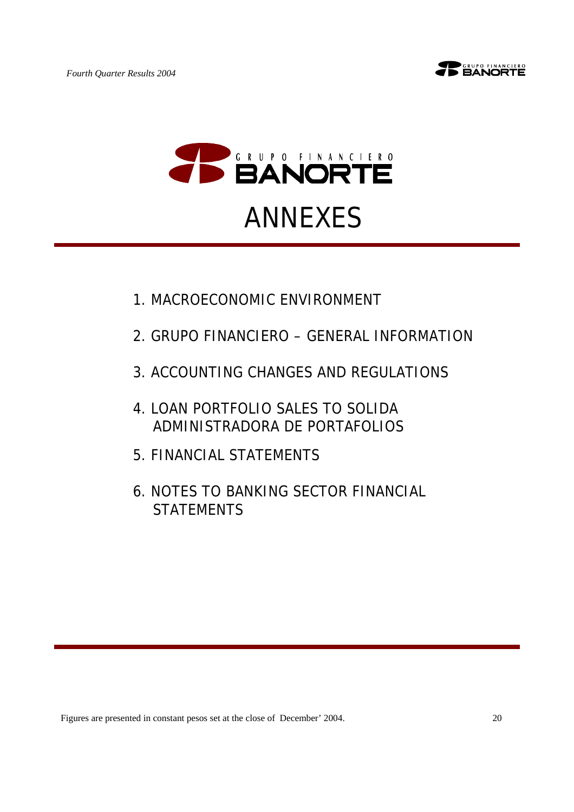



- 1.MACROECONOMIC ENVIRONMENT
- 2.GRUPO FINANCIERO GENERAL INFORMATION
- 3.ACCOUNTING CHANGES AND REGULATIONS
- 4.LOAN PORTFOLIO SALES TO SOLIDA ADMINISTRADORA DE PORTAFOLIOS
- 5.FINANCIAL STATEMENTS
- 6.NOTES TO BANKING SECTOR FINANCIAL **STATEMENTS**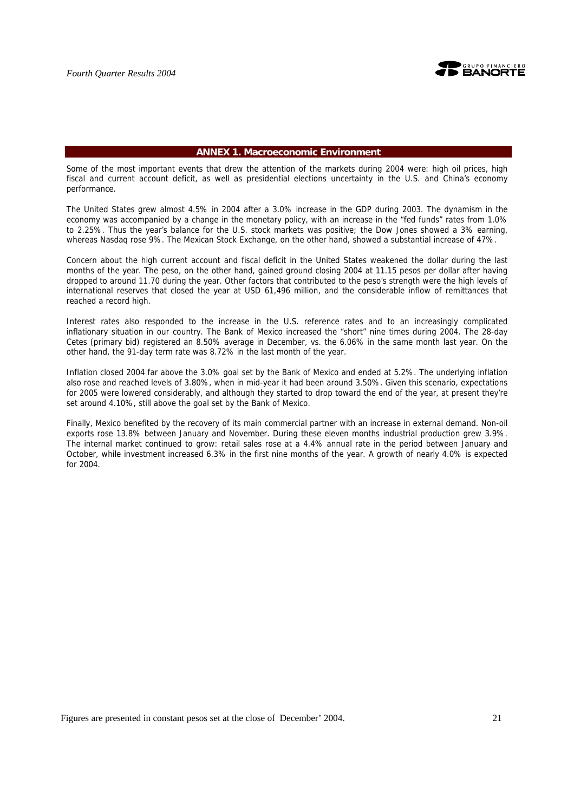

## **ANNEX 1. Macroeconomic Environment**

Some of the most important events that drew the attention of the markets during 2004 were: high oil prices, high fiscal and current account deficit, as well as presidential elections uncertainty in the U.S. and China's economy performance.

The United States grew almost 4.5% in 2004 after a 3.0% increase in the GDP during 2003. The dynamism in the economy was accompanied by a change in the monetary policy, with an increase in the "fed funds" rates from 1.0% to 2.25%. Thus the year's balance for the U.S. stock markets was positive; the Dow Jones showed a 3% earning, whereas Nasdaq rose 9%. The Mexican Stock Exchange, on the other hand, showed a substantial increase of 47%.

Concern about the high current account and fiscal deficit in the United States weakened the dollar during the last months of the year. The peso, on the other hand, gained ground closing 2004 at 11.15 pesos per dollar after having dropped to around 11.70 during the year. Other factors that contributed to the peso's strength were the high levels of international reserves that closed the year at USD 61,496 million, and the considerable inflow of remittances that reached a record high.

Interest rates also responded to the increase in the U.S. reference rates and to an increasingly complicated inflationary situation in our country. The Bank of Mexico increased the "short" nine times during 2004. The 28-day Cetes (primary bid) registered an 8.50% average in December, vs. the 6.06% in the same month last year. On the other hand, the 91-day term rate was 8.72% in the last month of the year.

Inflation closed 2004 far above the 3.0% goal set by the Bank of Mexico and ended at 5.2%. The underlying inflation also rose and reached levels of 3.80%, when in mid-year it had been around 3.50%. Given this scenario, expectations for 2005 were lowered considerably, and although they started to drop toward the end of the year, at present they're set around 4.10%, still above the goal set by the Bank of Mexico.

Finally, Mexico benefited by the recovery of its main commercial partner with an increase in external demand. Non-oil exports rose 13.8% between January and November. During these eleven months industrial production grew 3.9%. The internal market continued to grow: retail sales rose at a 4.4% annual rate in the period between January and October, while investment increased 6.3% in the first nine months of the year. A growth of nearly 4.0% is expected for 2004.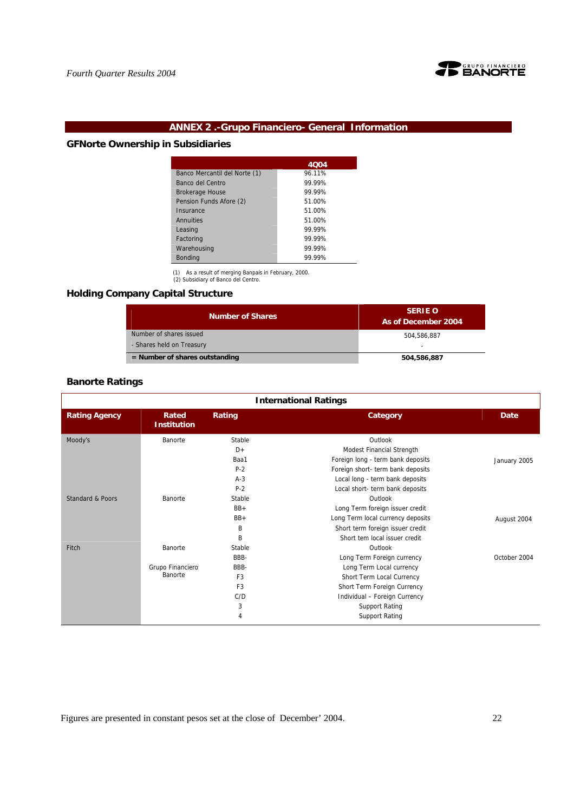

# **ANNEX 2 .-Grupo Financiero- General Information**

# **GFNorte Ownership in Subsidiaries**

|                               | 4004   |
|-------------------------------|--------|
| Banco Mercantil del Norte (1) | 96.11% |
| Banco del Centro              | 99 99% |
| <b>Brokerage House</b>        | 99.99% |
| Pension Funds Afore (2)       | 51.00% |
| Insurance                     | 51.00% |
| Annuities                     | 51.00% |
| Leasing                       | 99.99% |
| Factoring                     | 99.99% |
| Warehousing                   | 99.99% |
| <b>Bonding</b>                | 99.99% |

(1) As a result of merging Banpaís in February, 2000. (2) Subsidiary of Banco del Centro.

## **Holding Company Capital Structure**

| <b>Number of Shares</b>          | <b>SERIE O</b><br>As of December 2004 |
|----------------------------------|---------------------------------------|
| Number of shares issued          | 504.586.887                           |
| - Shares held on Treasury        | -                                     |
| $=$ Number of shares outstanding | 504,586,887                           |

## **Banorte Ratings**

|                             | <b>International Ratings</b> |                |                                   |              |  |  |  |
|-----------------------------|------------------------------|----------------|-----------------------------------|--------------|--|--|--|
| <b>Rating Agency</b>        | Rated<br><b>Institution</b>  | Rating         | Category                          | Date         |  |  |  |
| Moody's                     | Banorte                      | Stable         | Outlook                           |              |  |  |  |
|                             |                              | $D+$           | Modest Financial Strength         |              |  |  |  |
|                             |                              | Baa1           | Foreign long - term bank deposits | January 2005 |  |  |  |
|                             |                              | $P-2$          | Foreign short- term bank deposits |              |  |  |  |
|                             |                              | $A-3$          | Local long - term bank deposits   |              |  |  |  |
|                             |                              | $P-2$          | Local short- term bank deposits   |              |  |  |  |
| <b>Standard &amp; Poors</b> | Banorte                      | Stable         | Outlook                           |              |  |  |  |
|                             |                              | $BB+$          | Long Term foreign issuer credit   |              |  |  |  |
|                             |                              | $BB+$          | Long Term local currency deposits | August 2004  |  |  |  |
|                             |                              | B              | Short term foreign issuer credit  |              |  |  |  |
|                             |                              | B              | Short tem local issuer credit     |              |  |  |  |
| Fitch                       | Banorte                      | Stable         | Outlook                           |              |  |  |  |
|                             |                              | BBB-           | Long Term Foreign currency        | October 2004 |  |  |  |
|                             | Grupo Financiero             | BBB-           | Long Term Local currency          |              |  |  |  |
|                             | Banorte                      | F <sub>3</sub> | Short Term Local Currency         |              |  |  |  |
|                             |                              | F <sub>3</sub> | Short Term Foreign Currency       |              |  |  |  |
|                             |                              | C/D            | Individual - Foreign Currency     |              |  |  |  |
|                             |                              | 3              | <b>Support Rating</b>             |              |  |  |  |
|                             |                              | 4              | <b>Support Rating</b>             |              |  |  |  |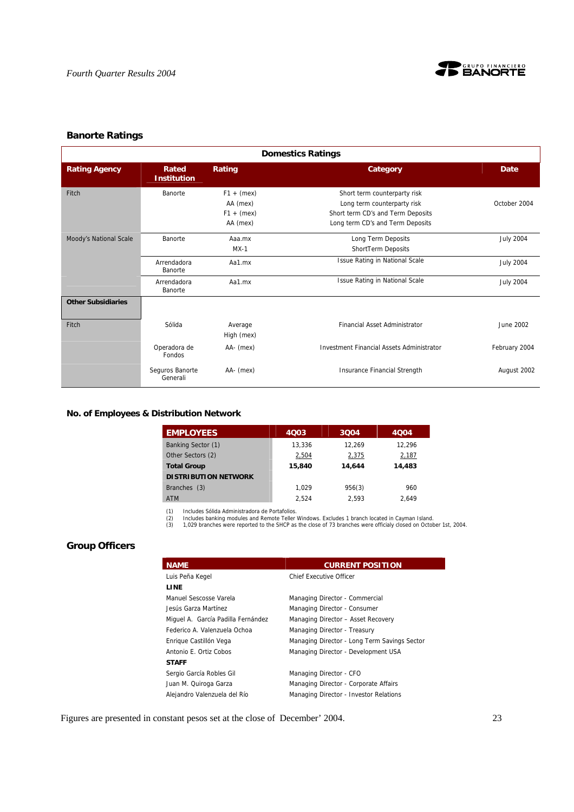

## **Banorte Ratings**

|                           | <b>Domestics Ratings</b>    |                                                      |                                                                                                                                      |                  |  |  |  |  |
|---------------------------|-----------------------------|------------------------------------------------------|--------------------------------------------------------------------------------------------------------------------------------------|------------------|--|--|--|--|
| <b>Rating Agency</b>      | Rated<br><b>Institution</b> | Rating                                               | Category                                                                                                                             | <b>Date</b>      |  |  |  |  |
| Fitch                     | Banorte                     | $F1 + (max)$<br>AA (mex)<br>$F1 + (max)$<br>AA (mex) | Short term counterparty risk<br>Long term counterparty risk<br>Short term CD's and Term Deposits<br>Long term CD's and Term Deposits | October 2004     |  |  |  |  |
| Moody's National Scale    | Banorte                     | Aaa.mx<br>$MX-1$                                     | Long Term Deposits<br>ShortTerm Deposits                                                                                             | <b>July 2004</b> |  |  |  |  |
|                           | Arrendadora<br>Banorte      | Aa1.mx                                               | Issue Rating in National Scale                                                                                                       | <b>July 2004</b> |  |  |  |  |
|                           | Arrendadora<br>Banorte      | Aa1.mx                                               | Issue Rating in National Scale                                                                                                       | <b>July 2004</b> |  |  |  |  |
| <b>Other Subsidiaries</b> |                             |                                                      |                                                                                                                                      |                  |  |  |  |  |
| Fitch                     | Sólida                      | Average<br>High (mex)                                | <b>Financial Asset Administrator</b>                                                                                                 | June 2002        |  |  |  |  |
|                           | Operadora de<br>Fondos      | AA- (mex)                                            | <b>Investment Financial Assets Administrator</b>                                                                                     | February 2004    |  |  |  |  |
|                           | Seguros Banorte<br>Generali | AA- (mex)                                            | <b>Insurance Financial Strength</b>                                                                                                  | August 2002      |  |  |  |  |

## **No. of Employees & Distribution Network**

| <b>EMPLOYEES</b>            | 4003   | 3004   | 4004   |
|-----------------------------|--------|--------|--------|
| Banking Sector (1)          | 13.336 | 12.269 | 12.296 |
| Other Sectors (2)           | 2,504  | 2,375  | 2,187  |
| <b>Total Group</b>          | 15,840 | 14.644 | 14,483 |
| <b>DISTRIBUTION NETWORK</b> |        |        |        |
| Branches (3)                | 1.029  | 956(3) | 960    |
| <b>ATM</b>                  | 2.524  | 2.593  | 2.649  |

(1) Includes Sólida Administradora de Portafolios.<br>(2) Includes banking modules and Remote Teller Windows. Excludes 1 branch located in Cayman Island.<br>(3) 1,029 branches were reported to the SHCP as the close of 73 branche

# **Group Officers**

| <b>NAME</b>                        | <b>CURRENT POSITION</b>                      |
|------------------------------------|----------------------------------------------|
| Luis Peña Kegel                    | <b>Chief Executive Officer</b>               |
| <b>LINE</b>                        |                                              |
| Manuel Sescosse Varela             | Managing Director - Commercial               |
| Jesús Garza Martínez               | Managing Director - Consumer                 |
| Miquel A. García Padilla Fernández | Managing Director - Asset Recovery           |
| Federico A. Valenzuela Ochoa       | Managing Director - Treasury                 |
| Enrique Castillón Vega             | Managing Director - Long Term Savings Sector |
| Antonio E. Ortiz Cobos             | Managing Director - Development USA          |
| <b>STAFF</b>                       |                                              |
| Sergio García Robles Gil           | Managing Director - CFO                      |
| Juan M. Quiroga Garza              | Managing Director - Corporate Affairs        |
| Alejandro Valenzuela del Río       | Managing Director - Investor Relations       |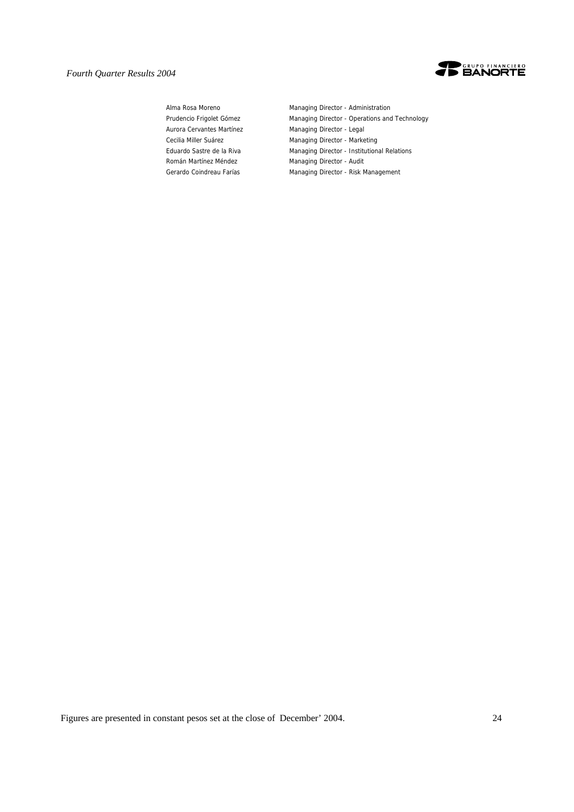

Aurora Cervantes Martínez Managing Director - Legal Román Martínez Méndez **Managing Director - Audit** 

Alma Rosa Moreno **Managing Director - Administration** Prudencio Frigolet Gómez Managing Director - Operations and Technology Cecilia Miller Suárez **Managing Director - Marketing** Eduardo Sastre de la Riva Managing Director - Institutional Relations Gerardo Coindreau Farías Managing Director - Risk Management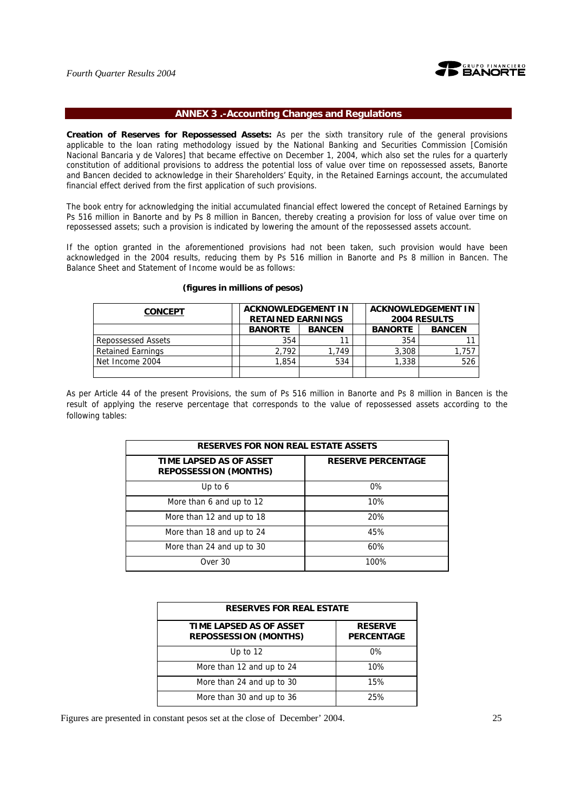

## **ANNEX 3 .-Accounting Changes and Regulations**

**Creation of Reserves for Repossessed Assets:** As per the sixth transitory rule of the general provisions applicable to the loan rating methodology issued by the National Banking and Securities Commission [Comisión Nacional Bancaria y de Valores] that became effective on December 1, 2004, which also set the rules for a quarterly constitution of additional provisions to address the potential loss of value over time on repossessed assets, Banorte and Bancen decided to acknowledge in their Shareholders' Equity, in the Retained Earnings account, the accumulated financial effect derived from the first application of such provisions.

The book entry for acknowledging the initial accumulated financial effect lowered the concept of Retained Earnings by Ps 516 million in Banorte and by Ps 8 million in Bancen, thereby creating a provision for loss of value over time on repossessed assets; such a provision is indicated by lowering the amount of the repossessed assets account.

If the option granted in the aforementioned provisions had not been taken, such provision would have been acknowledged in the 2004 results, reducing them by Ps 516 million in Banorte and Ps 8 million in Bancen. The Balance Sheet and Statement of Income would be as follows:

| <b>CONCEPT</b>           | <b>ACKNOWLEDGEMENT IN</b><br><b>RETAINED EARNINGS</b> |       |  |                | <b>ACKNOWLEDGEMENT IN</b><br><b>2004 RESULTS</b> |
|--------------------------|-------------------------------------------------------|-------|--|----------------|--------------------------------------------------|
|                          | <b>BANORTE</b><br><b>BANCEN</b>                       |       |  | <b>BANORTE</b> | <b>BANCEN</b>                                    |
| Repossessed Assets       | 354                                                   | 11    |  | 354            |                                                  |
| <b>Retained Earnings</b> | 2.792                                                 | 1.749 |  | 3.308          | 757، ،                                           |
| Net Income 2004          | 1,854                                                 | 534   |  | 1,338          | 526                                              |
|                          |                                                       |       |  |                |                                                  |

### **(figures in millions of pesos)**

As per Article 44 of the present Provisions, the sum of Ps 516 million in Banorte and Ps 8 million in Bancen is the result of applying the reserve percentage that corresponds to the value of repossessed assets according to the following tables:

| <b>RESERVES FOR NON REAL ESTATE ASSETS</b>              |                           |  |  |  |  |  |  |  |
|---------------------------------------------------------|---------------------------|--|--|--|--|--|--|--|
| TIME LAPSED AS OF ASSET<br><b>REPOSSESSION (MONTHS)</b> | <b>RESERVE PERCENTAGE</b> |  |  |  |  |  |  |  |
| Up to $6$                                               | 0%                        |  |  |  |  |  |  |  |
| More than 6 and up to 12                                | 10%                       |  |  |  |  |  |  |  |
| More than 12 and up to 18                               | 20%                       |  |  |  |  |  |  |  |
| More than 18 and up to 24                               | 45%                       |  |  |  |  |  |  |  |
| More than 24 and up to 30                               | 60%                       |  |  |  |  |  |  |  |
| Over 30                                                 | 100%                      |  |  |  |  |  |  |  |

| <b>RESERVES FOR REAL ESTATE</b>                         |                                     |  |  |  |  |  |  |  |  |
|---------------------------------------------------------|-------------------------------------|--|--|--|--|--|--|--|--|
| TIME LAPSED AS OF ASSET<br><b>REPOSSESSION (MONTHS)</b> | <b>RESERVE</b><br><b>PERCENTAGE</b> |  |  |  |  |  |  |  |  |
| Up to $12$                                              | $0\%$                               |  |  |  |  |  |  |  |  |
| More than 12 and up to 24                               | 10%                                 |  |  |  |  |  |  |  |  |
| More than 24 and up to 30                               | 15%                                 |  |  |  |  |  |  |  |  |
| More than 30 and up to 36                               | 25%                                 |  |  |  |  |  |  |  |  |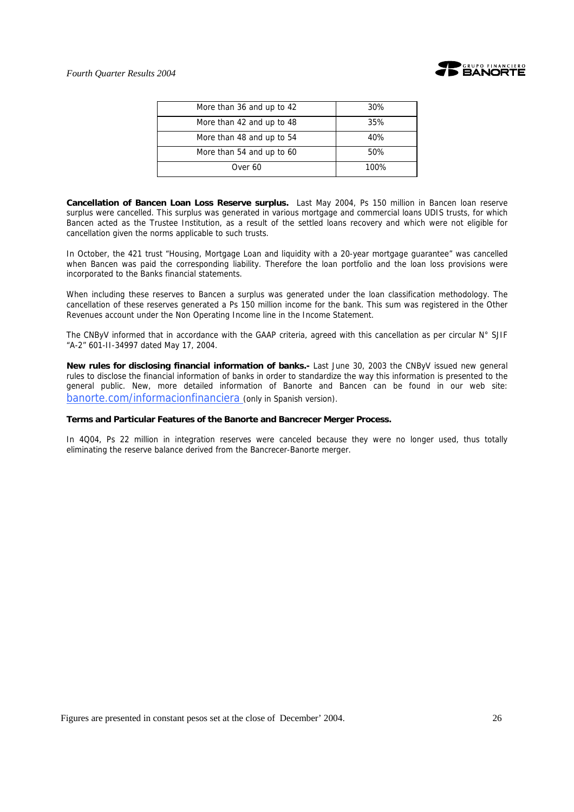

| More than 36 and up to 42 | 30%  |
|---------------------------|------|
| More than 42 and up to 48 | 35%  |
| More than 48 and up to 54 | 40%  |
| More than 54 and up to 60 | 50%  |
| Over 60                   | 100% |

**Cancellation of Bancen Loan Loss Reserve surplus.** Last May 2004, Ps 150 million in Bancen loan reserve surplus were cancelled. This surplus was generated in various mortgage and commercial loans UDIS trusts, for which Bancen acted as the Trustee Institution, as a result of the settled loans recovery and which were not eligible for cancellation given the norms applicable to such trusts.

In October, the 421 trust "Housing, Mortgage Loan and liquidity with a 20-year mortgage guarantee" was cancelled when Bancen was paid the corresponding liability. Therefore the loan portfolio and the loan loss provisions were incorporated to the Banks financial statements.

When including these reserves to Bancen a surplus was generated under the loan classification methodology. The cancellation of these reserves generated a Ps 150 million income for the bank. This sum was registered in the Other Revenues account under the Non Operating Income line in the Income Statement.

The CNByV informed that in accordance with the GAAP criteria, agreed with this cancellation as per circular  $N^{\circ}$  SJIF "A-2" 601-II-34997 dated May 17, 2004.

**New rules for disclosing financial information of banks.-** Last June 30, 2003 the CNByV issued new general rules to disclose the financial information of banks in order to standardize the way this information is presented to the general public. New, more detailed information of Banorte and Bancen can be found in our web site: banorte.com/informacionfinanciera (only in Spanish version).

## **Terms and Particular Features of the Banorte and Bancrecer Merger Process.**

In 4Q04, Ps 22 million in integration reserves were canceled because they were no longer used, thus totally eliminating the reserve balance derived from the Bancrecer-Banorte merger.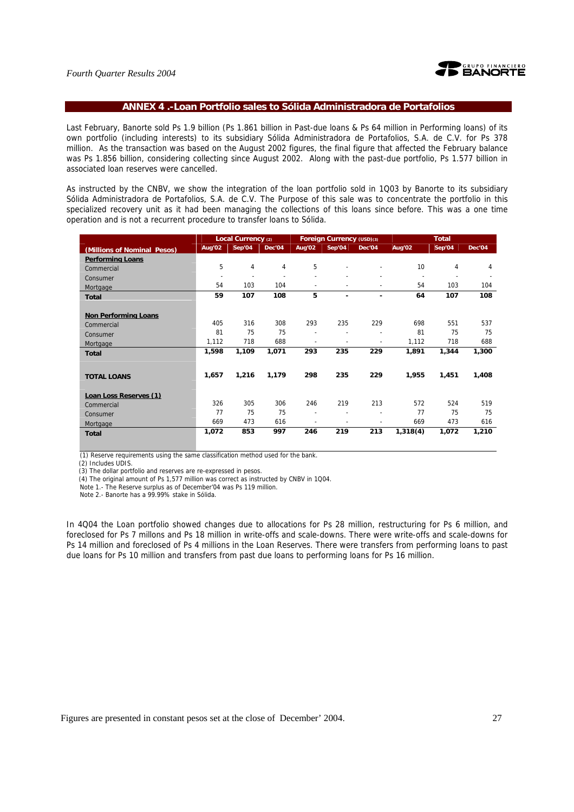

## **ANNEX 4 .-Loan Portfolio sales to Sólida Administradora de Portafolios**

Last February, Banorte sold Ps 1.9 billion (Ps 1.861 billion in Past-due loans & Ps 64 million in Performing loans) of its own portfolio (including interests) to its subsidiary Sólida Administradora de Portafolios, S.A. de C.V. for Ps 378 million. As the transaction was based on the August 2002 figures, the final figure that affected the February balance was Ps 1.856 billion, considering collecting since August 2002. Along with the past-due portfolio, Ps 1.577 billion in associated loan reserves were cancelled.

As instructed by the CNBV, we show the integration of the loan portfolio sold in 1Q03 by Banorte to its subsidiary Sólida Administradora de Portafolios, S.A. de C.V. The Purpose of this sale was to concentrate the portfolio in this specialized recovery unit as it had been managing the collections of this loans since before. This was a one time operation and is not a recurrent procedure to transfer loans to Sólida.

|                             |                          | Local Currency (2) |        |                          | Foreign Currency (USD)(3) |        | <b>Total</b>          |        |        |  |
|-----------------------------|--------------------------|--------------------|--------|--------------------------|---------------------------|--------|-----------------------|--------|--------|--|
| (Millions of Nominal Pesos) | Aug'02                   | Sep'04             | Dec'04 | Aug'02                   | Sep'04                    | Dec'04 | Aug'02                | Sep'04 | Dec'04 |  |
| <b>Performing Loans</b>     |                          |                    |        |                          |                           |        |                       |        |        |  |
| Commercial                  | 5                        | 4                  | 4      | 5                        |                           |        | 10 <sup>1</sup>       | 4      | 4      |  |
| Consumer                    | $\overline{\phantom{a}}$ |                    |        |                          |                           |        | $\tilde{\phantom{a}}$ |        |        |  |
| Mortgage                    | 54                       | 103                | 104    | $\blacksquare$           |                           |        | 54                    | 103    | 104    |  |
| <b>Total</b>                | 59                       | 107                | 108    | 5                        |                           |        | 64                    | 107    | 108    |  |
|                             |                          |                    |        |                          |                           |        |                       |        |        |  |
| <b>Non Performing Loans</b> |                          |                    |        |                          |                           |        |                       |        |        |  |
| Commercial                  | 405                      | 316                | 308    | 293                      | 235                       | 229    | 698                   | 551    | 537    |  |
| Consumer                    | 81                       | 75                 | 75     | $\overline{\phantom{a}}$ |                           |        | 81                    | 75     | 75     |  |
| Mortgage                    | 1,112                    | 718                | 688    |                          |                           |        | 1,112                 | 718    | 688    |  |
| <b>Total</b>                | 1,598                    | 1,109              | 1,071  | 293                      | 235                       | 229    | 1,891                 | 1,344  | 1,300  |  |
|                             |                          |                    |        |                          |                           |        |                       |        |        |  |
| <b>TOTAL LOANS</b>          | 1,657                    | 1,216              | 1,179  | 298                      | 235                       | 229    | 1,955                 | 1,451  | 1,408  |  |
|                             |                          |                    |        |                          |                           |        |                       |        |        |  |
| Loan Loss Reserves (1)      |                          |                    |        |                          |                           |        |                       |        |        |  |
| Commercial                  | 326                      | 305                | 306    | 246                      | 219                       | 213    | 572                   | 524    | 519    |  |
| Consumer                    | 77                       | 75                 | 75     |                          |                           |        | 77                    | 75     | 75     |  |
| Mortgage                    | 669                      | 473                | 616    |                          |                           |        | 669                   | 473    | 616    |  |
| <b>Total</b>                | 1,072                    | 853                | 997    | 246                      | 219                       | 213    | 1,318(4)              | 1,072  | 1,210  |  |
|                             |                          |                    |        |                          |                           |        |                       |        |        |  |

(1) Reserve requirements using the same classification method used for the bank.

(2) Includes UDIS.

(3) The dollar portfolio and reserves are re-expressed in pesos.

(4) The original amount of Ps 1,577 million was correct as instructed by CNBV in 1Q04.

Note 1.- The Reserve surplus as of December'04 was Ps 119 million.

Note 2.- Banorte has a 99.99% stake in Sólida.

In 4Q04 the Loan portfolio showed changes due to allocations for Ps 28 million, restructuring for Ps 6 million, and foreclosed for Ps 7 millons and Ps 18 million in write-offs and scale-downs. There were write-offs and scale-downs for Ps 14 million and foreclosed of Ps 4 millions in the Loan Reserves. There were transfers from performing loans to past due loans for Ps 10 million and transfers from past due loans to performing loans for Ps 16 million.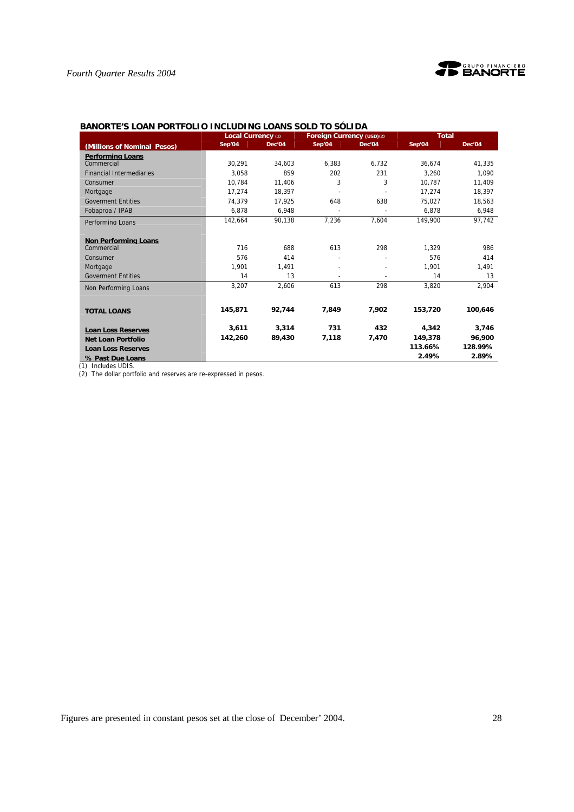

| PANYKIL Y LYAN I YN II          | Local Currency (1) |        | השוויש כיו שוטט טאוויט באוויט<br>Foreign Currency (USD)(2) |        | <b>Total</b> |         |
|---------------------------------|--------------------|--------|------------------------------------------------------------|--------|--------------|---------|
| (Millions of Nominal Pesos)     | Sep'04             | Dec'04 | Sep'04                                                     | Dec'04 | Sep'04       | Dec'04  |
| <b>Performing Loans</b>         |                    |        |                                                            |        |              |         |
| Commercial                      | 30.291             | 34.603 | 6.383                                                      | 6.732  | 36.674       | 41.335  |
| <b>Financial Intermediaries</b> | 3.058              | 859    | 202                                                        | 231    | 3.260        | 1.090   |
| Consumer                        | 10.784             | 11.406 | 3                                                          | 3      | 10.787       | 11,409  |
| Mortgage                        | 17.274             | 18.397 |                                                            |        | 17.274       | 18.397  |
| <b>Goverment Entities</b>       | 74.379             | 17.925 | 648                                                        | 638    | 75.027       | 18,563  |
| Fobaproa / IPAB                 | 6.878              | 6.948  |                                                            |        | 6.878        | 6,948   |
| Performing Loans                | 142,664            | 90,138 | 7,236                                                      | 7.604  | 149,900      | 97,742  |
|                                 |                    |        |                                                            |        |              |         |
| <b>Non Performing Loans</b>     |                    |        |                                                            |        |              |         |
| Commercial                      | 716                | 688    | 613                                                        | 298    | 1,329        | 986     |
| Consumer                        | 576                | 414    |                                                            |        | 576          | 414     |
| Mortgage                        | 1.901              | 1,491  |                                                            |        | 1.901        | 1,491   |
| <b>Goverment Entities</b>       | 14                 | 13     |                                                            |        | 14           | 13      |
| Non Performing Loans            | 3,207              | 2,606  | 613                                                        | 298    | 3,820        | 2,904   |
|                                 |                    |        |                                                            |        |              |         |
| <b>TOTAL LOANS</b>              | 145.871            | 92,744 | 7,849                                                      | 7,902  | 153,720      | 100,646 |
| <b>Loan Loss Reserves</b>       | 3,611              | 3,314  | 731                                                        | 432    | 4,342        | 3,746   |
| Net Loan Portfolio              | 142.260            | 89,430 | 7,118                                                      | 7.470  | 149,378      | 96.900  |
| <b>Loan Loss Reserves</b>       |                    |        |                                                            |        | 113.66%      | 128.99% |
| % Past Due Loans                |                    |        |                                                            |        | 2.49%        | 2.89%   |

## **BANORTE'S LOAN PORTFOLIO INCLUDING LOANS SOLD TO SÓLIDA**

(1) Includes UDIS.

(2) The dollar portfolio and reserves are re-expressed in pesos.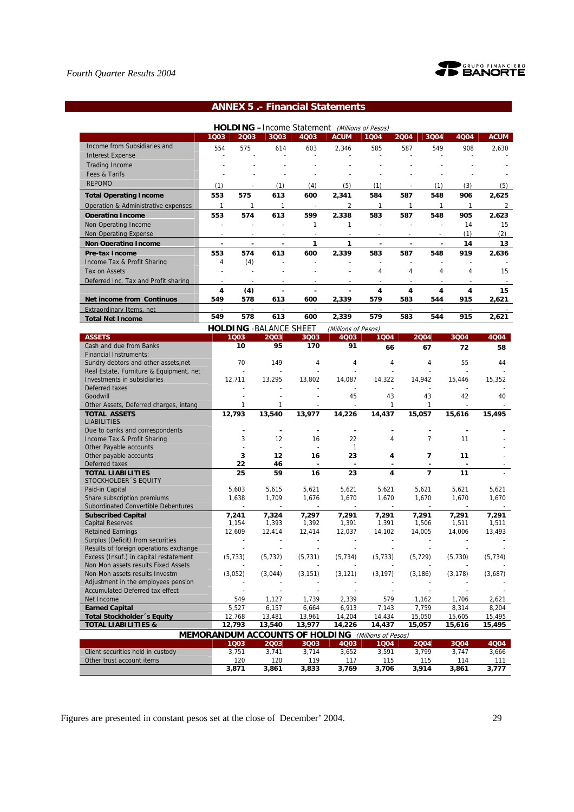

# **ANNEX 5 .- Financial Statements**

| <b>HOLDING</b> - Income Statement<br>(Millions of Pesos) |      |      |                                 |      |                     |      |      |      |      |             |  |
|----------------------------------------------------------|------|------|---------------------------------|------|---------------------|------|------|------|------|-------------|--|
|                                                          | 1Q03 | 2003 | 3Q03                            | 4Q03 | <b>ACUM</b>         | 1004 | 2004 | 3Q04 | 4Q04 | <b>ACUM</b> |  |
| Income from Subsidiaries and                             | 554  | 575  | 614                             | 603  | 2,346               | 585  | 587  | 549  | 908  | 2,630       |  |
| <b>Interest Expense</b>                                  |      |      |                                 |      |                     |      |      |      |      |             |  |
| <b>Trading Income</b>                                    |      |      |                                 |      |                     |      |      |      |      |             |  |
| Fees & Tarifs                                            |      |      |                                 |      |                     |      |      |      |      |             |  |
| <b>REPOMO</b>                                            | (1)  |      | (1)                             | (4)  | (5)                 | (1)  |      | (1)  | (3)  | (5)         |  |
| <b>Total Operating Income</b>                            | 553  | 575  | 613                             | 600  | 2,341               | 584  | 587  | 548  | 906  | 2,625       |  |
| Operation & Administrative expenses                      |      |      |                                 |      |                     |      |      |      |      |             |  |
| <b>Operating Income</b>                                  | 553  | 574  | 613                             | 599  | 2,338               | 583  | 587  | 548  | 905  | 2.623       |  |
| Non Operating Income                                     |      |      |                                 |      |                     |      |      |      | 14   | 15          |  |
| Non Operating Expense                                    |      |      |                                 |      |                     |      |      |      | (1)  | (2)         |  |
| <b>Non Operating Income</b>                              |      |      |                                 |      |                     |      |      |      | 14   | 13          |  |
| Pre-tax Income                                           | 553  | 574  | 613                             | 600  | 2.339               | 583  | 587  | 548  | 919  | 2.636       |  |
| Income Tax & Profit Sharing                              | 4    | (4)  |                                 |      |                     |      |      |      |      |             |  |
| <b>Tax on Assets</b>                                     |      |      |                                 |      |                     | 4    | 4    | 4    | 4    | 15          |  |
| Deferred Inc. Tax and Profit sharing                     |      |      |                                 |      |                     |      |      |      |      |             |  |
|                                                          | 4    | (4)  |                                 |      |                     | 4    | 4    | 4    | 4    | 15          |  |
| <b>Net income from Continuos</b>                         | 549  | 578  | 613                             | 600  | 2,339               | 579  | 583  | 544  | 915  | 2,621       |  |
| Extraordinary Items, net                                 |      |      |                                 |      |                     |      |      |      |      |             |  |
| <b>Total Net Income</b>                                  | 549  | 578  | 613                             | 600  | 2,339               | 579  | 583  | 544  | 915  | 2,621       |  |
|                                                          |      |      | <b>HOLDING - BAI ANCE SHEFT</b> |      | (Millions of Pesos) |      |      |      |      |             |  |

|                                         |                                                           | <b>FUALAIVUL JIILLI</b> |                          | ( <i>Williuuts uf Pesus)</i> |                          |                          |          |          |
|-----------------------------------------|-----------------------------------------------------------|-------------------------|--------------------------|------------------------------|--------------------------|--------------------------|----------|----------|
| <b>ASSETS</b>                           | 1003                                                      | 2003                    | 3Q03                     | 4Q03                         | 1004                     | 2004                     | 3004     | 4Q04     |
| Cash and due from Banks                 | 10                                                        | 95                      | 170                      | 91                           | 66                       | 67                       | 72       | 58       |
| <b>Financial Instruments:</b>           |                                                           |                         |                          |                              |                          |                          |          |          |
| Sundry debtors and other assets, net    | 70                                                        | 149                     | 4                        | 4                            | 4                        | $\overline{4}$           | 55       | 44       |
| Real Estate, Furniture & Equipment, net |                                                           |                         |                          |                              |                          |                          | $\sim$   |          |
| Investments in subsidiaries             | 12,711                                                    | 13,295                  | 13,802                   | 14,087                       | 14,322                   | 14,942                   | 15,446   | 15,352   |
| Deferred taxes                          |                                                           |                         |                          |                              |                          |                          |          |          |
| Goodwill                                |                                                           |                         |                          | 45                           | 43                       | 43                       | 42       | 40       |
| Other Assets, Deferred charges, intang  |                                                           | 1                       |                          | $\sim$                       | 1                        | 1                        | $\sim$   |          |
| <b>TOTAL ASSETS</b>                     | 12,793                                                    | 13,540                  | 13,977                   | 14,226                       | 14,437                   | 15,057                   | 15,616   | 15,495   |
| <b>LIABILITIES</b>                      |                                                           |                         |                          |                              |                          |                          |          |          |
| Due to banks and correspondents         |                                                           |                         |                          |                              |                          |                          |          |          |
| Income Tax & Profit Sharing             | 3                                                         | 12                      | 16                       | 22                           | 4                        | $\overline{7}$           | 11       |          |
| Other Payable accounts                  |                                                           |                         |                          | $\mathbf{1}$                 |                          |                          |          |          |
| Other payable accounts                  | 3                                                         | 12                      | 16                       | 23                           | 4                        | $\overline{7}$           | 11       |          |
| Deferred taxes                          | 22                                                        | 46                      | $\overline{\phantom{a}}$ | $\blacksquare$               | $\overline{\phantom{a}}$ | $\overline{\phantom{a}}$ |          |          |
| <b>TOTAL LIABILITIES</b>                | 25                                                        | 59                      | 16                       | 23                           | 4                        | $\overline{7}$           | 11       |          |
| STOCKHOLDER 'S EQUITY                   |                                                           |                         |                          |                              |                          |                          |          |          |
| Paid-in Capital                         | 5,603                                                     | 5,615                   | 5,621                    | 5,621                        | 5,621                    | 5,621                    | 5,621    | 5,621    |
| Share subscription premiums             | 1,638                                                     | 1,709                   | 1,676                    | 1,670                        | 1,670                    | 1,670                    | 1,670    | 1,670    |
| Subordinated Convertible Debentures     | J.                                                        | $\sim$                  |                          |                              | $\sim$                   |                          | $\sim$   |          |
| <b>Subscribed Capital</b>               | 7,241                                                     | 7,324                   | 7,297                    | 7,291                        | 7,291                    | 7,291                    | 7,291    | 7,291    |
| <b>Capital Reserves</b>                 | 1,154                                                     | 1,393                   | 1,392                    | 1,391                        | 1,391                    | 1,506                    | 1,511    | 1,511    |
| <b>Retained Earnings</b>                | 12,609                                                    | 12,414                  | 12,414                   | 12,037                       | 14,102                   | 14,005                   | 14,006   | 13,493   |
| Surplus (Deficit) from securities       |                                                           |                         |                          |                              |                          |                          |          |          |
| Results of foreign operations exchange  |                                                           |                         |                          |                              |                          |                          |          |          |
| Excess (Insuf.) in capital restatement  | (5, 733)                                                  | (5, 732)                | (5, 731)                 | (5, 734)                     | (5, 733)                 | (5, 729)                 | (5,730)  | (5, 734) |
| Non Mon assets results Fixed Assets     |                                                           |                         |                          |                              |                          |                          |          |          |
| Non Mon assets results Investm          | (3,052)                                                   | (3,044)                 | (3, 151)                 | (3, 121)                     | (3, 197)                 | (3, 186)                 | (3, 178) | (3,687)  |
| Adjustment in the employees pension     |                                                           |                         |                          |                              |                          |                          |          |          |
| <b>Accumulated Deferred tax effect</b>  |                                                           |                         |                          |                              |                          |                          |          |          |
| Net Income                              | 549                                                       | 1,127                   | 1,739                    | 2,339                        | 579                      | 1,162                    | 1,706    | 2,621    |
| <b>Earned Capital</b>                   | 5.527                                                     | 6.157                   | 6,664                    | 6.913                        | 7.143                    | 7.759                    | 8.314    | 8,204    |
| <b>Total Stockholder</b> 's Equity      | 12,768                                                    | 13,481                  | 13,961                   | 14,204                       | 14,434                   | 15,050                   | 15,605   | 15,495   |
| <b>TOTAL LIABILITIES &amp;</b>          | 12,793                                                    | 13,540                  | 13,977                   | 14,226                       | 14,437                   | 15,057                   | 15,616   | 15,495   |
|                                         | <b>MEMORANDUM ACCOUNTS OF HOLDING</b> (Millions of Pesos) |                         |                          |                              |                          |                          |          |          |
|                                         | 1003                                                      | 2003                    | 3Q03                     | 4Q03                         | 1004                     | 2004                     | 3Q04     | 4004     |
| Client securities held in custody       | 3,751                                                     | 3,741                   | 3,714                    | 3,652                        | 3,591                    | 3,799                    | 3,747    | 3,666    |
| Other trust account items               | 120                                                       | 120                     | 119                      | 117                          | 115                      | 115                      | 114      | 111      |
|                                         | 3.871                                                     | 3,861                   | 3,833                    | 3.769                        | 3.706                    | 3.914                    | 3,861    | 3.777    |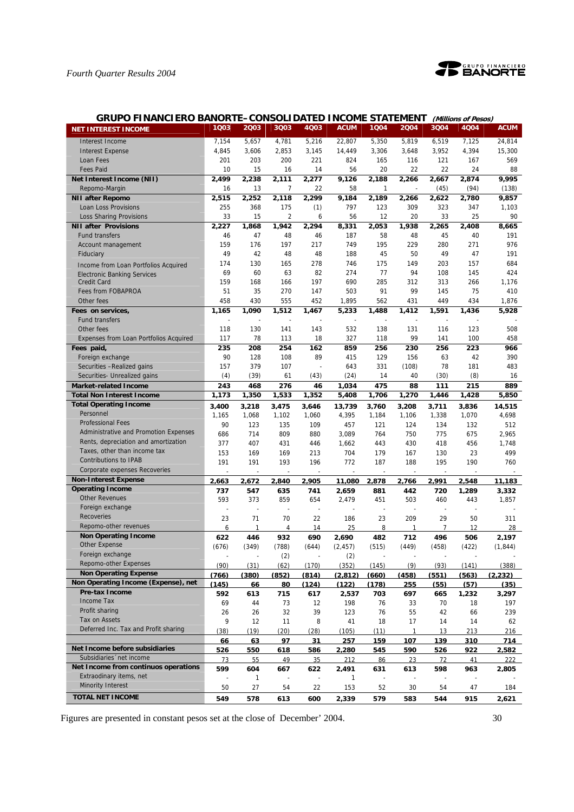

| <b>GRUPO FINANCIERO BANORTE-CONSOLIDATED INCOME STATEMENT</b> |           |              |                          |                          |                |           |                |           | (Millions of Pesos) |              |
|---------------------------------------------------------------|-----------|--------------|--------------------------|--------------------------|----------------|-----------|----------------|-----------|---------------------|--------------|
| <b>NET INTEREST INCOME</b>                                    | 1Q03      | 2003         | 3Q03                     | 4Q03                     | <b>ACUM</b>    | 1004      | 2004           | 3Q04      | 4Q04                | <b>ACUM</b>  |
| Interest Income                                               | 7,154     | 5,657        | 4,781                    | 5,216                    | 22,807         | 5,350     | 5,819          | 6,519     | 7,125               | 24,814       |
| <b>Interest Expense</b>                                       | 4,845     | 3,606        | 2,853                    | 3,145                    | 14,449         | 3,306     | 3,648          | 3,952     | 4,394               | 15,300       |
| Loan Fees                                                     | 201       | 203          | 200                      | 221                      | 824            | 165       | 116            | 121       | 167                 | 569          |
| <b>Fees Paid</b>                                              | 10        | 15           | 16                       | 14                       | 56             | 20        | 22             | 22        | 24                  | 88           |
| Net Interest Income (NII)                                     | 2,499     | 2,238        | 2,111                    | 2,277                    | 9,126          | 2,188     | 2,266          | 2,667     | 2,874               | 9,995        |
| Repomo-Margin                                                 | 16        | 13           | $\overline{7}$           | 22                       | 58             | 1         |                | (45)      | (94)                | (138)        |
| <b>NII after Repomo</b>                                       | 2,515     | 2,252        | 2,118                    | 2,299                    | 9,184          | 2,189     | 2,266          | 2,622     | 2,780               | 9,857        |
| Loan Loss Provisions                                          | 255       | 368          | 175                      | (1)                      | 797            | 123       | 309            | 323       | 347                 | 1,103        |
| Loss Sharing Provisions                                       | 33        | 15           | $\overline{c}$           | 6                        | 56             | 12        | 20             | 33        | 25                  | 90           |
| <b>NII after Provisions</b>                                   | 2,227     | 1.868        | 1,942                    | 2,294                    | 8,331          | 2,053     | 1,938          | 2,265     | 2,408               | 8,665        |
| <b>Fund transfers</b>                                         | 46        | 47           | 48                       | 46                       | 187            | 58        | 48             | 45        | 40                  | 191          |
| Account management                                            | 159       | 176          | 197                      | 217                      | 749            | 195       | 229            | 280       | 271                 | 976          |
| Fiduciary                                                     | 49        | 42           | 48                       | 48                       | 188            | 45        | 50             | 49        | 47                  | 191          |
| Income from Loan Portfolios Acquired                          | 174       | 130          | 165                      | 278                      | 746            | 175       | 149            | 203       | 157                 | 684          |
| <b>Electronic Banking Services</b>                            | 69        | 60           | 63                       | 82                       | 274            | 77        | 94             | 108       | 145                 | 424          |
| <b>Credit Card</b>                                            | 159       | 168          | 166                      | 197                      | 690            | 285       | 312            | 313       | 266                 | 1,176        |
| Fees from FOBAPROA                                            | 51        | 35           | 270                      | 147                      | 503            | 91        | 99             | 145       | 75                  | 410          |
| Other fees                                                    | 458       | 430          | 555                      | 452                      | 1,895          | 562       | 431            | 449       | 434                 | 1,876        |
| Fees on services,                                             | 1,165     | 1,090        | 1,512                    | 1,467                    | 5,233          | 1,488     | 1,412          | 1,591     | 1,436               | 5,928        |
| <b>Fund transfers</b>                                         |           |              |                          |                          |                |           |                |           |                     |              |
| Other fees                                                    | 118       | 130          | 141                      | 143                      | 532            | 138       | 131            | 116       | 123                 | 508          |
| Expenses from Loan Portfolios Acquired                        | 117       | 78           | 113                      | 18                       | 327            | 118       | 99             | 141       | 100                 | 458          |
| Fees paid,                                                    | 235       | 208          | 254                      | 162                      | 859            | 256       | 230            | 256       | 223                 | 966          |
| Foreign exchange                                              | 90        | 128          | 108                      | 89                       | 415            | 129       | 156            | 63        | 42                  | 390          |
| Securities -Realized gains                                    | 157       | 379          | 107                      |                          | 643            | 331       | (108)          | 78        | 181                 | 483          |
| Securities- Unrealized gains                                  | (4)       | (39)         | 61                       | (43)                     | (24)           | 14        | 40             | (30)      | (8)                 | 16           |
| <b>Market-related Income</b>                                  | 243       | 468          | 276                      | 46                       | 1,034          | 475       | 88             | 111       | 215                 | 889          |
| <b>Total Non Interest Income</b>                              | 1,173     | 1,350        | 1,533                    | 1,352                    | 5,408          | 1,706     | 1,270          | 1,446     | 1,428               | 5,850        |
| <b>Total Operating Income</b>                                 | 3,400     | 3,218        | 3,475                    | 3,646                    | 13,739         | 3,760     | 3,208          | 3,711     | 3,836               | 14,515       |
| Personnel                                                     | 1,165     | 1,068        | 1,102                    | 1,060                    | 4,395          | 1,184     | 1,106          | 1,338     | 1,070               | 4,698        |
| <b>Professional Fees</b>                                      | 90        | 123          | 135                      | 109                      | 457            | 121       | 124            | 134       | 132                 | 512          |
| Administrative and Promotion Expenses                         | 686       | 714          | 809                      | 880                      | 3,089          | 764       | 750            | 775       | 675                 | 2,965        |
| Rents, depreciation and amortization                          | 377       | 407          | 431                      | 446                      | 1,662          | 443       | 430            | 418       | 456                 | 1,748        |
| Taxes, other than income tax                                  | 153       | 169          | 169                      | 213                      | 704            | 179       | 167            | 130       | 23                  | 499          |
| <b>Contributions to IPAB</b>                                  | 191       | 191          | 193                      | 196                      | 772            | 187       | 188            | 195       | 190                 | 760          |
| Corporate expenses Recoveries                                 |           |              |                          |                          | $\overline{a}$ |           |                |           |                     |              |
| <b>Non-Interest Expense</b>                                   | 2,663     | 2,672        | 2,840                    | 2,905                    | 11,080         | 2,878     | 2,766          | 2,991     | 2,548               | 11,183       |
| <b>Operating Income</b>                                       | 737       | 547          | 635                      | 741                      | 2,659          | 881       | 442            | 720       | 1.289               | 3,332        |
| <b>Other Revenues</b>                                         | 593       | 373          | 859                      | 654                      | 2,479          | 451       | 503            | 460       | 443                 | 1,857        |
| Foreign exchange                                              | ÷,        | ÷,           | .,                       | $\overline{\phantom{a}}$ | $\overline{a}$ | ÷,        | $\overline{a}$ |           | ÷,                  |              |
| <b>Recoveries</b>                                             | 23        | 71           | 70                       | 22                       | 186            | 23        | 209            | 29        | 50                  | 311          |
| Repomo-other revenues                                         | 6         | $\mathbf{1}$ | 4                        | 14                       | 25             | 8         | 1              | 7         | 12                  | 28           |
| <b>Non Operating Income</b>                                   | 622       | 446          | 932                      | 690                      | 2,690          | 482       | 712            | 496       | 506                 | 2,197        |
| Other Expense<br>Foreign exchange                             | (676)     | (349)        | (788)                    | (644)                    | (2, 457)       | (515)     | (449)          | (458)     | (422)               | (1, 844)     |
| Repomo-other Expenses                                         |           |              | (2)                      |                          | (2)            |           |                |           |                     |              |
| <b>Non Operating Expense</b>                                  | (90)      | (31)         | (62)                     | (170)                    | (352)          | (145)     | (9)            | (93)      | (141)               | (388)        |
| Non Operating Income (Expense), net                           | (766)     | (380)        | (852)                    | (814)                    | (2,812)        | (660)     | (458)          | (551)     | (563)               | (2, 232)     |
| <b>Pre-tax Income</b>                                         | (145)     | <u>66</u>    | 80                       | (124)                    | (122)          | (178)     | 255            | (55)      | (57)                | (35)         |
| Income Tax                                                    | 592       | 613<br>44    | 715                      | 617                      | 2.537          | 703       | 697            | 665       | 1.232               | 3.297        |
|                                                               |           |              | 73                       | 12                       | 198            | 76        | 33             | 70        | 18                  | 197          |
|                                                               | 69        |              |                          |                          |                |           |                |           |                     |              |
| Profit sharing                                                | 26        | 26           | 32                       | 39                       | 123            | 76        | 55             | 42        | 66                  | 239          |
| Tax on Assets                                                 | 9         | 12           | 11                       | 8                        | 41             | 18        | 17             | 14        | 14                  | 62           |
| Deferred Inc. Tax and Profit sharing                          | (38)      | (19)         | (20)                     | (28)                     | (105)          | (11)      | 1              | 13        | 213                 | 216          |
|                                                               | 66        | 63           | 97                       | 31                       | 257            | 159       | 107            | 139       | 310                 | 714          |
| Net Income before subsidiaries                                | 526       | 550          | 618                      | 586                      | 2,280          | 545       | 590            | 526       | 922                 | 2,582        |
| Subsidiaries 'net income                                      | 73        | 55           | 49                       | 35                       | 212            | 86        | 23             | 72        | 41                  | 222          |
| Net Income from continuos operations                          | 599       | 604          | 667                      | 622                      | 2,491          | 631       | 613            | 598       | 963                 | 2,805        |
| Extraodinary items, net                                       | Ĭ.        | 1            | $\overline{\phantom{a}}$ | $\overline{\phantom{a}}$ | 1              |           |                |           |                     |              |
| <b>Minority Interest</b><br><b>TOTAL NET INCOME</b>           | 50<br>549 | 27<br>578    | 54<br>613                | 22<br>600                | 153<br>2,339   | 52<br>579 | 30<br>583      | 54<br>544 | 47<br>915           | 184<br>2,621 |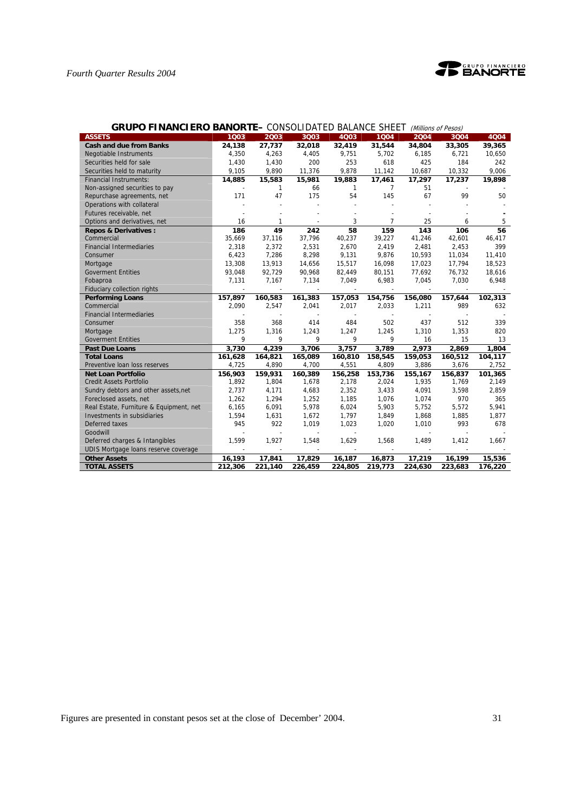

| <b>GRUPO FINANCIERO BANORTE-</b> CONSOLIDATED BALANCE SHEET |         |              |                          |         |                |         | (Millions of Pesos) |         |
|-------------------------------------------------------------|---------|--------------|--------------------------|---------|----------------|---------|---------------------|---------|
| <b>ASSETS</b>                                               | 1003    | 2003         | 3Q03                     | 4003    | 1004           | 2004    | 3004                | 4Q04    |
| <b>Cash and due from Banks</b>                              | 24,138  | 27,737       | 32,018                   | 32,419  | 31,544         | 34,804  | 33,305              | 39,365  |
| <b>Negotiable Instruments</b>                               | 4,350   | 4,263        | 4,405                    | 9,751   | 5,702          | 6,185   | 6,721               | 10,650  |
| Securities held for sale                                    | 1,430   | 1,430        | 200                      | 253     | 618            | 425     | 184                 | 242     |
| Securities held to maturity                                 | 9,105   | 9,890        | 11,376                   | 9,878   | 11,142         | 10,687  | 10,332              | 9,006   |
| <b>Financial Instruments:</b>                               | 14,885  | 15,583       | 15,981                   | 19,883  | 17,461         | 17,297  | 17,237              | 19,898  |
| Non-assigned securities to pay                              |         | $\mathbf{1}$ | 66                       | 1       | $\overline{7}$ | 51      |                     |         |
| Repurchase agreements, net                                  | 171     | 47           | 175                      | 54      | 145            | 67      | 99                  | 50      |
| Operations with collateral                                  |         |              |                          |         |                |         |                     |         |
| Futures receivable, net                                     |         |              |                          |         |                |         |                     |         |
| Options and derivatives, net                                | 16      | $\mathbf{1}$ |                          | 3       | $\overline{7}$ | 25      | 6                   | 5       |
| <b>Repos &amp; Derivatives:</b>                             | 186     | 49           | 242                      | 58      | 159            | 143     | 106                 | 56      |
| Commercial                                                  | 35,669  | 37,116       | 37,796                   | 40,237  | 39,227         | 41,246  | 42,601              | 46,417  |
| <b>Financial Intermediaries</b>                             | 2,318   | 2,372        | 2.531                    | 2,670   | 2,419          | 2,481   | 2,453               | 399     |
| Consumer                                                    | 6,423   | 7,286        | 8,298                    | 9,131   | 9,876          | 10,593  | 11,034              | 11,410  |
| Mortgage                                                    | 13,308  | 13,913       | 14,656                   | 15,517  | 16,098         | 17,023  | 17,794              | 18,523  |
| <b>Goverment Entities</b>                                   | 93,048  | 92,729       | 90,968                   | 82,449  | 80,151         | 77,692  | 76,732              | 18,616  |
| Fobaproa                                                    | 7,131   | 7,167        | 7,134                    | 7,049   | 6,983          | 7,045   | 7,030               | 6,948   |
| <b>Fiduciary collection rights</b>                          |         |              | $\overline{\phantom{a}}$ |         |                |         |                     |         |
| <b>Performing Loans</b>                                     | 157,897 | 160,583      | 161,383                  | 157,053 | 154,756        | 156,080 | 157,644             | 102,313 |
| Commercial                                                  | 2,090   | 2,547        | 2,041                    | 2,017   | 2,033          | 1,211   | 989                 | 632     |
| <b>Financial Intermediaries</b>                             |         |              |                          |         |                |         |                     |         |
| Consumer                                                    | 358     | 368          | 414                      | 484     | 502            | 437     | 512                 | 339     |
| Mortgage                                                    | 1,275   | 1,316        | 1,243                    | 1,247   | 1,245          | 1,310   | 1,353               | 820     |
| <b>Goverment Entities</b>                                   | 9       | 9            | 9                        | 9       | 9              | 16      | 15                  | 13      |
| <b>Past Due Loans</b>                                       | 3,730   | 4,239        | 3,706                    | 3,757   | 3,789          | 2,973   | 2,869               | 1,804   |
| <b>Total Loans</b>                                          | 161,628 | 164,821      | 165,089                  | 160,810 | 158,545        | 159,053 | 160,512             | 104,117 |
| Preventive loan loss reserves                               | 4,725   | 4,890        | 4,700                    | 4,551   | 4,809          | 3,886   | 3,676               | 2,752   |
| <b>Net Loan Portfolio</b>                                   | 156,903 | 159,931      | 160,389                  | 156,258 | 153,736        | 155,167 | 156,837             | 101,365 |
| <b>Credit Assets Portfolio</b>                              | 1,892   | 1,804        | 1,678                    | 2,178   | 2,024          | 1,935   | 1,769               | 2,149   |
| Sundry debtors and other assets, net                        | 2,737   | 4,171        | 4,683                    | 2,352   | 3,433          | 4,091   | 3,598               | 2,859   |
| Foreclosed assets, net                                      | 1,262   | 1,294        | 1,252                    | 1,185   | 1,076          | 1,074   | 970                 | 365     |
| Real Estate, Furniture & Equipment, net                     | 6,165   | 6,091        | 5,978                    | 6,024   | 5,903          | 5,752   | 5,572               | 5,941   |
| Investments in subsidiaries                                 | 1,594   | 1,631        | 1,672                    | 1,797   | 1,849          | 1,868   | 1,885               | 1,877   |
| Deferred taxes                                              | 945     | 922          | 1,019                    | 1,023   | 1,020          | 1,010   | 993                 | 678     |
| Goodwill                                                    |         |              | $\blacksquare$           |         |                |         |                     |         |
| Deferred charges & Intangibles                              | 1,599   | 1,927        | 1,548                    | 1,629   | 1,568          | 1,489   | 1,412               | 1,667   |
| UDIS Mortgage loans reserve coverage                        |         |              |                          |         |                |         |                     |         |
| <b>Other Assets</b>                                         | 16,193  | 17,841       | 17,829                   | 16,187  | 16,873         | 17,219  | 16,199              | 15,536  |
| <b>TOTAL ASSETS</b>                                         | 212,306 | 221,140      | 226,459                  | 224,805 | 219,773        | 224,630 | 223,683             | 176,220 |

## **GRUPO FINANCIERO BANORTE–** CONSOLIDATED BALANCE SHEET (Millions of Pesos)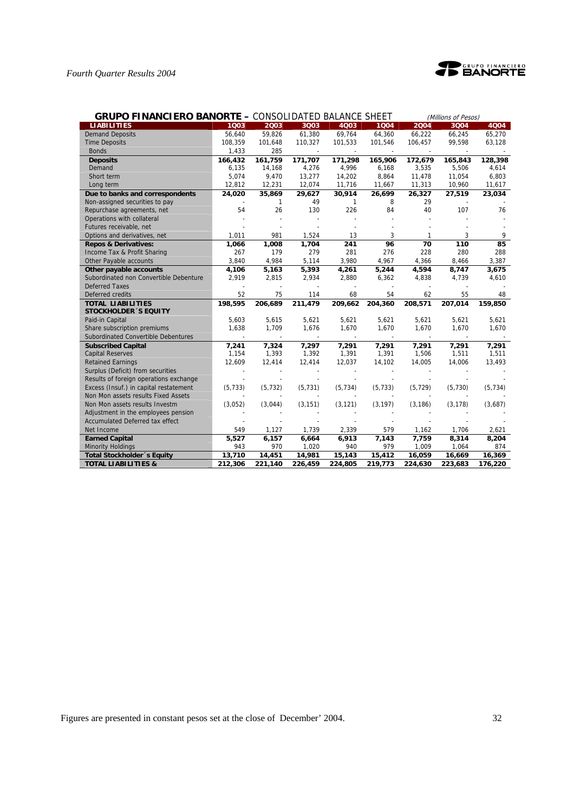

| <b>GRUPO FINANCIERO BANORTE - CONSOLIDATED BALANCE SHEET</b> |          |              |          |              |          | (Millions of Pesos) |          |          |
|--------------------------------------------------------------|----------|--------------|----------|--------------|----------|---------------------|----------|----------|
| <b>LIABILITIES</b>                                           | 1003     | 2003         | 3Q03     | 4Q03         | 1004     | 2004                | 3Q04     | 4Q04     |
| <b>Demand Deposits</b>                                       | 56,640   | 59.826       | 61,380   | 69,764       | 64.360   | 66,222              | 66,245   | 65,270   |
| <b>Time Deposits</b>                                         | 108,359  | 101,648      | 110,327  | 101,533      | 101,546  | 106,457             | 99,598   | 63,128   |
| <b>Bonds</b>                                                 | 1,433    | 285          |          |              |          |                     |          |          |
| <b>Deposits</b>                                              | 166,432  | 161,759      | 171,707  | 171,298      | 165,906  | 172,679             | 165,843  | 128,398  |
| Demand                                                       | 6,135    | 14,168       | 4,276    | 4,996        | 6,168    | 3,535               | 5,506    | 4,614    |
| Short term                                                   | 5,074    | 9,470        | 13,277   | 14,202       | 8,864    | 11,478              | 11,054   | 6,803    |
| Long term                                                    | 12,812   | 12,231       | 12,074   | 11,716       | 11,667   | 11,313              | 10,960   | 11,617   |
| Due to banks and correspondents                              | 24,020   | 35,869       | 29,627   | 30,914       | 26,699   | 26,327              | 27,519   | 23,034   |
| Non-assigned securities to pay                               |          | $\mathbf{1}$ | 49       | $\mathbf{1}$ | 8        | 29                  |          |          |
| Repurchase agreements, net                                   | 54       | 26           | 130      | 226          | 84       | 40                  | 107      | 76       |
| Operations with collateral                                   |          |              |          |              |          |                     |          |          |
| Futures receivable, net                                      |          |              |          |              |          |                     |          |          |
| Options and derivatives, net                                 | 1,011    | 981          | 1,524    | 13           | 3        | 1                   | 3        | 9        |
| <b>Repos &amp; Derivatives:</b>                              | 1,066    | 1,008        | 1,704    | 241          | 96       | 70                  | 110      | 85       |
| Income Tax & Profit Sharing                                  | 267      | 179          | 279      | 281          | 276      | 228                 | 280      | 288      |
| Other Payable accounts                                       | 3,840    | 4,984        | 5,114    | 3,980        | 4,967    | 4,366               | 8,466    | 3,387    |
| Other payable accounts                                       | 4,106    | 5,163        | 5,393    | 4,261        | 5,244    | 4,594               | 8,747    | 3,675    |
| Subordinated non Convertible Debenture                       | 2,919    | 2,815        | 2,934    | 2,880        | 6,362    | 4,838               | 4,739    | 4,610    |
| <b>Deferred Taxes</b>                                        |          |              |          |              |          |                     |          |          |
| Deferred credits                                             | 52       | 75           | 114      | 68           | 54       | 62                  | 55       | 48       |
| <b>TOTAL LIABILITIES</b>                                     | 198,595  | 206,689      | 211,479  | 209,662      | 204,360  | 208,571             | 207,014  | 159,850  |
| <b>STOCKHOLDER 'S EQUITY</b>                                 |          |              |          |              |          |                     |          |          |
| Paid-in Capital                                              | 5,603    | 5,615        | 5,621    | 5,621        | 5,621    | 5,621               | 5,621    | 5,621    |
| Share subscription premiums                                  | 1,638    | 1,709        | 1,676    | 1,670        | 1,670    | 1,670               | 1,670    | 1,670    |
| Subordinated Convertible Debentures                          |          |              |          |              |          |                     |          |          |
| <b>Subscribed Capital</b>                                    | 7,241    | 7,324        | 7,297    | 7,291        | 7,291    | 7,291               | 7,291    | 7,291    |
| <b>Capital Reserves</b>                                      | 1,154    | 1,393        | 1,392    | 1,391        | 1,391    | 1,506               | 1,511    | 1,511    |
| <b>Retained Earnings</b>                                     | 12,609   | 12,414       | 12,414   | 12,037       | 14,102   | 14,005              | 14,006   | 13,493   |
| Surplus (Deficit) from securities                            |          |              |          |              |          |                     |          |          |
| Results of foreign operations exchange                       |          |              |          |              |          |                     |          |          |
| Excess (Insuf.) in capital restatement                       | (5, 733) | (5, 732)     | (5, 731) | (5, 734)     | (5, 733) | (5, 729)            | (5,730)  | (5, 734) |
| Non Mon assets results Fixed Assets                          |          |              |          |              |          |                     |          |          |
| Non Mon assets results Investm                               | (3,052)  | (3,044)      | (3, 151) | (3, 121)     | (3, 197) | (3, 186)            | (3, 178) | (3,687)  |
| Adjustment in the employees pension                          |          |              |          |              |          |                     |          |          |
| Accumulated Deferred tax effect                              |          |              |          |              |          |                     |          |          |
| Net Income                                                   | 549      | 1,127        | 1,739    | 2,339        | 579      | 1,162               | 1,706    | 2,621    |
| <b>Earned Capital</b>                                        | 5,527    | 6,157        | 6,664    | 6,913        | 7,143    | 7,759               | 8,314    | 8,204    |
| <b>Minority Holdings</b>                                     | 943      | 970          | 1,020    | 940          | 979      | 1,009               | 1,064    | 874      |
| Total Stockholder 's Equity                                  | 13,710   | 14,451       | 14,981   | 15,143       | 15,412   | 16,059              | 16,669   | 16,369   |
| <b>TOTAL LIABILITIES &amp;</b>                               | 212,306  | 221,140      | 226,459  | 224,805      | 219,773  | 224,630             | 223,683  | 176,220  |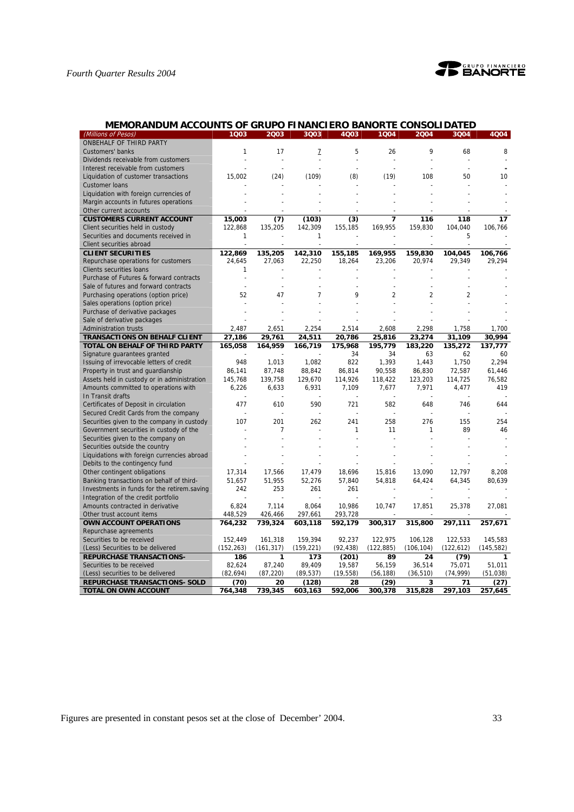

| MEMORANDUM ACCOUNTS OF GRUPO FINANCIERO BANORTE CONSOLIDATED |  |  |
|--------------------------------------------------------------|--|--|
|                                                              |  |  |

| (Millions of Pesos)                         | 1Q03       | 2003       | 3Q03           | 4Q03      | 1004           | 2004           | 3Q04           | 4Q04       |
|---------------------------------------------|------------|------------|----------------|-----------|----------------|----------------|----------------|------------|
| ONBEHALF OF THIRD PARTY                     |            |            |                |           |                |                |                |            |
| Customers' banks                            | 1          | 17         | 7              | 5         | 26             | 9              | 68             | 8          |
| Dividends receivable from customers         |            |            |                |           |                |                |                |            |
| Interest receivable from customers          |            |            |                |           |                |                |                |            |
| Liquidation of customer transactions        | 15,002     | (24)       | (109)          | (8)       | (19)           | 108            | 50             | 10         |
| <b>Customer loans</b>                       |            |            |                |           |                |                |                |            |
| Liquidation with foreign currencies of      |            |            |                |           |                |                |                |            |
| Margin accounts in futures operations       |            |            |                |           |                |                |                |            |
| Other current accounts                      |            |            |                |           |                |                |                |            |
| <b>CUSTOMERS CURRENT ACCOUNT</b>            | 15,003     | (7)        | (103)          | (3)       | 7              | 116            | 118            | 17         |
| Client securities held in custody           | 122,868    | 135,205    | 142,309        | 155,185   | 169,955        | 159,830        | 104,040        | 106,766    |
| Securities and documents received in        | 1          |            | 1              |           |                |                | 5              |            |
| Client securities abroad                    |            |            |                |           |                |                |                |            |
| <b>CLIENT SECURITIES</b>                    | 122,869    | 135,205    | 142,310        | 155,185   | 169,955        | 159,830        | 104,045        | 106,766    |
| Repurchase operations for customers         | 24,645     | 27,063     | 22,250         | 18,264    | 23,206         | 20,974         | 29,349         | 29,294     |
| <b>Clients securities loans</b>             | 1          |            |                |           |                |                |                |            |
| Purchase of Futures & forward contracts     |            |            |                |           |                |                |                |            |
| Sale of futures and forward contracts       |            |            |                |           |                |                |                |            |
| Purchasing operations (option price)        | 52         | 47         | $\overline{7}$ | 9         | $\overline{2}$ | $\overline{2}$ | $\overline{2}$ |            |
| Sales operations (option price)             |            |            |                |           |                |                |                |            |
| Purchase of derivative packages             |            |            |                |           |                |                |                |            |
| Sale of derivative packages                 |            |            |                |           |                |                |                |            |
| <b>Administration trusts</b>                | 2,487      | 2,651      | 2,254          | 2,514     | 2,608          | 2,298          | 1,758          | 1.700      |
| <b>TRANSACTIONS ON BEHALF CLIENT</b>        | 27,186     | 29,761     | 24,511         | 20,786    | 25,816         | 23,274         | 31,109         | 30,994     |
| TOTAL ON BEHALF OF THIRD PARTY              | 165,058    | 164,959    | 166,719        | 175,968   | 195,779        | 183,220        | 135,272        | 137,777    |
| Signature guarantees granted                |            |            |                | 34        | 34             | 63             | 62             | 60         |
| Issuing of irrevocable letters of credit    | 948        | 1,013      | 1,082          | 822       | 1,393          | 1,443          | 1,750          | 2,294      |
| Property in trust and guardianship          | 86,141     | 87,748     | 88,842         | 86,814    | 90,558         | 86,830         | 72,587         | 61,446     |
| Assets held in custody or in administration | 145,768    | 139,758    | 129,670        | 114,926   | 118,422        | 123,203        | 114,725        | 76,582     |
| Amounts committed to operations with        | 6,226      | 6,633      | 6,931          | 7,109     | 7,677          | 7,971          | 4,477          | 419        |
| In Transit drafts                           |            |            |                |           |                |                |                |            |
| Certificates of Deposit in circulation      | 477        | 610        | 590            | 721       | 582            | 648            | 746            | 644        |
| Secured Credit Cards from the company       |            |            |                |           |                |                |                |            |
| Securities given to the company in custody  | 107        | 201        | 262            | 241       | 258            | 276            | 155            | 254        |
| Government securities in custody of the     |            | 7          |                | 1         | 11             | 1              | 89             | 46         |
| Securities given to the company on          |            |            |                |           |                |                |                |            |
| Securities outside the country              |            |            |                |           |                |                |                |            |
| Liquidations with foreign currencies abroad |            |            |                |           |                |                |                |            |
| Debits to the contingency fund              |            |            |                |           |                |                |                |            |
| Other contingent obligations                | 17,314     | 17,566     | 17,479         | 18,696    | 15,816         | 13,090         | 12,797         | 8,208      |
| Banking transactions on behalf of third-    | 51,657     | 51,955     | 52,276         | 57,840    | 54,818         | 64,424         | 64,345         | 80,639     |
| Investments in funds for the retirem.saving | 242        | 253        | 261            | 261       |                |                |                |            |
| Integration of the credit portfolio         |            |            |                |           |                |                |                |            |
| Amounts contracted in derivative            | 6,824      | 7,114      | 8,064          | 10,986    | 10,747         | 17,851         | 25,378         | 27,081     |
| Other trust account items                   | 448,529    | 426,466    | 297,661        | 293,728   |                |                |                |            |
| <b>OWN ACCOUNT OPERATIONS</b>               | 764,232    | 739,324    | 603,118        | 592,179   | 300,317        | 315,800        | 297,111        | 257,671    |
| Repurchase agreements                       |            |            |                |           |                |                |                |            |
| Securities to be received                   | 152,449    | 161,318    | 159,394        | 92,237    | 122,975        | 106,128        | 122,533        | 145,583    |
| (Less) Securities to be delivered           | (152, 263) | (161, 317) | (159, 221)     | (92, 438) | (122, 885)     | (106, 104)     | (122, 612)     | (145, 582) |
| <b>REPURCHASE TRANSACTIONS-</b>             | 186        | 1          | 173            | (201)     | 89             | 24             | (79)           | 1          |
| Securities to be received                   | 82,624     | 87,240     | 89,409         | 19,587    | 56,159         | 36,514         | 75,071         | 51,011     |
| (Less) securities to be delivered           | (82, 694)  | (87, 220)  | (89, 537)      | (19, 558) | (56, 188)      | (36, 510)      | (74, 999)      | (51, 038)  |
| <b>REPURCHASE TRANSACTIONS- SOLD</b>        | (70)       | 20         | (128)          | 28        | (29)           | 3              | 71             | (27)       |
| TOTAL ON OWN ACCOUNT                        | 764,348    | 739,345    | 603,163        | 592,006   | 300,378        | 315,828        | 297,103        | 257,645    |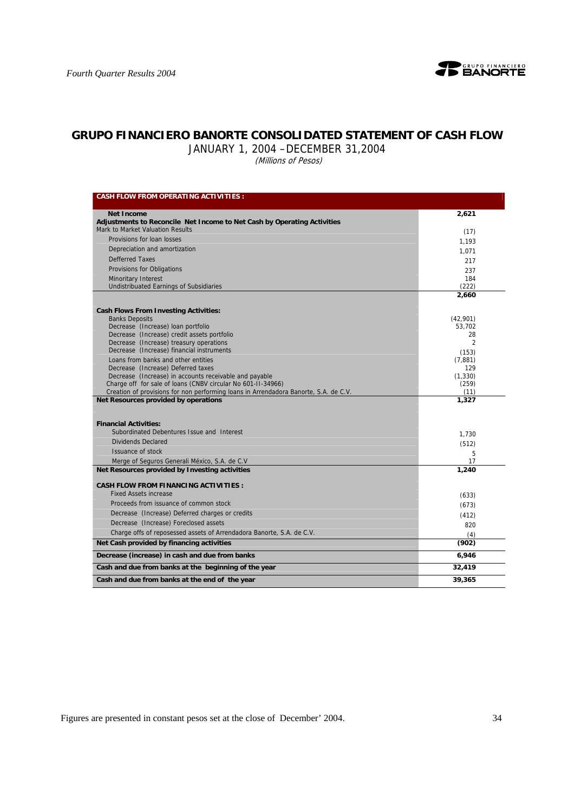

# **GRUPO FINANCIERO BANORTE CONSOLIDATED STATEMENT OF CASH FLOW**

JANUARY 1, 2004 –DECEMBER 31,2004

(Millions of Pesos)

| <b>CASH FLOW FROM OPERATING ACTIVITIES :</b>                                                                                 |                      |
|------------------------------------------------------------------------------------------------------------------------------|----------------------|
| <b>Net Income</b>                                                                                                            | 2,621                |
| Adjustments to Reconcile Net Income to Net Cash by Operating Activities                                                      |                      |
| Mark to Market Valuation Results                                                                                             | (17)                 |
| Provisions for loan losses                                                                                                   | 1.193                |
| Depreciation and amortization                                                                                                | 1,071                |
| <b>Defferred Taxes</b>                                                                                                       | 217                  |
| Provisions for Obligations                                                                                                   | 237                  |
| <b>Minoritary Interest</b>                                                                                                   | 184                  |
| Undistribuated Earnings of Subsidiaries                                                                                      | (222)                |
|                                                                                                                              | 2,660                |
| <b>Cash Flows From Investing Activities:</b>                                                                                 |                      |
| <b>Banks Deposits</b>                                                                                                        | (42,901)             |
| Decrease (Increase) loan portfolio                                                                                           | 53,702               |
| Decrease (Increase) credit assets portfolio<br>Decrease (Increase) treasury operations                                       | 28<br>$\overline{2}$ |
| Decrease (Increase) financial instruments                                                                                    | (153)                |
| Loans from banks and other entities                                                                                          | (7,881)              |
| Decrease (Increase) Deferred taxes                                                                                           | 129                  |
| Decrease (Increase) in accounts receivable and payable                                                                       | (1, 330)             |
| Charge off for sale of loans (CNBV circular No 601-11-34966)                                                                 | (259)                |
| Creation of provisions for non performing loans in Arrendadora Banorte, S.A. de C.V.<br>Net Resources provided by operations | (11)<br>1,327        |
|                                                                                                                              |                      |
| <b>Financial Activities:</b><br>Subordinated Debentures Issue and Interest                                                   |                      |
| Dividends Declared                                                                                                           | 1.730                |
| Issuance of stock                                                                                                            | (512)                |
| Merge of Seguros Generali México, S.A. de C.V.                                                                               | 5<br>17              |
| Net Resources provided by Investing activities                                                                               | 1.240                |
| <b>CASH FLOW FROM FINANCING ACTIVITIES:</b>                                                                                  |                      |
| <b>Fixed Assets increase</b>                                                                                                 | (633)                |
| Proceeds from issuance of common stock                                                                                       | (673)                |
| Decrease (Increase) Deferred charges or credits                                                                              |                      |
| Decrease (Increase) Foreclosed assets                                                                                        | (412)<br>820         |
| Charge offs of reposessed assets of Arrendadora Banorte, S.A. de C.V.                                                        |                      |
| Net Cash provided by financing activities                                                                                    | (4)<br>(902)         |
| Decrease (increase) in cash and due from banks                                                                               | 6,946                |
| Cash and due from banks at the beginning of the year                                                                         | 32,419               |
| Cash and due from banks at the end of the year                                                                               | 39,365               |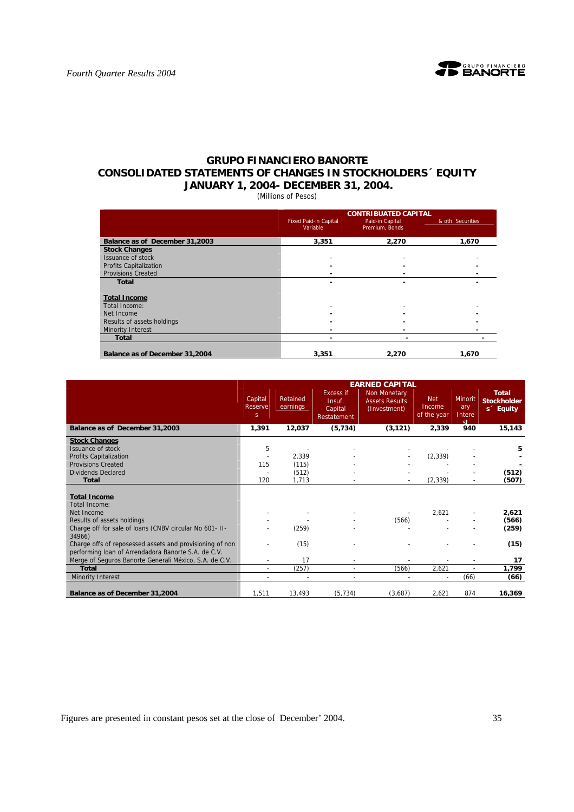

# **GRUPO FINANCIERO BANORTE CONSOLIDATED STATEMENTS OF CHANGES IN STOCKHOLDERS´ EQUITY JANUARY 1, 2004- DECEMBER 31, 2004.**

(Millions of Pesos)

|                                |                                          | <b>CONTRIBUATED CAPITAL</b>       |                   |
|--------------------------------|------------------------------------------|-----------------------------------|-------------------|
|                                | <b>Fixed Paid-in Capital</b><br>Variable | Paid-in Capital<br>Premium, Bonds | & oth. Securities |
| Balance as of December 31,2003 | 3,351                                    | 2.270                             | 1.670             |
| <b>Stock Changes</b>           |                                          |                                   |                   |
| Issuance of stock              |                                          |                                   |                   |
| <b>Profits Capitalization</b>  |                                          |                                   |                   |
| <b>Provisions Created</b>      |                                          |                                   |                   |
| <b>Total</b>                   |                                          |                                   |                   |
| <b>Total Income</b>            |                                          |                                   |                   |
| Total Income:                  |                                          |                                   |                   |
| Net Income                     |                                          | ۰                                 |                   |
| Results of assets holdings     |                                          |                                   |                   |
| <b>Minority Interest</b>       |                                          |                                   |                   |
| <b>Total</b>                   | -                                        | -                                 |                   |
| Balance as of December 31,2004 | 3,351                                    | 2,270                             | 1.670             |

|                                                          |                         |                      |                                                      | <b>EARNED CAPITAL</b>                                 |                                     |                                       |                                                             |
|----------------------------------------------------------|-------------------------|----------------------|------------------------------------------------------|-------------------------------------------------------|-------------------------------------|---------------------------------------|-------------------------------------------------------------|
|                                                          | Capital<br>Reserve<br>S | Retained<br>earnings | <b>Excess if</b><br>Insuf.<br>Capital<br>Restatement | Non Monetary<br><b>Assets Results</b><br>(Investment) | <b>Net</b><br>Income<br>of the year | <b>Minorit</b><br>ary<br>Intere<br>st | <b>Total</b><br><b>Stockholder</b><br>s <sup>2</sup> Equity |
| Balance as of December 31,2003                           | 1,391                   | 12,037               | (5, 734)                                             | (3, 121)                                              | 2,339                               | 940                                   | 15,143                                                      |
| <b>Stock Changes</b>                                     |                         |                      |                                                      |                                                       |                                     |                                       |                                                             |
| <b>Issuance of stock</b>                                 | 5                       |                      |                                                      |                                                       |                                     |                                       | 5                                                           |
| <b>Profits Capitalization</b>                            |                         | 2,339                |                                                      |                                                       | (2, 339)                            |                                       |                                                             |
| <b>Provisions Created</b>                                | 115                     | (115)                |                                                      |                                                       |                                     |                                       |                                                             |
| Dividends Declared                                       |                         | (512)                |                                                      |                                                       |                                     |                                       | (512)                                                       |
| <b>Total</b>                                             | 120                     | 1,713                |                                                      |                                                       | (2, 339)                            |                                       | (507)                                                       |
|                                                          |                         |                      |                                                      |                                                       |                                     |                                       |                                                             |
| <b>Total Income</b>                                      |                         |                      |                                                      |                                                       |                                     |                                       |                                                             |
| Total Income:                                            |                         |                      |                                                      |                                                       |                                     |                                       |                                                             |
| Net Income                                               |                         |                      |                                                      |                                                       | 2,621                               |                                       | 2,621                                                       |
| Results of assets holdings                               |                         |                      |                                                      | (566)                                                 |                                     |                                       | (566)                                                       |
| Charge off for sale of loans (CNBV circular No 601- II-  |                         | (259)                |                                                      |                                                       |                                     |                                       | (259)                                                       |
| 34966)                                                   |                         |                      |                                                      |                                                       |                                     |                                       |                                                             |
| Charge offs of reposessed assets and provisioning of non |                         | (15)                 |                                                      |                                                       |                                     |                                       | (15)                                                        |
| performing loan of Arrendadora Banorte S.A. de C.V.      |                         |                      |                                                      |                                                       |                                     |                                       |                                                             |
| Merge of Seguros Banorte Generali México, S.A. de C.V.   |                         | 17                   |                                                      |                                                       |                                     |                                       | 17                                                          |
| <b>Total</b>                                             | ٠                       | (257)                |                                                      | (566)                                                 | 2,621                               |                                       | 1,799                                                       |
| Minority Interest                                        |                         |                      |                                                      |                                                       |                                     | (66)                                  | (66)                                                        |
|                                                          |                         |                      |                                                      |                                                       |                                     |                                       |                                                             |
| Balance as of December 31,2004                           | 1,511                   | 13,493               | (5, 734)                                             | (3,687)                                               | 2,621                               | 874                                   | 16,369                                                      |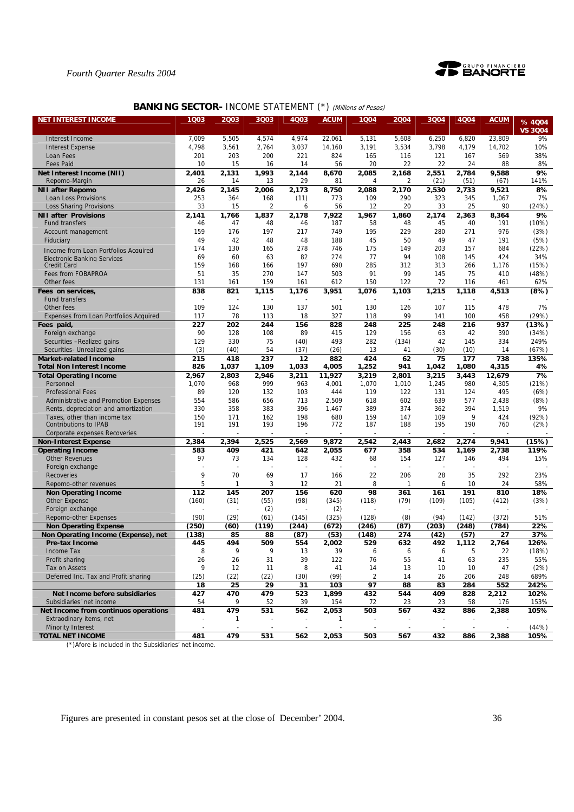



# **BANKING SECTOR- INCOME STATEMENT (\*) (Millions of Pesos)**

| <b>NET INTEREST INCOME</b>                                      | 1Q03      | 2003         | 3003      | 4Q03      | <b>ACUM</b> | 1Q04           | 2004         | 3Q04       | 4Q04       | <b>ACUM</b>  | % 4004         |
|-----------------------------------------------------------------|-----------|--------------|-----------|-----------|-------------|----------------|--------------|------------|------------|--------------|----------------|
|                                                                 |           |              |           |           |             |                |              |            |            |              | <b>VS 3004</b> |
| Interest Income                                                 | 7,009     | 5,505        | 4,574     | 4,974     | 22,061      | 5,131          | 5,608        | 6,250      | 6,820      | 23.809       | 9%             |
| <b>Interest Expense</b>                                         | 4,798     | 3,561        | 2,764     | 3,037     | 14,160      | 3,191          | 3,534        | 3,798      | 4,179      | 14,702       | 10%            |
| Loan Fees                                                       | 201       | 203          | 200       | 221       | 824         | 165            | 116          | 121        | 167        | 569          | 38%            |
| <b>Fees Paid</b>                                                | 10        | 15           | 16        | 14        | 56          | 20             | 22           | 22         | 24         | 88           | 8%             |
| Net Interest Income (NII)                                       | 2,401     | 2,131        | 1,993     | 2,144     | 8,670       | 2,085          | 2,168        | 2,551      | 2,784      | 9,588        | 9%             |
| Repomo-Margin                                                   | 26        | 14           | 13        | 29        | 81          | 4              | 2            | (21)       | (51)       | (67)         | 141%           |
| <b>NII after Repomo</b>                                         | 2,426     | 2,145        | 2,006     | 2,173     | 8,750       | 2,088          | 2,170        | 2,530      | 2,733      | 9,521        | 8%             |
| Loan Loss Provisions                                            | 253       | 364          | 168       | (11)      | 773         | 109            | 290          | 323        | 345        | 1,067        | 7%             |
| <b>Loss Sharing Provisions</b>                                  | 33        | 15           | 2         | 6         | 56          | 12             | 20           | 33         | 25         | 90           | (24%)          |
| <b>NII after Provisions</b>                                     | 2,141     | 1,766        | 1,837     | 2,178     | 7,922       | 1,967          | 1,860        | 2,174      | 2,363      | 8,364        | 9%             |
| Fund transfers                                                  | 46        | 47           | 48        | 46        | 187         | 58             | 48           | 45         | 40         | 191          | (10%)          |
| Account management                                              | 159       | 176          | 197       | 217       | 749         | 195            | 229          | 280        | 271        | 976          | (3%)           |
| Fiduciary                                                       | 49        | 42           | 48        | 48        | 188         | 45             | 50           | 49         | 47         | 191          | (5%)           |
| Income from Loan Portfolios Acquired                            | 174<br>69 | 130<br>60    | 165<br>63 | 278<br>82 | 746<br>274  | 175<br>77      | 149<br>94    | 203<br>108 | 157<br>145 | 684<br>424   | (22%)<br>34%   |
| <b>Electronic Banking Services</b><br><b>Credit Card</b>        | 159       | 168          | 166       | 197       | 690         | 285            | 312          | 313        | 266        | 1,176        | (15%)          |
| Fees from FOBAPROA                                              | 51        | 35           | 270       | 147       | 503         | 91             | 99           | 145        | 75         | 410          | (48%)          |
| Other fees                                                      | 131       | 161          | 159       | 161       | 612         | 150            | 122          | 72         | 116        | 461          | 62%            |
| Fees on services,                                               | 838       | 821          | 1,115     | 1,176     | 3,951       | 1,076          | 1,103        | 1,215      | 1,118      | 4,513        | (8%)           |
| <b>Fund transfers</b>                                           |           |              |           |           |             |                |              |            |            |              |                |
| Other fees                                                      | 109       | 124          | 130       | 137       | 501         | 130            | 126          | 107        | 115        | 478          | 7%             |
| Expenses from Loan Portfolios Acquired                          | 117       | 78           | 113       | 18        | 327         | 118            | 99           | 141        | 100        | 458          | (29%)          |
| Fees paid,                                                      | 227       | 202          | 244       | 156       | 828         | 248            | 225          | 248        | 216        | 937          | (13%)          |
| Foreign exchange                                                | 90        | 128          | 108       | 89        | 415         | 129            | 156          | 63         | 42         | 390          | (34%)          |
| Securities -Realized gains                                      | 129       | 330          | 75        | (40)      | 493         | 282            | (134)        | 42         | 145        | 334          | 249%           |
| Securities- Unrealized gains                                    | (3)       | (40)         | 54        | (37)      | (26)        | 13             | 41           | (30)       | (10)       | 14           | (67%)          |
| <b>Market-related Income</b>                                    | 215       | 418          | 237       | 12        | 882         | 424            | 62           | 75         | 177        | 738          | 135%           |
| <b>Total Non Interest Income</b>                                | 826       | 1,037        | 1,109     | 1,033     | 4,005       | 1,252          | 941          | 1,042      | 1,080      | 4,315        | 4%             |
| <b>Total Operating Income</b>                                   | 2,967     | 2,803        | 2,946     | 3,211     | 11.927      | 3,219          | 2,801        | 3,215      | 3,443      | 12,679       | 7%             |
| Personnel                                                       | 1,070     | 968          | 999       | 963       | 4,001       | 1,070          | 1,010        | 1,245      | 980        | 4,305        | (21%)          |
| <b>Professional Fees</b>                                        | 89        | 120          | 132       | 103       | 444         | 119            | 122          | 131        | 124        | 495          | (6%)           |
| Administrative and Promotion Expenses                           | 554       | 586          | 656       | 713       | 2,509       | 618            | 602          | 639        | 577        | 2,438        | (8%)           |
| Rents, depreciation and amortization                            | 330       | 358          | 383       | 396       | 1,467       | 389            | 374          | 362        | 394        | 1,519        | 9%             |
| Taxes, other than income tax                                    | 150       | 171          | 162       | 198       | 680         | 159            | 147          | 109        | 9          | 424          | (92%)          |
| Contributions to IPAB                                           | 191       | 191          | 193       | 196       | 772         | 187            | 188          | 195        | 190        | 760          | (2%)           |
| Corporate expenses Recoveries                                   | 2,384     | 2,394        | 2,525     | 2,569     | 9,872       | 2,542          | 2,443        | 2,682      | 2,274      | 9,941        | (15%)          |
| <b>Non-Interest Expense</b><br><b>Operating Income</b>          | 583       | 409          | 421       | 642       | 2,055       | 677            | 358          | 534        | 1,169      | 2,738        | 119%           |
| <b>Other Revenues</b>                                           | 97        | 73           | 134       | 128       | 432         | 68             | 154          | 127        | 146        | 494          | 15%            |
| Foreign exchange                                                |           |              |           |           |             |                |              |            |            |              |                |
| Recoveries                                                      | 9         | 70           | 69        | 17        | 166         | 22             | 206          | 28         | 35         | 292          | 23%            |
| Repomo-other revenues                                           | 5         | $\mathbf{1}$ | 3         | 12        | 21          | 8              | $\mathbf{1}$ | 6          | 10         | 24           | 58%            |
| <b>Non Operating Income</b>                                     | 112       | 145          | 207       | 156       | 620         | 98             | 361          | 161        | 191        | 810          | 18%            |
| Other Expense                                                   | (160)     | (31)         | (55)      | (98)      | (345)       | (118)          | (79)         | (109)      | (105)      | (412)        | (3%)           |
| Foreign exchange                                                |           |              | (2)       |           | (2)         |                |              |            |            |              |                |
| Repomo-other Expenses                                           | (90)      | (29)         | (61)      | (145)     | (325)       | (128)          | (8)          | (94)       | (142)      | (372)        | 51%            |
| <b>Non Operating Expense</b>                                    | (250)     | (60)         | (119)     | (244)     | (672)       | (246)          | (87)         | (203)      | (248)      | (784)        | 22%            |
| Non Operating Income (Expense), net                             | (138)     | 85           | 88        | (87)      | (53)        | (148)          | 274          | (42)       | (57)       | 27           | 37%            |
| Pre-tax Income                                                  | 445       | 494          | 509       | 554       | 2,002       | 529            | 632          | 492        | 1,112      | 2,764        | 126%           |
| Income Tax                                                      | 8         | 9            | 9         | 13        | 39          | 6              | 6            | 6          | 5          | 22           | (18%)          |
| Profit sharing                                                  | 26        | 26           | 31        | 39        | 122         | 76             | 55           | 41         | 63         | 235          | 55%            |
| Tax on Assets                                                   | 9         | 12           | 11        | 8         | 41          | 14             | 13           | 10         | 10         | 47           | (2%)           |
| Deferred Inc. Tax and Profit sharing                            | (25)      | (22)         | (22)      | (30)      | (99)        | $\overline{2}$ | 14           | 26         | 206        | 248          | 689%           |
|                                                                 | 18        | 25           | 29        | 31        | 103         | 97             | 88           | 83         | 284        | 552          | 242%           |
| Net Income before subsidiaries<br>Subsidiaries 'net income      | 427       | 470          | 479       | 523       | 1,899       | 432            | 544          | 409        | 828        | 2,212        | 102%           |
|                                                                 | 54        | 9<br>479     | 52        | 39<br>562 | 154         | 72             | 23           | 23         | 58         | 176<br>2,388 | 153%<br>105%   |
| Net Income from continuos operations<br>Extraodinary items, net | 481       | -1           | 531       |           | 2,053<br>1  | 503            | 567          | 432        | 886        |              |                |
| <b>Minority Interest</b>                                        |           |              |           |           |             |                |              |            |            |              | (44%)          |
| <b>TOTAL NET INCOME</b>                                         | 481       | 479          | 531       | 562       | 2,053       | 503            | 567          | 432        | 886        | 2,388        | 105%           |

(\*)Afore is included in the Subsidiaries' net income.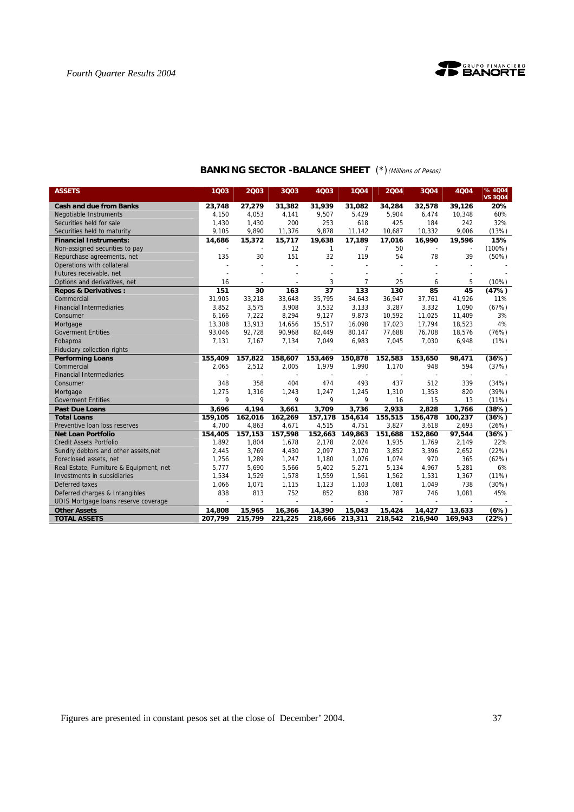

| <b>ASSETS</b>                           | 1Q03    | 2003    | 3Q03    | 4Q03            | 1Q04                     | 2004    | 3Q04    | 4Q04    | %4Q04<br><b>VS 3Q04</b> |
|-----------------------------------------|---------|---------|---------|-----------------|--------------------------|---------|---------|---------|-------------------------|
| <b>Cash and due from Banks</b>          | 23,748  | 27,279  | 31,382  | 31,939          | 31,082                   | 34,284  | 32,578  | 39,126  | 20%                     |
| <b>Negotiable Instruments</b>           | 4,150   | 4,053   | 4,141   | 9,507           | 5,429                    | 5,904   | 6,474   | 10,348  | 60%                     |
| Securities held for sale                | 1,430   | 1,430   | 200     | 253             | 618                      | 425     | 184     | 242     | 32%                     |
| Securities held to maturity             | 9,105   | 9,890   | 11,376  | 9,878           | 11,142                   | 10,687  | 10,332  | 9,006   | (13%)                   |
| <b>Financial Instruments:</b>           | 14,686  | 15,372  | 15,717  | 19,638          | 17,189                   | 17,016  | 16,990  | 19,596  | 15%                     |
| Non-assigned securities to pay          |         |         | 12      | 1               | 7                        | 50      |         |         | $(100\%)$               |
| Repurchase agreements, net              | 135     | 30      | 151     | 32              | 119                      | 54      | 78      | 39      | (50%)                   |
| Operations with collateral              |         |         |         | $\overline{a}$  |                          |         |         |         |                         |
| Futures receivable, net                 |         |         |         |                 |                          |         |         |         |                         |
| Options and derivatives, net            | 16      |         |         | 3               | $\overline{7}$           | 25      | 6       | 5       | (10%)                   |
| <b>Repos &amp; Derivatives:</b>         | 151     | 30      | 163     | $\overline{37}$ | 133                      | 130     | 85      | 45      | (47%)                   |
| Commercial                              | 31,905  | 33,218  | 33,648  | 35,795          | 34,643                   | 36,947  | 37,761  | 41,926  | 11%                     |
| <b>Financial Intermediaries</b>         | 3.852   | 3,575   | 3,908   | 3,532           | 3.133                    | 3.287   | 3,332   | 1.090   | (67%)                   |
| Consumer                                | 6,166   | 7,222   | 8,294   | 9,127           | 9,873                    | 10,592  | 11,025  | 11,409  | 3%                      |
| Mortgage                                | 13,308  | 13,913  | 14,656  | 15,517          | 16,098                   | 17,023  | 17,794  | 18,523  | 4%                      |
| <b>Goverment Entities</b>               | 93,046  | 92,728  | 90,968  | 82,449          | 80,147                   | 77,688  | 76,708  | 18,576  | (76%)                   |
| Fobaproa                                | 7,131   | 7,167   | 7,134   | 7,049           | 6,983                    | 7,045   | 7,030   | 6,948   | (1%)                    |
| Fiduciary collection rights             |         |         |         |                 |                          |         |         |         |                         |
| <b>Performing Loans</b>                 | 155,409 | 157,822 | 158,607 | 153,469         | 150,878                  | 152,583 | 153,650 | 98,471  | (36%)                   |
| Commercial                              | 2,065   | 2,512   | 2,005   | 1,979           | 1,990                    | 1,170   | 948     | 594     | (37%)                   |
| <b>Financial Intermediaries</b>         |         |         |         |                 | $\overline{\phantom{a}}$ |         |         |         |                         |
| Consumer                                | 348     | 358     | 404     | 474             | 493                      | 437     | 512     | 339     | (34%)                   |
| Mortgage                                | 1,275   | 1,316   | 1,243   | 1,247           | 1,245                    | 1,310   | 1,353   | 820     | (39%)                   |
| <b>Goverment Entities</b>               | 9       | 9       | 9       | 9               | 9                        | 16      | 15      | 13      | (11%)                   |
| <b>Past Due Loans</b>                   | 3,696   | 4,194   | 3,661   | 3,709           | 3,736                    | 2,933   | 2,828   | 1,766   | (38%)                   |
| <b>Total Loans</b>                      | 159,105 | 162,016 | 162,269 | 157,178         | 154,614                  | 155,515 | 156,478 | 100,237 | (36%)                   |
| Preventive loan loss reserves           | 4,700   | 4,863   | 4,671   | 4,515           | 4,751                    | 3,827   | 3,618   | 2,693   | (26%)                   |
| <b>Net Loan Portfolio</b>               | 154,405 | 157,153 | 157,598 | 152.663         | 149.863                  | 151.688 | 152.860 | 97,544  | (36%)                   |
| <b>Credit Assets Portfolio</b>          | 1,892   | 1,804   | 1,678   | 2,178           | 2,024                    | 1,935   | 1,769   | 2,149   | 22%                     |
| Sundry debtors and other assets, net    | 2,445   | 3,769   | 4,430   | 2,097           | 3,170                    | 3,852   | 3,396   | 2,652   | (22%)                   |
| Foreclosed assets, net                  | 1,256   | 1,289   | 1,247   | 1,180           | 1,076                    | 1,074   | 970     | 365     | (62%)                   |
| Real Estate, Furniture & Equipment, net | 5,777   | 5,690   | 5,566   | 5,402           | 5,271                    | 5,134   | 4,967   | 5,281   | 6%                      |
| Investments in subsidiaries             | 1,534   | 1,529   | 1,578   | 1,559           | 1,561                    | 1,562   | 1,531   | 1,367   | (11%)                   |
| Deferred taxes                          | 1,066   | 1,071   | 1,115   | 1,123           | 1,103                    | 1,081   | 1,049   | 738     | (30%)                   |
| Deferred charges & Intangibles          | 838     | 813     | 752     | 852             | 838                      | 787     | 746     | 1,081   | 45%                     |
| UDIS Mortgage loans reserve coverage    |         |         |         |                 |                          |         |         |         |                         |
| <b>Other Assets</b>                     | 14,808  | 15,965  | 16,366  | 14,390          | 15,043                   | 15,424  | 14,427  | 13,633  | (6%)                    |
| <b>TOTAL ASSETS</b>                     | 207,799 | 215,799 | 221,225 | 218,666         | 213,311                  | 218,542 | 216,940 | 169,943 | (22%)                   |

# **BANKING SECTOR -BALANCE SHEET** (\*)(Millions of Pesos)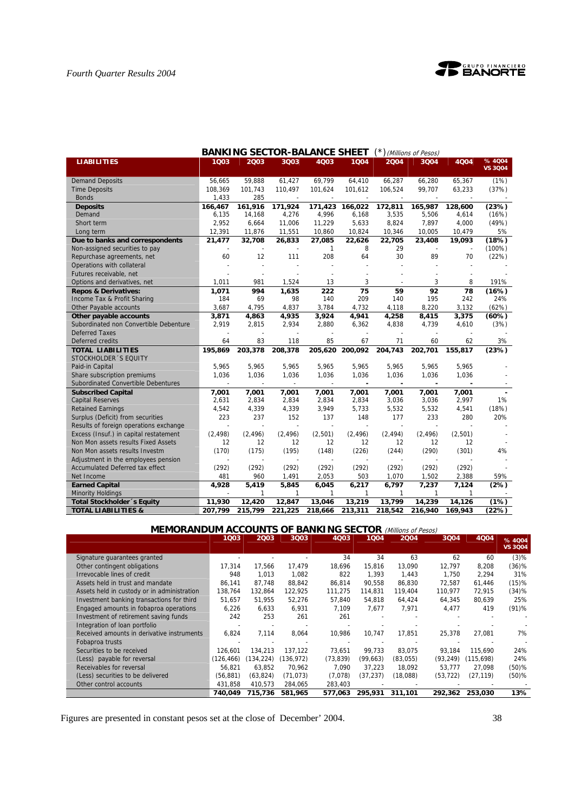

| <b>BANKING SECTOR-BALANCE SHEET</b><br>(*) (Millions of Pesos) |                |              |          |                |              |          |          |         |                          |  |  |
|----------------------------------------------------------------|----------------|--------------|----------|----------------|--------------|----------|----------|---------|--------------------------|--|--|
| <b>LIABILITIES</b>                                             | 1003           | 2003         | 3Q03     | 4003           | 1004         | 2004     | 3Q04     | 4Q04    | % 4004<br><b>VS 3004</b> |  |  |
|                                                                |                |              |          |                |              |          |          |         |                          |  |  |
| <b>Demand Deposits</b>                                         | 56,665         | 59,888       | 61,427   | 69,799         | 64,410       | 66,287   | 66,280   | 65,367  | (1%)                     |  |  |
| <b>Time Deposits</b>                                           | 108,369        | 101,743      | 110,497  | 101,624        | 101,612      | 106,524  | 99,707   | 63,233  | (37%)                    |  |  |
| <b>Bonds</b>                                                   | 1,433          | 285          |          |                |              |          |          |         |                          |  |  |
| <b>Deposits</b>                                                | 166.467        | 161,916      | 171.924  | 171,423        | 166,022      | 172,811  | 165,987  | 128,600 | (23%)                    |  |  |
| Demand                                                         | 6,135          | 14,168       | 4,276    | 4,996          | 6,168        | 3,535    | 5,506    | 4,614   | (16%)                    |  |  |
| Short term                                                     | 2,952          | 6,664        | 11,006   | 11,229         | 5,633        | 8,824    | 7,897    | 4,000   | (49%)                    |  |  |
| Long term                                                      | 12,391         | 11,876       | 11,551   | 10,860         | 10,824       | 10,346   | 10,005   | 10,479  | 5%                       |  |  |
| Due to banks and correspondents                                | 21,477         | 32,708       | 26,833   | 27,085         | 22,626       | 22,705   | 23,408   | 19,093  | (18%)                    |  |  |
| Non-assigned securities to pay                                 |                |              |          | 1              | 8            | 29       |          |         | $(100\%)$                |  |  |
| Repurchase agreements, net                                     | 60             | 12           | 111      | 208            | 64           | 30       | 89       | 70      | (22%)                    |  |  |
| Operations with collateral                                     |                |              |          |                |              |          |          |         |                          |  |  |
| Futures receivable, net                                        |                |              |          |                |              |          |          |         |                          |  |  |
| Options and derivatives, net                                   | 1,011          | 981          | 1,524    | 13             | 3            |          | 3        | 8       | 191%                     |  |  |
| <b>Repos &amp; Derivatives:</b>                                | 1,071          | 994          | 1,635    | 222            | 75           | 59       | 92       | 78      | (16%)                    |  |  |
| Income Tax & Profit Sharing                                    | 184            | 69           | 98       | 140            | 209          | 140      | 195      | 242     | 24%                      |  |  |
| Other Payable accounts                                         | 3,687          | 4.795        | 4.837    | 3,784          | 4,732        | 4,118    | 8,220    | 3,132   | (62%)                    |  |  |
| Other payable accounts                                         | 3,871          | 4,863        | 4,935    | 3,924          | 4,941        | 4,258    | 8,415    | 3,375   | (60%)                    |  |  |
| Subordinated non Convertible Debenture                         | 2,919          | 2,815        | 2,934    | 2,880          | 6,362        | 4,838    | 4,739    | 4,610   | (3%)                     |  |  |
| <b>Deferred Taxes</b>                                          |                |              |          |                |              |          |          |         |                          |  |  |
| Deferred credits                                               | 64             | 83           | 118      | 85             | 67           | 71       | 60       | 62      | 3%                       |  |  |
| <b>TOTAL LIABILITIES</b>                                       | 195.869        | 203,378      | 208,378  | 205,620        | 200,092      | 204,743  | 202,701  | 155.817 | (23%)                    |  |  |
| STOCKHOLDER 'S EQUITY                                          |                |              |          |                |              |          |          |         |                          |  |  |
| Paid-in Capital                                                | 5.965          | 5.965        | 5.965    | 5,965          | 5.965        | 5.965    | 5,965    | 5.965   |                          |  |  |
| Share subscription premiums                                    | 1,036          | 1,036        | 1,036    | 1,036          | 1,036        | 1,036    | 1,036    | 1,036   |                          |  |  |
| Subordinated Convertible Debentures                            |                |              | $\sim$   | $\overline{a}$ | ٠            |          |          |         |                          |  |  |
| <b>Subscribed Capital</b>                                      | 7,001          | 7,001        | 7,001    | 7,001          | 7,001        | 7,001    | 7,001    | 7,001   |                          |  |  |
| <b>Capital Reserves</b>                                        | 2,631          | 2,834        | 2,834    | 2,834          | 2,834        | 3,036    | 3,036    | 2,997   | 1%                       |  |  |
| <b>Retained Earnings</b>                                       | 4,542          | 4,339        | 4,339    | 3,949          | 5,733        | 5,532    | 5,532    | 4,541   | (18%)                    |  |  |
| Surplus (Deficit) from securities                              | 223            | 237          | 152      | 137            | 148          | 177      | 233      | 280     | 20%                      |  |  |
| Results of foreign operations exchange                         | $\overline{a}$ |              |          |                |              | $\sim$   |          |         |                          |  |  |
| Excess (Insuf.) in capital restatement                         | (2, 498)       | (2, 496)     | (2, 496) | (2,501)        | (2, 496)     | (2, 494) | (2, 496) | (2,501) |                          |  |  |
| Non Mon assets results Fixed Assets                            | 12             | 12           | 12       | 12             | 12           | 12       | 12       | 12      |                          |  |  |
| Non Mon assets results Investm                                 | (170)          | (175)        | (195)    | (148)          | (226)        | (244)    | (290)    | (301)   | 4%                       |  |  |
| Adjustment in the employees pension                            |                |              |          |                |              |          |          |         |                          |  |  |
| Accumulated Deferred tax effect                                | (292)          | (292)        | (292)    | (292)          | (292)        | (292)    | (292)    | (292)   |                          |  |  |
| Net Income                                                     | 481            | 960          | 1,491    | 2,053          | 503          | 1,070    | 1,502    | 2,388   | 59%                      |  |  |
| <b>Earned Capital</b>                                          | 4,928          | 5.419        | 5,845    | 6,045          | 6,217        | 6,797    | 7,237    | 7,124   | (2%)                     |  |  |
| <b>Minority Holdings</b>                                       |                | $\mathbf{1}$ | 1        | 1              | $\mathbf{1}$ | 1        | 1        | 1       |                          |  |  |
| Total Stockholder 's Equity                                    | 11,930         | 12,420       | 12,847   | 13,046         | 13,219       | 13,799   | 14,239   | 14,126  | (1%)                     |  |  |
| <b>TOTAL LIABILITIES &amp;</b>                                 | 207,799        | 215,799      | 221,225  | 218,666        | 213,311      | 218,542  | 216,940  | 169,943 | (22%)                    |  |  |

| <b>MEMORANDUM ACCOUNTS OF BANKING SECTOR (Millions of Pesos)</b> |            |                          |           |           |           |          |           |           |                |  |  |  |
|------------------------------------------------------------------|------------|--------------------------|-----------|-----------|-----------|----------|-----------|-----------|----------------|--|--|--|
|                                                                  | 1003       | 2003                     | 3Q03      | 4Q03      | 1004      | 2004     | 3004      | 4004      | % 4004         |  |  |  |
|                                                                  |            |                          |           |           |           |          |           |           | <b>VS 3Q04</b> |  |  |  |
| Signature guarantees granted                                     |            |                          |           | 34        | 34        | 63       | 62        | 60        | (3)%           |  |  |  |
| Other contingent obligations                                     | 17.314     | 17,566                   | 17,479    | 18.696    | 15.816    | 13,090   | 12,797    | 8,208     | $(36)$ %       |  |  |  |
| Irrevocable lines of credit                                      | 948        | 1.013                    | 1.082     | 822       | 1.393     | 1.443    | 1.750     | 2.294     | 31%            |  |  |  |
| Assets held in trust and mandate                                 | 86.141     | 87.748                   | 88.842    | 86,814    | 90.558    | 86,830   | 72.587    | 61,446    | (15)%          |  |  |  |
| Assets held in custody or in administration                      | 138,764    | 132,864                  | 122,925   | 111,275   | 114,831   | 119,404  | 110.977   | 72,915    | (34)%          |  |  |  |
| Investment banking transactions for third                        | 51,657     | 51,955                   | 52,276    | 57,840    | 54,818    | 64,424   | 64,345    | 80,639    | 25%            |  |  |  |
| Engaged amounts in fobaproa operations                           | 6,226      | 6,633                    | 6,931     | 7,109     | 7.677     | 7,971    | 4,477     | 419       | (91)%          |  |  |  |
| Investment of retirement saving funds                            | 242        | 253                      | 261       | 261       |           |          |           |           |                |  |  |  |
| Integration of loan portfolio                                    |            | $\overline{\phantom{a}}$ |           |           |           |          |           |           |                |  |  |  |
| Received amounts in derivative instruments                       | 6,824      | 7,114                    | 8,064     | 10,986    | 10.747    | 17,851   | 25,378    | 27,081    | 7%             |  |  |  |
| Fobaproa trusts                                                  |            |                          |           |           |           |          |           |           |                |  |  |  |
| Securities to be received                                        | 126.601    | 134.213                  | 137.122   | 73.651    | 99.733    | 83.075   | 93.184    | 115.690   | 24%            |  |  |  |
| (Less) payable for reversal                                      | (126, 466) | (134, 224)               | (136,972) | (73, 839) | (99, 663) | (83,055) | (93, 249) | (115,698) | 24%            |  |  |  |
| Receivables for reversal                                         | 56.821     | 63.852                   | 70.962    | 7.090     | 37.223    | 18.092   | 53.777    | 27,098    | $(50)$ %       |  |  |  |
| (Less) securities to be delivered                                | (56, 881)  | (63, 824)                | (71, 073) | (7,078)   | (37, 237) | (18,088) | (53, 722) | (27, 119) | (50)%          |  |  |  |
| Other control accounts                                           | 431,858    | 410,573                  | 284,065   | 283,403   |           |          |           |           |                |  |  |  |
|                                                                  | 740.049    | 715.736                  | 581.965   | 577.063   | 295.931   | 311.101  | 292.362   | 253,030   | 13%            |  |  |  |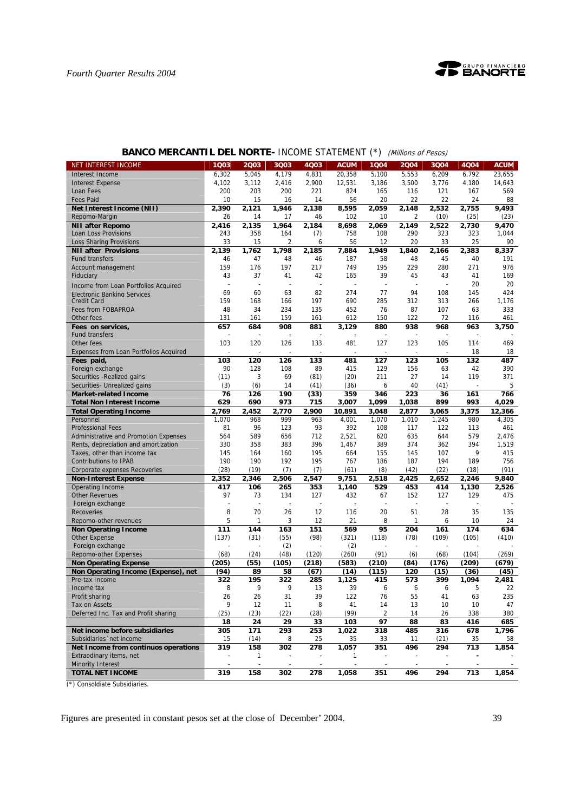

| <b>NET INTEREST INCOME</b>                          | 1Q03                     | 2003           | 3Q03                     | 4Q03           | <b>ACUM</b>              | 1Q04                     | 2004           | 3Q04           | 4Q04           | <b>ACUM</b> |
|-----------------------------------------------------|--------------------------|----------------|--------------------------|----------------|--------------------------|--------------------------|----------------|----------------|----------------|-------------|
| Interest Income                                     | 6,302                    | 5,045          | 4,179                    | 4,831          | 20,358                   | 5,100                    | 5,553          | 6,209          | 6,792          | 23,655      |
| <b>Interest Expense</b>                             | 4,102                    | 3,112          | 2,416                    | 2,900          | 12,531                   | 3,186                    | 3,500          | 3,776          | 4,180          | 14,643      |
| Loan Fees                                           | 200                      | 203            | 200                      | 221            | 824                      | 165                      | 116            | 121            | 167            | 569         |
| <b>Fees Paid</b>                                    | 10                       | 15             | 16                       | 14             | 56                       | 20                       | 22             | 22             | 24             | 88          |
| Net Interest Income (NII)                           | 2,390                    | 2,121          | 1,946                    | 2,138          | 8,595                    | 2,059                    | 2,148          | 2,532          | 2,755          | 9,493       |
| Repomo-Margin                                       |                          |                | 17                       | 46             |                          | 10                       |                |                |                |             |
|                                                     | 26                       | 14             |                          |                | 102                      |                          | 2              | (10)           | (25)           | (23)        |
| <b>NII after Repomo</b>                             | 2,416                    | 2,135          | 1,964                    | 2,184          | 8,698                    | 2,069                    | 2,149          | 2,522          | 2,730          | 9,470       |
| Loan Loss Provisions                                | 243                      | 358            | 164                      | (7)            | 758                      | 108                      | 290            | 323            | 323            | 1,044       |
| <b>Loss Sharing Provisions</b>                      | 33                       | 15             | 2                        | 6              | 56                       | 12                       | 20             | 33             | 25             | 90          |
| <b>NII after Provisions</b>                         | 2,139                    | 1,762          | 1,798                    | 2,185          | 7,884                    | 1,949                    | 1,840          | 2,166          | 2,383          | 8,337       |
| <b>Fund transfers</b>                               | 46                       | 47             | 48                       | 46             | 187                      | 58                       | 48             | 45             | 40             | 191         |
| Account management                                  | 159                      | 176            | 197                      | 217            | 749                      | 195                      | 229            | 280            | 271            | 976         |
| Fiduciary                                           | 43                       | 37             | 41                       | 42             | 165                      | 39                       | 45             | 43             | 41             | 169         |
| Income from Loan Portfolios Acquired                | ÷,                       | ÷,             | ÷,                       |                | $\overline{\phantom{a}}$ | ÷,                       |                | $\overline{a}$ | 20             | 20          |
| Electronic Banking Services                         | 69                       | 60             | 63                       | 82             | 274                      | 77                       | 94             | 108            | 145            | 424         |
| <b>Credit Card</b>                                  | 159                      | 168            | 166                      | 197            | 690                      | 285                      | 312            | 313            | 266            | 1,176       |
| Fees from FOBAPROA                                  | 48                       | 34             | 234                      | 135            | 452                      | 76                       | 87             | 107            | 63             | 333         |
| Other fees                                          | 131                      |                | 159                      | 161            | 612                      | 150                      | 122            | 72             | 116            | 461         |
|                                                     |                          | 161            |                          |                |                          |                          |                |                |                |             |
| Fees on services,                                   | 657                      | 684            | 908                      | 881            | 3,129                    | 880                      | 938            | 968            | 963            | 3,750       |
| <b>Fund transfers</b>                               |                          |                |                          |                |                          |                          |                |                |                |             |
| Other fees                                          | 103                      | 120            | 126                      | 133            | 481                      | 127                      | 123            | 105            | 114            | 469         |
| Expenses from Loan Portfolios Acquired              |                          |                |                          |                |                          |                          |                |                | 18             | 18          |
| Fees paid,                                          | 103                      | 120            | 126                      | 133            | 481                      | 127                      | 123            | 105            | 132            | 487         |
| Foreign exchange                                    | 90                       | 128            | 108                      | 89             | 415                      | 129                      | 156            | 63             | 42             | 390         |
| Securities - Realized gains                         | (11)                     | 3              | 69                       | (81)           | (20)                     | 211                      | 27             | 14             | 119            | 371         |
| Securities- Unrealized gains                        | (3)                      | (6)            | 14                       | (41)           | (36)                     | 6                        | 40             | (41)           | $\overline{a}$ | 5           |
| <b>Market-related Income</b>                        | 76                       | 126            | 190                      | (33)           | 359                      | 346                      | 223            | 36             | 161            | 766         |
| <b>Total Non Interest Income</b>                    | 629                      | 690            | 973                      | 715            | 3,007                    | 1,099                    | 1,038          | 899            | 993            | 4,029       |
| <b>Total Operating Income</b>                       | 2,769                    | 2,452          | 2,770                    | 2,900          | 10,891                   | 3,048                    | 2.877          | 3,065          | 3,375          | 12,366      |
| Personnel                                           | 1,070                    | 968            | 999                      | 963            | 4,001                    | 1,070                    | 1,010          | 1,245          | 980            | 4,305       |
|                                                     | 81                       | 96             | 123                      | 93             | 392                      | 108                      | 117            | 122            |                | 461         |
| <b>Professional Fees</b>                            |                          |                |                          |                |                          |                          |                |                | 113            |             |
| Administrative and Promotion Expenses               | 564                      | 589            | 656                      | 712            | 2,521                    | 620                      | 635            | 644            | 579            | 2,476       |
| Rents, depreciation and amortization                | 330                      | 358            | 383                      | 396            | 1,467                    | 389                      | 374            | 362            | 394            | 1,519       |
| Taxes, other than income tax                        | 145                      | 164            | 160                      | 195            | 664                      | 155                      | 145            | 107            | 9              | 415         |
| <b>Contributions to IPAB</b>                        | 190                      | 190            | 192                      | 195            | 767                      | 186                      | 187            | 194            | 189            | 756         |
| Corporate expenses Recoveries                       | (28)                     | (19)           | (7)                      | (7)            | (61)                     | (8)                      | (42)           | (22)           | (18)           | (91)        |
| <b>Non-Interest Expense</b>                         | 2,352                    | 2,346          | 2,506                    | 2,547          | 9,751                    | 2,518                    | 2,425          | 2,652          | 2,246          | 9,840       |
| Operating Income                                    | 417                      | 106            | 265                      | 353            | 1,140                    | 529                      | 453            | 414            | 1,130          | 2,526       |
| <b>Other Revenues</b>                               | 97                       | 73             | 134                      | 127            | 432                      | 67                       | 152            | 127            | 129            | 475         |
| Foreign exchange                                    | $\overline{\phantom{a}}$ | $\overline{a}$ | $\overline{\phantom{a}}$ | $\overline{a}$ | $\overline{a}$           | $\overline{\phantom{a}}$ | $\overline{a}$ | ÷,             | $\overline{a}$ |             |
| <b>Recoveries</b>                                   | 8                        | 70             | 26                       | 12             | 116                      | 20                       | 51             | 28             | 35             | 135         |
| Repomo-other revenues                               | 5                        | 1              | 3                        | 12             | 21                       | 8                        | 1              | 6              | 10             | 24          |
| <b>Non Operating Income</b>                         | 111                      | 144            | 163                      | 151            | 569                      | 95                       | 204            | 161            | 174            | 634         |
| Other Expense                                       | (137)                    | (31)           | (55)                     | (98)           | (321)                    | (118)                    | (78)           | (109)          | (105)          | (410)       |
| Foreign exchange                                    |                          |                | (2)                      | ÷,             | (2)                      |                          | $\sim$         |                |                |             |
| <b>Repomo-other Expenses</b>                        | (68)                     |                | (48)                     | (120)          | (260)                    |                          |                |                | (104)          |             |
|                                                     |                          | (24)           |                          |                |                          | (91)                     | (6)            | (68)           |                | (269)       |
| <b>Non Operating Expense</b>                        | (205)                    | (55)           | (105)                    | (218)          | (583)                    | (210)                    | (84)           | (176)          | (209)          | (679)       |
| Non Operating Income (Expense), net                 |                          |                |                          | (67)           |                          | (115)                    | 120            | (15)           | (36)           | (45)        |
| Pre-tax Income                                      | (94)                     | 89             | 58                       |                | (14)                     |                          |                |                |                |             |
|                                                     | 322                      | 195            | 322                      | 285            | 1,125                    | 415                      | 573            | 399            | 1,094          | 2,481       |
| Income tax                                          | 8                        | 9              | 9                        | 13             | 39                       | 6                        | 6              | 6              | 5              | 22          |
| Profit sharing                                      | 26                       | 26             | 31                       | 39             | 122                      | 16                       | 55             | 41             | 63             | 235         |
| Tax on Assets                                       | 9                        | 12             | 11                       | 8              | 41                       | 14                       | 13             | 10             | 10             | 47          |
| Deferred Inc. Tax and Profit sharing                | (25)                     | (23)           | (22)                     | (28)           | (99)                     | 2                        | 14             | 26             | 338            | 380         |
|                                                     | 18                       |                | 29                       | 33             | 103                      | 97                       | 88             | 83             |                |             |
| Net income before subsidiaries                      |                          | 24             |                          |                | 1,022                    |                          |                |                | 416            | 685         |
|                                                     | 305                      | 171            | 293                      | 253            |                          | 318                      | 485            | 316            | 678            | 1,796       |
| Subsidiaries net income                             | 15                       | (14)           | 8                        | 25             | 35                       | 33                       | 11             | (21)           | 35             | 58          |
| Net Income from continuos operations                | 319                      | 158            | 302                      | 278            | 1,057                    | 351                      | 496            | 294            | 713            | 1,854       |
| Extraodinary items, net                             |                          | 1              |                          |                | 1                        |                          |                |                |                |             |
| <b>Minority Interest</b><br><b>TOTAL NET INCOME</b> | 319                      | 158            | 302                      | 278            | 1,058                    | 351                      | 496            | 294            | 713            | 1,854       |

## **BANCO MERCANTIL DEL NORTE- INCOME STATEMENT (\*)** (Millions of Pesos)

(\*) Consoldiate Subsidiaries.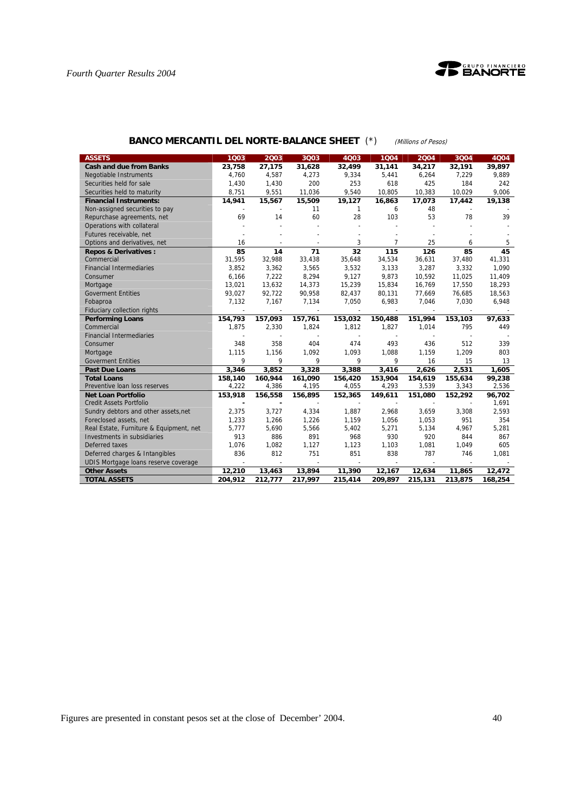

| <b>ASSETS</b>                           | 1003    | 2003    | 3Q03    | 4Q03         | 1004    | 2004    | 3004    | 4004    |
|-----------------------------------------|---------|---------|---------|--------------|---------|---------|---------|---------|
| <b>Cash and due from Banks</b>          | 23,758  | 27,175  | 31,628  | 32,499       | 31,141  | 34,217  | 32,191  | 39,897  |
| <b>Negotiable Instruments</b>           | 4,760   | 4,587   | 4,273   | 9,334        | 5,441   | 6,264   | 7,229   | 9,889   |
| Securities held for sale                | 1,430   | 1,430   | 200     | 253          | 618     | 425     | 184     | 242     |
| Securities held to maturity             | 8.751   | 9,551   | 11,036  | 9,540        | 10,805  | 10,383  | 10.029  | 9.006   |
| <b>Financial Instruments:</b>           | 14,941  | 15,567  | 15,509  | 19,127       | 16,863  | 17,073  | 17,442  | 19,138  |
| Non-assigned securities to pay          |         |         | 11      | $\mathbf{1}$ | 6       | 48      |         |         |
| Repurchase agreements, net              | 69      | 14      | 60      | 28           | 103     | 53      | 78      | 39      |
| Operations with collateral              |         |         |         |              |         |         |         |         |
| Futures receivable, net                 |         |         |         |              |         |         |         |         |
| Options and derivatives, net            | 16      |         |         | 3            | 7       | 25      | 6       | 5       |
| <b>Repos &amp; Derivatives:</b>         | 85      | 14      | 71      | 32           | 115     | 126     | 85      | 45      |
| Commercial                              | 31,595  | 32,988  | 33,438  | 35,648       | 34,534  | 36,631  | 37,480  | 41,331  |
| <b>Financial Intermediaries</b>         | 3.852   | 3,362   | 3,565   | 3,532        | 3,133   | 3,287   | 3,332   | 1.090   |
| Consumer                                | 6.166   | 7,222   | 8,294   | 9,127        | 9,873   | 10,592  | 11,025  | 11,409  |
| Mortgage                                | 13,021  | 13,632  | 14,373  | 15,239       | 15,834  | 16,769  | 17,550  | 18,293  |
| <b>Goverment Entities</b>               | 93,027  | 92,722  | 90,958  | 82,437       | 80,131  | 77,669  | 76,685  | 18,563  |
| Fobaproa                                | 7,132   | 7,167   | 7,134   | 7,050        | 6,983   | 7,046   | 7,030   | 6,948   |
| Fiduciary collection rights             |         |         |         |              |         |         |         |         |
| <b>Performing Loans</b>                 | 154,793 | 157,093 | 157,761 | 153,032      | 150,488 | 151,994 | 153,103 | 97,633  |
| Commercial                              | 1,875   | 2,330   | 1,824   | 1,812        | 1,827   | 1,014   | 795     | 449     |
| <b>Financial Intermediaries</b>         |         |         |         |              |         |         |         |         |
| Consumer                                | 348     | 358     | 404     | 474          | 493     | 436     | 512     | 339     |
| Mortgage                                | 1,115   | 1,156   | 1,092   | 1,093        | 1,088   | 1,159   | 1,209   | 803     |
| <b>Goverment Entities</b>               | 9       | 9       | 9       | 9            | 9       | 16      | 15      | 13      |
| <b>Past Due Loans</b>                   | 3,346   | 3,852   | 3,328   | 3,388        | 3,416   | 2,626   | 2,531   | 1,605   |
| <b>Total Loans</b>                      | 158,140 | 160,944 | 161,090 | 156,420      | 153,904 | 154,619 | 155,634 | 99,238  |
| Preventive Ioan loss reserves           | 4,222   | 4,386   | 4,195   | 4,055        | 4,293   | 3,539   | 3,343   | 2,536   |
| <b>Net Loan Portfolio</b>               | 153,918 | 156,558 | 156,895 | 152,365      | 149,611 | 151,080 | 152,292 | 96,702  |
| <b>Credit Assets Portfolio</b>          |         |         |         |              |         |         |         | 1,691   |
| Sundry debtors and other assets, net    | 2,375   | 3,727   | 4,334   | 1,887        | 2,968   | 3,659   | 3,308   | 2,593   |
| Foreclosed assets, net                  | 1,233   | 1,266   | 1,226   | 1,159        | 1,056   | 1,053   | 951     | 354     |
| Real Estate, Furniture & Equipment, net | 5.777   | 5,690   | 5,566   | 5,402        | 5,271   | 5,134   | 4.967   | 5,281   |
| Investments in subsidiaries             | 913     | 886     | 891     | 968          | 930     | 920     | 844     | 867     |
| Deferred taxes                          | 1,076   | 1,082   | 1,127   | 1,123        | 1,103   | 1,081   | 1.049   | 605     |
| Deferred charges & Intangibles          | 836     | 812     | 751     | 851          | 838     | 787     | 746     | 1,081   |
| UDIS Mortgage loans reserve coverage    |         |         |         |              |         |         |         |         |
| <b>Other Assets</b>                     | 12,210  | 13,463  | 13,894  | 11,390       | 12,167  | 12,634  | 11,865  | 12,472  |
| <b>TOTAL ASSETS</b>                     | 204.912 | 212.777 | 217.997 | 215.414      | 209.897 | 215,131 | 213.875 | 168,254 |

# **BANCO MERCANTIL DEL NORTE-BALANCE SHEET** (\*) (Millions of Pesos)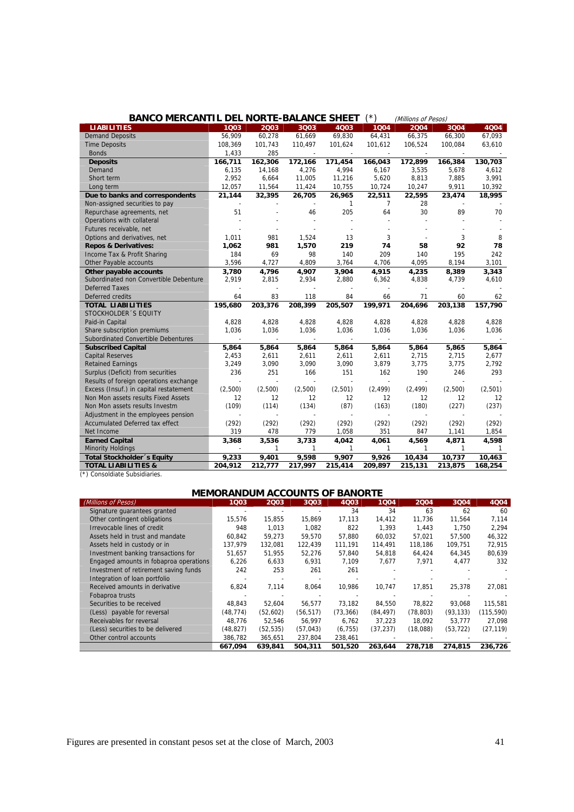| <b>BANCO MERCANTIL DEL NORTE-BALANCE SHEET</b>                                |                          |                          |               |                | ′*)            | (Millions of Pesos) |               |                   |
|-------------------------------------------------------------------------------|--------------------------|--------------------------|---------------|----------------|----------------|---------------------|---------------|-------------------|
| <b>LIABILITIES</b>                                                            | 1003                     | 2003                     | 3Q03          | 4Q03           | 1004           | 2004                | 3004          | 4Q04              |
| <b>Demand Deposits</b>                                                        | 56,909                   | 60,278                   | 61,669        | 69,830         | 64,431         | 66,375              | 66,300        | 67,093            |
| <b>Time Deposits</b>                                                          | 108,369                  | 101,743                  | 110,497       | 101,624        | 101,612        | 106,524             | 100,084       | 63,610            |
| <b>Bonds</b>                                                                  | 1,433                    | 285                      |               |                |                |                     |               |                   |
| <b>Deposits</b>                                                               | 166,711                  | 162,306                  | 172,166       | 171,454        | 166,043        | 172,899             | 166,384       | 130,703           |
| Demand                                                                        | 6,135                    | 14,168                   | 4,276         | 4,994          | 6,167          | 3,535               | 5,678         | 4,612             |
| Short term                                                                    | 2,952                    | 6,664                    | 11,005        | 11,216         | 5,620          | 8,813               | 7,885         | 3,991             |
| Long term                                                                     | 12,057                   | 11,564                   | 11,424        | 10,755         | 10,724         | 10,247              | 9,911         | 10,392            |
| Due to banks and correspondents                                               | 21,144                   | 32,395                   | 26,705        | 26,965         | 22,511         | 22,595              | 23,474        | 18,995            |
| Non-assigned securities to pay                                                |                          |                          |               | $\mathbf{1}$   | $\overline{7}$ | 28                  |               |                   |
| Repurchase agreements, net                                                    | 51                       |                          | 46            | 205            | 64             | 30                  | 89            | 70                |
| Operations with collateral                                                    |                          |                          |               |                |                |                     |               |                   |
| Futures receivable, net                                                       |                          |                          |               |                |                |                     |               |                   |
| Options and derivatives, net                                                  | 1,011                    | 981                      | 1,524         | 13             | 3              |                     | 3             | 8                 |
| <b>Repos &amp; Derivatives:</b>                                               | 1,062                    | 981                      | 1,570         | 219            | 74             | 58                  | 92            | 78                |
| Income Tax & Profit Sharing                                                   | 184                      | 69                       | 98            | 140            | 209            | 140                 | 195           | 242               |
| Other Payable accounts                                                        | 3,596                    | 4,727                    | 4,809         | 3,764          | 4,706          | 4,095               | 8,194         | 3,101             |
| Other payable accounts                                                        | 3,780                    | 4,796                    | 4,907         | 3,904          | 4,915          | 4,235               | 8,389         | 3,343             |
| Subordinated non Convertible Debenture                                        | 2.919                    | 2,815                    | 2,934         | 2,880          | 6,362          | 4,838               | 4,739         | 4,610             |
| <b>Deferred Taxes</b>                                                         |                          |                          |               |                |                |                     |               |                   |
| Deferred credits                                                              | 64                       | 83                       | 118           | 84             | 66             | 71                  | 60            | 62                |
| <b>TOTAL LIABILITIES</b>                                                      | 195,680                  | 203,376                  | 208,399       | 205,507        | 199,971        | 204,696             | 203,138       | 157,790           |
| STOCKHOLDER 'S EQUITY                                                         |                          |                          |               |                |                |                     |               |                   |
| Paid-in Capital                                                               | 4,828                    | 4,828                    | 4,828         | 4,828          | 4,828          | 4,828               | 4,828         | 4,828             |
| Share subscription premiums                                                   | 1,036                    | 1,036                    | 1,036         | 1,036          | 1,036          | 1,036               | 1,036         | 1,036             |
| Subordinated Convertible Debentures                                           | $\overline{\phantom{a}}$ | $\overline{\phantom{a}}$ | $\sim$        | $\sim$         | $\mathbf{r}$   | $\sim$              | $\mathbf{r}$  |                   |
| <b>Subscribed Capital</b>                                                     | 5,864                    | 5,864                    | 5,864         | 5,864          | 5,864          | 5,864               | 5,865         | 5,864             |
| <b>Capital Reserves</b>                                                       | 2,453                    | 2,611                    | 2,611         | 2,611          | 2,611          | 2,715               | 2,715         | 2,677             |
| <b>Retained Earnings</b>                                                      | 3,249                    | 3,090                    | 3,090         | 3,090          | 3,879          | 3,775               | 3,775         | 2,792             |
| Surplus (Deficit) from securities                                             | 236                      | 251                      | 166           | 151            | 162            | 190                 | 246           | 293               |
| Results of foreign operations exchange                                        |                          |                          |               |                | (2, 499)       |                     |               |                   |
| Excess (Insuf.) in capital restatement<br>Non Mon assets results Fixed Assets | (2,500)<br>12            | (2,500)<br>12            | (2,500)<br>12 | (2,501)<br>12  | 12             | (2, 499)            | (2,500)<br>12 | (2,501)           |
|                                                                               | (109)                    |                          | (134)         | (87)           | (163)          | 12<br>(180)         | (227)         | $12 \overline{ }$ |
| Non Mon assets results Investm                                                |                          | (114)                    |               |                |                |                     |               | (237)             |
| Adjustment in the employees pension<br>Accumulated Deferred tax effect        |                          |                          |               |                |                |                     | (292)         |                   |
| Net Income                                                                    | (292)<br>319             | (292)<br>478             | (292)<br>779  | (292)<br>1,058 | (292)<br>351   | (292)<br>847        | 1,141         | (292)<br>1,854    |
| <b>Earned Capital</b>                                                         | 3,368                    | 3,536                    | 3,733         | 4,042          | 4,061          | 4,569               | 4,871         | 4,598             |
| <b>Minority Holdings</b>                                                      |                          | 1                        | $\mathbf{1}$  | $\mathbf{1}$   | $\mathbf{1}$   | $\mathbf{1}$        | $\mathbf{1}$  | -1                |
| <b>Total Stockholder</b> 's Equity                                            | 9,233                    | 9,401                    | 9,598         | 9,907          | 9,926          | 10,434              | 10,737        | 10,463            |
| <b>TOTAL LIABILITIES &amp;</b>                                                | 204,912                  | 212,777                  | 217,997       | 215,414        | 209,897        | 215,131             | 213,875       | 168,254           |
|                                                                               |                          |                          |               |                |                |                     |               |                   |

| (*) Consoldiate Subsidiaries. |  |
|-------------------------------|--|
|-------------------------------|--|

|  | <b>MEMORANDUM ACCOUNTS OF BANORTE</b> |  |
|--|---------------------------------------|--|
|  |                                       |  |

| (Millions of Pesos)                    | 1003      | 2003      | 3Q03      | 4Q03      | 1004      | 2004      | 3004      | 4Q04       |
|----------------------------------------|-----------|-----------|-----------|-----------|-----------|-----------|-----------|------------|
| Signature quarantees granted           |           |           |           | 34        | 34        | 63        | 62        | 60         |
| Other contingent obligations           | 15,576    | 15,855    | 15,869    | 17,113    | 14,412    | 11,736    | 11,564    | 7,114      |
| Irrevocable lines of credit            | 948       | 1.013     | 1.082     | 822       | 1.393     | 1,443     | 1.750     | 2,294      |
| Assets held in trust and mandate       | 60.842    | 59.273    | 59.570    | 57.880    | 60.032    | 57.021    | 57.500    | 46,322     |
| Assets held in custody or in           | 137,979   | 132,081   | 122,439   | 111,191   | 114,491   | 118,186   | 109,751   | 72,915     |
| Investment banking transactions for    | 51.657    | 51.955    | 52,276    | 57.840    | 54,818    | 64,424    | 64.345    | 80.639     |
| Engaged amounts in fobaproa operations | 6,226     | 6,633     | 6.931     | 7,109     | 7.677     | 7,971     | 4,477     | 332        |
| Investment of retirement saving funds  | 242       | 253       | 261       | 261       |           |           |           |            |
| Integration of loan portfolio          |           |           |           |           |           |           |           |            |
| Received amounts in derivative         | 6,824     | 7,114     | 8,064     | 10.986    | 10,747    | 17.851    | 25.378    | 27,081     |
| Fobaproa trusts                        |           |           |           |           |           |           |           |            |
| Securities to be received              | 48.843    | 52.604    | 56,577    | 73.182    | 84.550    | 78.822    | 93.068    | 115,581    |
| (Less) payable for reversal            | (48, 774) | (52,602)  | (56, 517) | (73, 366) | (84, 497) | (78, 803) | (93, 133) | (115, 590) |
| Receivables for reversal               | 48.776    | 52.546    | 56.997    | 6.762     | 37.223    | 18.092    | 53.777    | 27.098     |
| (Less) securities to be delivered      | (48, 827) | (52, 535) | (57, 043) | (6, 755)  | (37, 237) | (18,088)  | (53, 722) | (27, 119)  |
| Other control accounts                 | 386,782   | 365,651   | 237,804   | 238,461   |           |           |           |            |
|                                        | 667,094   | 639.841   | 504.311   | 501.520   | 263,644   | 278.718   | 274,815   | 236.726    |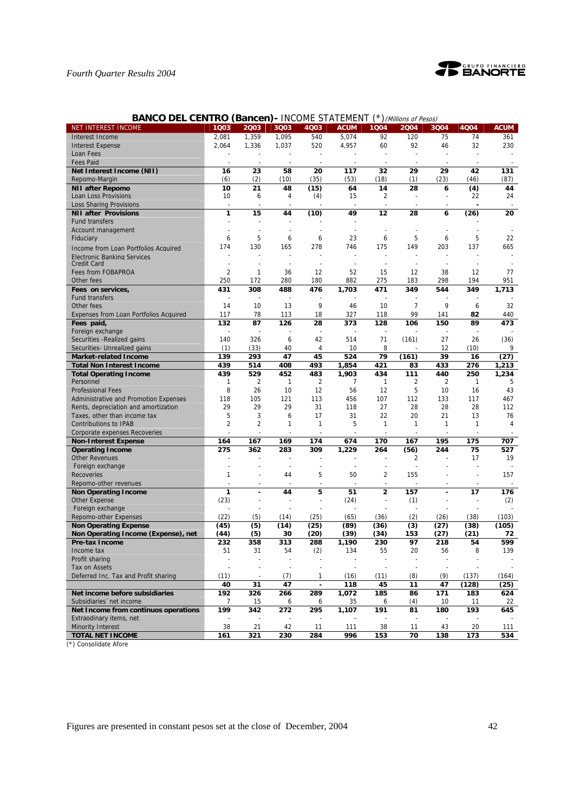

| <b>BANCO DEL CENTRO (Bancen)- INCOME STATEMENT (*) (Millions of Pesos)</b> |  |  |
|----------------------------------------------------------------------------|--|--|
|----------------------------------------------------------------------------|--|--|

| NET INTEREST INCOME                    | 1Q03                    | 2003           | 3Q03         | 4Q03                     | <b>ACUM</b>    | 1Q04                          | 2004           | 3Q04           | 4Q04         | <b>ACUM</b>    |
|----------------------------------------|-------------------------|----------------|--------------|--------------------------|----------------|-------------------------------|----------------|----------------|--------------|----------------|
| Interest Income                        | 2,081                   | 1,359          | 1,095        | 540                      | 5,074          | 92                            | 120            | 75             | 74           | 361            |
| <b>Interest Expense</b>                | 2,064                   | 1,336          | 1,037        | 520                      | 4,957          | 60                            | 92             | 46             | 32           | 230            |
| Loan Fees                              |                         |                |              |                          |                |                               |                | ÷,             |              |                |
| <b>Fees Paid</b>                       |                         |                |              |                          |                |                               |                |                |              |                |
| Net Interest Income (NII)              | 16                      | 23             | 58           | 20                       | 117            | 32                            | 29             | 29             | 42           | 131            |
| Repomo-Margin                          | (6)                     | (2)            | (10)         | (35)                     | (53)           | (18)                          | (1)            | (23)           | (46)         | (87)           |
| <b>NII after Repomo</b>                | 10                      | 21             | 48           | (15)                     | 64             | 14                            | 28             | 6              | (4)          | 44             |
| Loan Loss Provisions                   | 10                      | 6              | 4            | (4)                      | 15             | 2                             |                | $\overline{a}$ | 22           | 24             |
| <b>Loss Sharing Provisions</b>         | $\overline{a}$          |                |              |                          |                |                               |                |                |              |                |
| <b>NII after Provisions</b>            | 1                       | 15             | 44           | (10)                     | 49             | 12                            | 28             | 6              | (26)         | 20             |
| Fund transfers                         |                         |                |              |                          |                |                               |                |                |              |                |
| Account management                     |                         |                |              |                          |                |                               |                |                |              |                |
| Fiduciary                              | 6                       | 5              | 6            | 6                        | 23             | 6                             | 5              | 6              | 5            | 22             |
| Income from Loan Portfolios Acquired   | 174                     | 130            | 165          | 278                      | 746            | 175                           | 149            | 203            | 137          | 665            |
| <b>Electronic Banking Services</b>     |                         |                |              | $\overline{\phantom{a}}$ |                |                               |                |                |              |                |
| <b>Credit Card</b>                     |                         |                | $\sim$       |                          |                |                               |                | ٠              |              |                |
| Fees from FOBAPROA                     | $\overline{2}$          | 1              | 36           | 12                       | 52             | 15                            | 12             | 38             | 12           | 77             |
| Other fees                             | 250                     | 172            | 280          | 180                      | 882            | 275                           | 183            | 298            | 194          | 951            |
| Fees on services,                      | 431                     | 308            | 488          | 476                      | 1,703          | 471                           | 349            | 544            | 349          | 1,713          |
| Fund transfers                         | ÷                       | ÷,             | ÷,           |                          |                |                               |                |                |              |                |
| Other fees                             | 14                      | 10             | 13           | 9                        | 46             | 10                            | $\overline{7}$ | 9              | 6            | 32             |
| Expenses from Loan Portfolios Acquired | 117                     | 78             | 113          | 18                       | 327            | 118                           | 99             | 141            | 82           | 440            |
| Fees paid,                             | 132                     | 87             | 126          | 28                       | 373            | 128                           | 106            | 150            | 89           | 473            |
| Foreign exchange                       |                         |                |              |                          |                |                               |                |                |              |                |
| Securities - Realized gains            | 140                     | 326            | 6            | 42                       | 514            | 71                            | (161)          | 27             | 26           | (36)           |
| Securities- Unrealized gains           | (1)                     | (33)           | 40           | 4                        | 10             | 8                             |                | 12             | (10)         | 9              |
| <b>Market-related Income</b>           | 139                     | 293            | 47           | 45                       | 524            | 79                            | (161)          | 39             | 16           | (27)           |
| <b>Total Non Interest Income</b>       | 439                     | 514            | 408          | 493                      | 1,854          | 421                           | 83             | 433            | 276          | 1,213          |
| <b>Total Operating Income</b>          | 439                     | 529            | 452          | 483                      | 1,903          | 434                           | 111            | 440            | 250          | 1,234          |
| Personnel                              | 1                       | $\overline{2}$ | $\mathbf{1}$ | $\overline{2}$           | $\overline{7}$ | 1                             | $\overline{2}$ | $\overline{2}$ | $\mathbf{1}$ | 5              |
| <b>Professional Fees</b>               | 8                       | 26             | 10           | 12                       | 56             | 12                            | 5              | 10             | 16           | 43             |
| Administrative and Promotion Expenses  | 118                     | 105            | 121          | 113                      | 456            | 107                           | 112            | 133            | 117          | 467            |
| Rents, depreciation and amortization   | 29                      | 29             | 29           | 31                       | 118            | 27                            | 28             | 28             | 28           | 112            |
| Taxes, other than income tax           | 5                       | 3              | 6            | 17                       | 31             | 22                            | 20             | 21             | 13           | 76             |
| <b>Contributions to IPAB</b>           | $\overline{\mathbf{c}}$ | $\overline{2}$ | 1            | 1                        | 5              | $\mathbf{1}$                  | 1              | 1              | 1            | $\overline{4}$ |
| Corporate expenses Recoveries          |                         | $\overline{a}$ |              |                          |                |                               |                |                |              |                |
| <b>Non-Interest Expense</b>            | 164                     | 167            | 169          | 174                      | 674            | 170                           | 167            | 195            | 175          | 707            |
| <b>Operating Income</b>                | 275                     | 362            | 283          | 309                      | 1,229          | 264                           | (56)           | 244            | 75           | 527            |
| <b>Other Revenues</b>                  | ٠                       |                |              | $\overline{\phantom{a}}$ |                |                               | 2              |                | 17           | 19             |
| Foreign exchange                       |                         |                | ÷,           | $\overline{\phantom{a}}$ |                | ÷,                            |                |                |              |                |
| Recoveries                             | 1                       |                | 44           | 5                        | 50             | 2                             | 155            |                |              | 157            |
| Repomo-other revenues                  |                         |                |              |                          |                | $\overline{a}$                |                |                |              |                |
| <b>Non Operating Income</b>            | 1<br>(23)               | ÷,             | 44           | 5<br>÷,                  | 51             | 2<br>$\overline{\phantom{a}}$ | 157            | ÷              | 17           | 176            |
| Other Expense<br>Foreign exchange      |                         |                |              |                          | (24)           |                               | (1)            |                |              | (2)            |
| Repomo-other Expenses                  | (22)                    | (5)            | (14)         | (25)                     | (65)           | (36)                          | (2)            | (26)           | (38)         | (103)          |
| <b>Non Operating Expense</b>           | (45)                    | (5)            | (14)         | (25)                     | (89)           | (36)                          | (3)            | (27)           | (38)         | (105)          |
| Non Operating Income (Expense), net    | (44)                    | (5)            | 30           | (20)                     | (39)           | (34)                          | 153            | (27)           | (21)         | 72             |
| <b>Pre-tax Income</b>                  | 232                     | 358            | 313          | 288                      | 1,190          | 230                           | 97             | 218            | 54           | 599            |
| Income tax                             | 51                      | 31             | 54           | (2)                      | 134            | 55                            | 20             | 56             | 8            | 139            |
| Profit sharing                         |                         |                |              |                          |                |                               |                |                |              |                |
| Tax on Assets                          |                         |                |              |                          |                |                               |                |                |              |                |
| Deferred Inc. Tax and Profit sharing   | (11)                    | $\blacksquare$ | (7)          | 1                        | (16)           | (11)                          | (8)            | (9)            | (137)        | (164)          |
|                                        | 40                      | 31             | 47           |                          | 118            | 45                            | 11             | 47             | (128)        | (25)           |
| Net income before subsidiaries         | 192                     | 326            | 266          | 289                      | 1,072          | 185                           | 86             | 171            | 183          | 624            |
| Subsidiaries 'net income               | 7                       | 15             | 6            | 6                        | 35             | 6                             | (4)            | 10             | 11           | 22             |
| Net Income from continuos operations   | 199                     | 342            | 272          | 295                      | 1,107          | 191                           | 81             | 180            | 193          | 645            |
| Extraodinary items, net                |                         |                |              |                          |                |                               |                |                |              |                |
| <b>Minority Interest</b>               | 38                      | 21             | 42           | 11                       | 111            | 38                            | 11             | 43             | 20           | 111            |
| <b>TOTAL NET INCOME</b>                | 161                     | 321            | 230          | 284                      | 996            | 153                           | 70             | 138            | 173          | 534            |

(\*) Consolidate Afore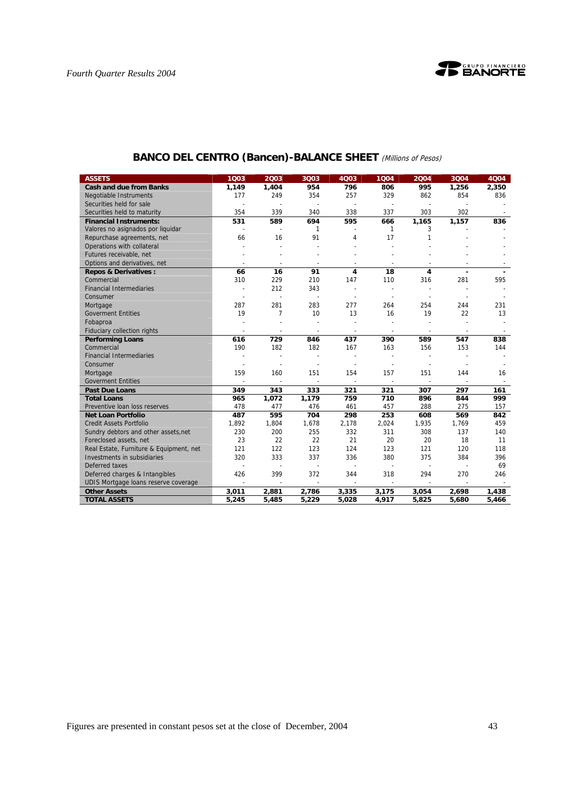

| <b>ASSETS</b>                           | 1Q03           | 2003                     | 3Q03                     | 4Q03                     | 1004                     | 2004                     | 3Q04                     | 4Q04  |
|-----------------------------------------|----------------|--------------------------|--------------------------|--------------------------|--------------------------|--------------------------|--------------------------|-------|
| <b>Cash and due from Banks</b>          | 1,149          | 1,404                    | 954                      | 796                      | 806                      | 995                      | 1,256                    | 2,350 |
| <b>Negotiable Instruments</b>           | 177            | 249                      | 354                      | 257                      | 329                      | 862                      | 854                      | 836   |
| Securities held for sale                |                |                          | $\blacksquare$           | $\overline{\phantom{a}}$ |                          |                          |                          |       |
| Securities held to maturity             | 354            | 339                      | 340                      | 338                      | 337                      | 303                      | 302                      |       |
| <b>Financial Instruments:</b>           | 531            | 589                      | 694                      | 595                      | 666                      | 1,165                    | 1,157                    | 836   |
| Valores no asignados por liquidar       | $\sim$         | $\sim$                   | 1                        |                          | 1                        | 3                        |                          |       |
| Repurchase agreements, net              | 66             | 16                       | 91                       | 4                        | 17                       | 1                        |                          |       |
| Operations with collateral              |                |                          |                          |                          |                          |                          |                          |       |
| Futures receivable, net                 |                |                          |                          |                          |                          |                          |                          |       |
| Options and derivatives, net            |                |                          | ÷,                       |                          |                          |                          |                          |       |
| <b>Repos &amp; Derivatives:</b>         | 66             | 16                       | 91                       | 4                        | 18                       | 4                        |                          |       |
| Commercial                              | 310            | 229                      | 210                      | 147                      | 110                      | 316                      | 281                      | 595   |
| <b>Financial Intermediaries</b>         | $\overline{a}$ | 212                      | 343                      |                          |                          |                          |                          |       |
| Consumer                                |                | $\sim$                   | $\overline{\phantom{a}}$ |                          |                          |                          |                          |       |
| Mortgage                                | 287            | 281                      | 283                      | 277                      | 264                      | 254                      | 244                      | 231   |
| <b>Goverment Entities</b>               | 19             | $\overline{7}$           | 10                       | 13                       | 16                       | 19                       | 22                       | 13    |
| Fobaproa                                |                | ÷,                       | ä,                       |                          |                          |                          | ä,                       |       |
| Fiduciary collection rights             | $\sim$         | $\sim$                   | $\overline{\phantom{a}}$ | $\overline{\phantom{a}}$ | $\overline{\phantom{a}}$ | $\overline{\phantom{a}}$ | $\overline{\phantom{a}}$ |       |
| <b>Performing Loans</b>                 | 616            | 729                      | 846                      | 437                      | 390                      | 589                      | 547                      | 838   |
| Commercial                              | 190            | 182                      | 182                      | 167                      | 163                      | 156                      | 153                      | 144   |
| <b>Financial Intermediaries</b>         |                |                          |                          |                          |                          |                          |                          |       |
| Consumer                                |                |                          | $\sim$                   | $\overline{\phantom{a}}$ |                          |                          |                          |       |
| Mortgage                                | 159            | 160                      | 151                      | 154                      | 157                      | 151                      | 144                      | 16    |
| <b>Goverment Entities</b>               |                |                          |                          |                          | $\sim$                   |                          |                          |       |
| <b>Past Due Loans</b>                   | 349            | 343                      | 333                      | 321                      | 321                      | 307                      | 297                      | 161   |
| <b>Total Loans</b>                      | 965            | 1,072                    | 1,179                    | 759                      | 710                      | 896                      | 844                      | 999   |
| Preventive Ioan loss reserves           | 478            | 477                      | 476                      | 461                      | 457                      | 288                      | 275                      | 157   |
| <b>Net Loan Portfolio</b>               | 487            | 595                      | 704                      | 298                      | 253                      | 608                      | 569                      | 842   |
| <b>Credit Assets Portfolio</b>          | 1,892          | 1,804                    | 1,678                    | 2,178                    | 2,024                    | 1,935                    | 1,769                    | 459   |
| Sundry debtors and other assets, net    | 230            | 200                      | 255                      | 332                      | 311                      | 308                      | 137                      | 140   |
| Foreclosed assets, net                  | 23             | 22                       | 22                       | 21                       | 20                       | 20                       | 18                       | 11    |
| Real Estate, Furniture & Equipment, net | 121            | 122                      | 123                      | 124                      | 123                      | 121                      | 120                      | 118   |
| Investments in subsidiaries             | 320            | 333                      | 337                      | 336                      | 380                      | 375                      | 384                      | 396   |
| Deferred taxes                          | $\overline{a}$ | $\blacksquare$           | $\overline{\phantom{a}}$ | $\sim$                   | $\overline{a}$           | $\blacksquare$           | $\mathbf{r}$             | 69    |
| Deferred charges & Intangibles          | 426            | 399                      | 372                      | 344                      | 318                      | 294                      | 270                      | 246   |
| UDIS Mortgage loans reserve coverage    | $\sim$         | $\overline{\phantom{a}}$ | $\mathbf{r}$             | $\sim$                   | $\sim$                   | $\sim$                   | $\sim$                   |       |
| <b>Other Assets</b>                     | 3,011          | 2,881                    | 2,786                    | 3,335                    | 3,175                    | 3,054                    | 2,698                    | 1,438 |
| <b>TOTAL ASSETS</b>                     | 5,245          | 5,485                    | 5,229                    | 5,028                    | 4,917                    | 5,825                    | 5,680                    | 5,466 |

# **BANCO DEL CENTRO (Bancen)-BALANCE SHEET** (Millions of Pesos)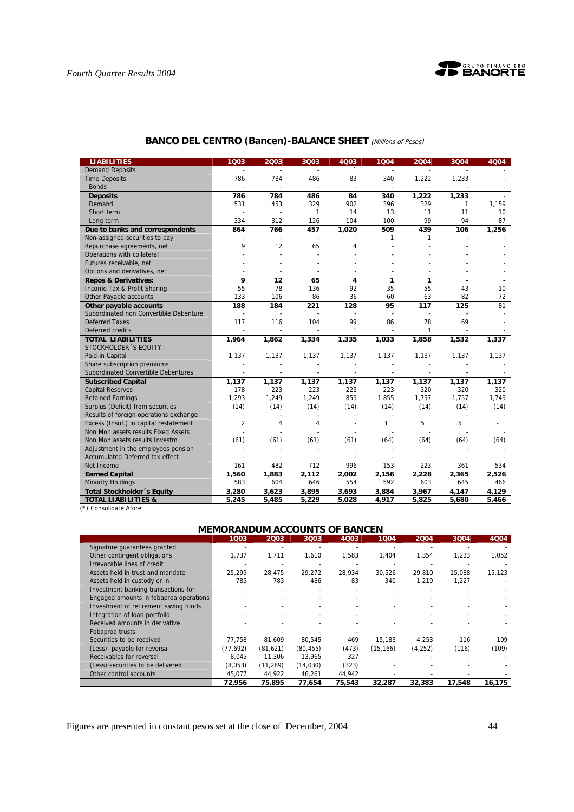

| <b>BANCO DEL CENTRO (Bancen)-BALANCE SHEET</b> (Millions of Pesos) |  |  |  |
|--------------------------------------------------------------------|--|--|--|
|--------------------------------------------------------------------|--|--|--|

| <b>LIABILITIES</b>                     | 1003           | 2003           | 3Q03                     | 4Q03                     | 1004           | 2004         | 3004   | 4004  |
|----------------------------------------|----------------|----------------|--------------------------|--------------------------|----------------|--------------|--------|-------|
| <b>Demand Deposits</b>                 |                |                |                          | $\mathbf{1}$             | $\blacksquare$ |              |        |       |
| <b>Time Deposits</b>                   | 786            | 784            | 486                      | 83                       | 340            | 1,222        | 1,233  |       |
| <b>Bonds</b>                           |                |                | $\sim$                   | $\sim$                   | $\sim$         |              |        |       |
| <b>Deposits</b>                        | 786            | 784            | 486                      | 84                       | 340            | 1,222        | 1,233  |       |
| Demand                                 | 531            | 453            | 329                      | 902                      | 396            | 329          | 1      | 1,159 |
| Short term                             |                | ä,             | 1                        | 14                       | 13             | 11           | 11     | 10    |
| Long term                              | 334            | 312            | 126                      | 104                      | 100            | 99           | 94     | 87    |
| Due to banks and correspondents        | 864            | 766            | 457                      | 1,020                    | 509            | 439          | 106    | 1,256 |
| Non-assigned securities to pay         |                |                | $\overline{\phantom{a}}$ |                          | 1              | 1            |        |       |
| Repurchase agreements, net             | 9              | 12             | 65                       | 4                        |                |              |        |       |
| Operations with collateral             |                |                |                          |                          |                |              |        |       |
| Futures receivable, net                |                |                |                          |                          |                |              |        |       |
| Options and derivatives, net           |                |                |                          |                          |                |              |        |       |
| <b>Repos &amp; Derivatives:</b>        | 9              | 12             | 65                       | $\overline{\mathbf{4}}$  | 1              | 1            |        |       |
| Income Tax & Profit Sharing            | 55             | 78             | 136                      | 92                       | 35             | 55           | 43     | 10    |
| Other Payable accounts                 | 133            | 106            | 86                       | 36                       | 60             | 63           | 82     | 72    |
| Other payable accounts                 | 188            | 184            | 221                      | 128                      | 95             | 117          | 125    | 81    |
| Subordinated non Convertible Debenture |                | ä,             |                          |                          | $\blacksquare$ |              |        |       |
| <b>Deferred Taxes</b>                  | 117            | 116            | 104                      | 99                       | 86             | 78           | 69     |       |
| Deferred credits                       |                | $\blacksquare$ |                          | 1                        | $\blacksquare$ | $\mathbf{1}$ |        |       |
| <b>TOTAL LIABILITIES</b>               | 1,964          | 1,862          | 1,334                    | 1,335                    | 1,033          | 1,858        | 1,532  | 1,337 |
| STOCKHOLDER 'S EQUITY                  |                |                |                          |                          |                |              |        |       |
| Paid-in Capital                        | 1,137          | 1,137          | 1,137                    | 1,137                    | 1,137          | 1,137        | 1,137  | 1,137 |
| Share subscription premiums            |                |                |                          |                          |                |              |        |       |
| Subordinated Convertible Debentures    |                | $\sim$         | $\sim$                   | $\overline{\phantom{a}}$ | $\sim$         | $\sim$       | $\sim$ |       |
| <b>Subscribed Capital</b>              | 1,137          | 1,137          | 1,137                    | 1,137                    | 1,137          | 1,137        | 1,137  | 1,137 |
| <b>Capital Reserves</b>                | 178            | 223            | 223                      | 223                      | 223            | 320          | 320    | 320   |
| <b>Retained Earnings</b>               | 1,293          | 1,249          | 1,249                    | 859                      | 1,855          | 1,757        | 1,757  | 1,749 |
| Surplus (Deficit) from securities      | (14)           | (14)           | (14)                     | (14)                     | (14)           | (14)         | (14)   | (14)  |
| Results of foreign operations exchange | $\overline{a}$ |                |                          |                          |                |              |        |       |
| Excess (Insuf.) in capital restatement | 2              | 4              | 4                        |                          | 3              | 5            | 5      |       |
| Non Mon assets results Fixed Assets    |                |                |                          |                          |                |              |        |       |
| Non Mon assets results Investm         | (61)           | (61)           | (61)                     | (61)                     | (64)           | (64)         | (64)   | (64)  |
| Adjustment in the employees pension    |                |                |                          |                          |                |              |        |       |
| Accumulated Deferred tax effect        |                |                |                          |                          |                |              |        |       |
| Net Income                             | 161            | 482            | 712                      | 996                      | 153            | 223          | 361    | 534   |
| <b>Earned Capital</b>                  | 1,560          | 1,883          | 2,112                    | 2,002                    | 2,156          | 2,228        | 2,365  | 2,526 |
| <b>Minority Holdings</b>               | 583            | 604            | 646                      | 554                      | 592            | 603          | 645    | 466   |
| Total Stockholder's Equity             | 3,280          | 3,623          | 3,895                    | 3,693                    | 3,884          | 3,967        | 4,147  | 4,129 |
| <b>TOTAL LIABILITIES &amp;</b>         | 5,245          | 5,485          | 5,229                    | 5,028                    | 4,917          | 5,825        | 5,680  | 5,466 |

(\*) Consolidate Afore

# **MEMORANDUM ACCOUNTS OF BANCEN**

|                                        | 1Q03     | 2003      | 3003     | 4003   | 1004      | 2004     | 3004   | 4Q04   |
|----------------------------------------|----------|-----------|----------|--------|-----------|----------|--------|--------|
| Signature quarantees granted           |          |           |          |        |           |          |        |        |
| Other contingent obligations           | 1,737    | 1.711     | 1.610    | 1,583  | 1,404     | 1.354    | 1.233  | 1,052  |
| Irrevocable lines of credit            |          |           |          |        |           |          |        |        |
| Assets held in trust and mandate       | 25.299   | 28.475    | 29.272   | 28.934 | 30,526    | 29.810   | 15.088 | 15,123 |
| Assets held in custody or in           | 785      | 783       | 486      | 83     | 340       | 1.219    | 1.227  |        |
| Investment banking transactions for    |          |           |          |        |           |          |        |        |
| Engaged amounts in fobaproa operations |          |           |          |        |           |          |        |        |
| Investment of retirement saving funds  |          |           |          |        |           |          |        |        |
| Integration of loan portfolio          |          |           |          |        |           |          |        |        |
| Received amounts in derivative         |          |           |          |        |           |          |        |        |
| Fobaproa trusts                        |          |           |          |        |           |          |        |        |
| Securities to be received              | 77.758   | 81.609    | 80.545   | 469    | 15.183    | 4.253    | 116    | 109    |
| (Less) payable for reversal            | (77.692) | (81.621)  | (80.455) | (473)  | (15, 166) | (4, 252) | (116)  | (109)  |
| Receivables for reversal               | 8.045    | 11.306    | 13.965   | 327    |           |          |        |        |
| (Less) securities to be delivered      | (8,053)  | (11, 289) | (14,030) | (323)  |           |          |        |        |
| Other control accounts                 | 45,077   | 44,922    | 46,261   | 44,942 |           |          |        |        |
|                                        | 72.956   | 75.895    | 77.654   | 75,543 | 32.287    | 32,383   | 17.548 | 16.175 |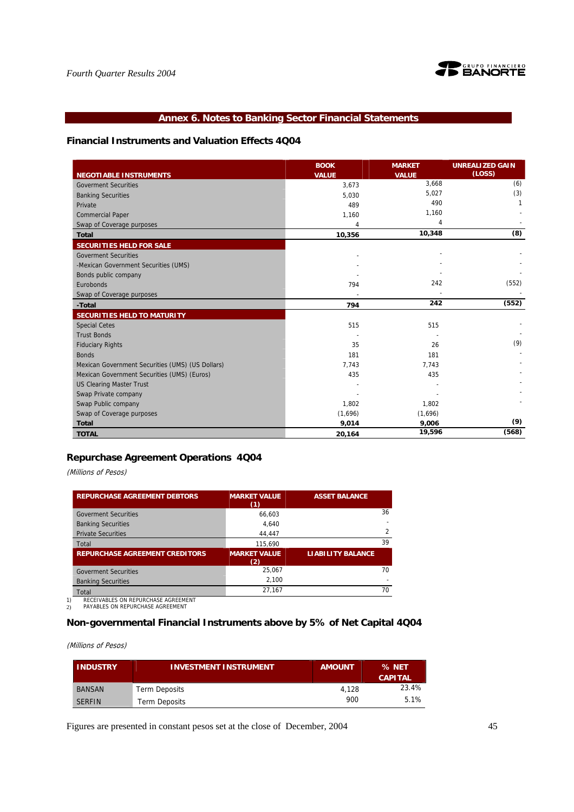

## **Annex 6. Notes to Banking Sector Financial Statements**

## **Financial Instruments and Valuation Effects 4Q04**

|                                                  | <b>BOOK</b>  | <b>MARKET</b> | <b>UNREALIZED GAIN</b> |
|--------------------------------------------------|--------------|---------------|------------------------|
| <b>NEGOTIABLE INSTRUMENTS</b>                    | <b>VALUE</b> | <b>VALUE</b>  | (LOSS)                 |
| <b>Goverment Securities</b>                      | 3.673        | 3,668         | (6)                    |
| <b>Banking Securities</b>                        | 5,030        | 5,027         | (3)                    |
| Private                                          | 489          | 490           | 1                      |
| <b>Commercial Paper</b>                          | 1,160        | 1,160         |                        |
| Swap of Coverage purposes                        | 4            | 4             |                        |
| <b>Total</b>                                     | 10,356       | 10,348        | (8)                    |
| SECURITIES HELD FOR SALE                         |              |               |                        |
| <b>Goverment Securities</b>                      |              |               |                        |
| -Mexican Government Securities (UMS)             |              |               |                        |
| Bonds public company                             |              |               |                        |
| Eurobonds                                        | 794          | 242           | (552)                  |
| Swap of Coverage purposes                        |              |               |                        |
| -Total                                           | 794          | 242           | (552)                  |
| <b>SECURITIES HELD TO MATURITY</b>               |              |               |                        |
| <b>Special Cetes</b>                             | 515          | 515           |                        |
| <b>Trust Bonds</b>                               |              |               |                        |
| <b>Fiduciary Rights</b>                          | 35           | 26            | (9)                    |
| <b>Bonds</b>                                     | 181          | 181           |                        |
| Mexican Government Securities (UMS) (US Dollars) | 7,743        | 7,743         |                        |
| Mexican Government Securities (UMS) (Euros)      | 435          | 435           |                        |
| <b>US Clearing Master Trust</b>                  |              |               |                        |
| Swap Private company                             |              |               |                        |
| Swap Public company                              | 1,802        | 1,802         |                        |
| Swap of Coverage purposes                        | (1,696)      | (1,696)       |                        |
| <b>Total</b>                                     | 9,014        | 9,006         | (9)                    |
| <b>TOTAL</b>                                     | 20,164       | 19,596        | (568)                  |

## **Repurchase Agreement Operations 4Q04**

(Millions of Pesos)

| <b>REPURCHASE AGREEMENT DEBTORS</b>                                     | <b>MARKET VALUE</b><br>(1) | <b>ASSET BALANCE</b>     |
|-------------------------------------------------------------------------|----------------------------|--------------------------|
| <b>Goverment Securities</b>                                             | 66.603                     | 36                       |
| <b>Banking Securities</b>                                               | 4.640                      |                          |
| <b>Private Securities</b>                                               | 44.447                     | $\overline{2}$           |
| Total                                                                   | 115,690                    | 39                       |
| <b>REPURCHASE AGREEMENT CREDITORS</b>                                   | <b>MARKET VALUE</b><br>(2) | <b>LIABILITY BALANCE</b> |
| <b>Goverment Securities</b>                                             | 25.067                     | 70                       |
| <b>Banking Securities</b>                                               | 2.100                      |                          |
| Total                                                                   | 27.167                     | 70                       |
| RECEIVABLES ON REPURCHASE AGREEMENT<br>PAYABLES ON REPURCHASE AGREEMENT |                            |                          |

# **Non-governmental Financial Instruments above by 5% of Net Capital 4Q04**

(Millions of Pesos)

| <b>INDUSTRY</b> | <b>INVESTMENT INSTRUMENT</b> | <b>AMOUNT</b> | % NET<br><b>CAPITAL</b> |
|-----------------|------------------------------|---------------|-------------------------|
| <b>BANSAN</b>   | Term Deposits                | 4.128         | 23.4%                   |
| <b>SERFIN</b>   | <b>Term Deposits</b>         | 900           | 5.1%                    |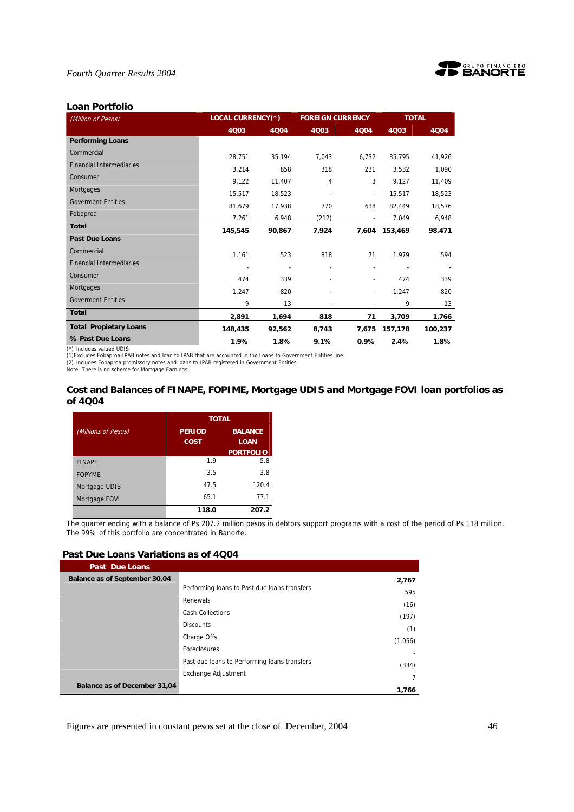



# (Million of Pesos) **LOCAL CURRENCY(\*) FOREIGN CURRENCY TOTAL 4Q03 4Q04 4Q03 4Q04 4Q03 4Q04 Performing Loans**  Commercial 28,751 35,194 7,043 6,732 35,795 41,926 Financial Intermediaries 2,214 858 318 231 3,532 1,090 Consumer 9,122 11,407 4 3 9,127 11,409 Mortgages 15,517 18,523 - - 15,517 18,523 Goverment Entities<br>
Beine der Batter der Batter der Batter des Batters des Batters des Batters des Batters des Batters des Batter Fobaproa 7,261 6,948 (212) - 7,049 6,948 **Total 145,545 90,867 7,924 7,604 153,469 98,471 Past Due Loans**  Commercial 1,161 523 818 71 1,979 594 Financial Intermediaries - - - - - - Consumer 474 339 - - 474 339 Mortgages 1,247 820 - - 1,247 820 Goverment Entities and Content Entities and Content of the Content of the Content of the Content of the Content of the Content of the Content of the Content of the Content of the Content of the Content of the Content of th **Total 2,891 1,694 818 71 3,709 1,766 Total Propietary Loans 148,435 92,562 8,743 7,675 157,178 100,237**

## **Loan Portfolio**

(\*) Includes valued UDIS

(1)Excludes Fobaproa-IPAB notes and Ioan to IPAB that are accounted in the Loans to Government Entities line.<br>(2) Includes Fobaproa promissory notes and Ioans to IPAB registered in Government Entities.

Note: There is no scheme for Mortgage Earnings.

## **Cost and Balances of FINAPE, FOPIME, Mortgage UDIS and Mortgage FOVI loan portfolios as of 4Q04**

**% Past Due Loans 1.9% 1.8% 9.1% 0.9% 2.4% 1.8%** 

|                     | <b>TOTAL</b>  |                  |  |  |  |
|---------------------|---------------|------------------|--|--|--|
| (Millions of Pesos) | <b>PERIOD</b> | <b>BALANCE</b>   |  |  |  |
|                     | COST.         | <b>LOAN</b>      |  |  |  |
|                     |               | <b>PORTFOLIO</b> |  |  |  |
| <b>FINAPE</b>       | 1.9           | 5.8              |  |  |  |
| <b>FOPYME</b>       | 3.5           | 3.8              |  |  |  |
| Mortgage UDIS       | 47.5          | 120.4            |  |  |  |
| Mortgage FOVI       | 65.1          | 77.1             |  |  |  |
|                     | 118.0         | 207.2            |  |  |  |

The quarter ending with a balance of Ps 207.2 million pesos in debtors support programs with a cost of the period of Ps 118 million. The 99% of this portfolio are concentrated in Banorte.

## **Past Due Loans Variations as of 4Q04**

| <b>Past Due Loans</b>         |                                              |         |
|-------------------------------|----------------------------------------------|---------|
| Balance as of September 30,04 |                                              | 2,767   |
|                               | Performing loans to Past due loans transfers | 595     |
|                               | Renewals                                     | (16)    |
|                               | <b>Cash Collections</b>                      | (197)   |
|                               | <b>Discounts</b>                             | (1)     |
|                               | Charge Offs                                  | (1,056) |
|                               | Foreclosures                                 |         |
|                               | Past due loans to Performing loans transfers |         |
|                               | Exchange Adjustment                          | (334)   |
| Balance as of December 31,04  |                                              |         |
|                               |                                              | 1,766   |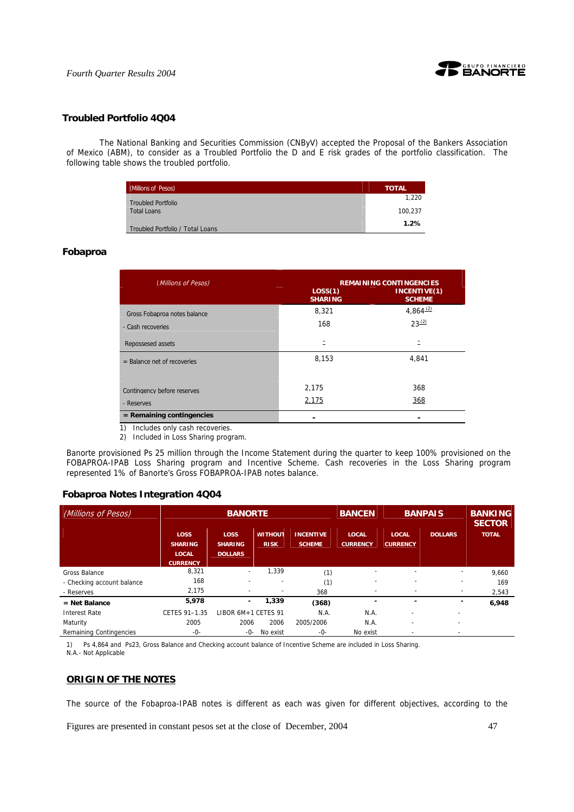

## **Troubled Portfolio 4Q04**

 The National Banking and Securities Commission (CNByV) accepted the Proposal of the Bankers Association of Mexico (ABM), to consider as a Troubled Portfolio the D and E risk grades of the portfolio classification. The following table shows the troubled portfolio.

| (Millions of Pesos)              | <b>TOTAL</b> |
|----------------------------------|--------------|
| <b>Troubled Portfolio</b>        | 1.220        |
| <b>Total Loans</b>               | 100.237      |
| Troubled Portfolio / Total Loans | 1.2%         |

## **Fobaproa**

| (Millions of Pesos)           | <b>REMAINING CONTINGENCIES</b> |                               |  |  |  |
|-------------------------------|--------------------------------|-------------------------------|--|--|--|
|                               | LOS(1)<br><b>SHARING</b>       | INCENTIVE(1)<br><b>SCHEME</b> |  |  |  |
| Gross Fobaproa notes balance  | 8,321                          | $4,864^{(2)}$                 |  |  |  |
| - Cash recoveries             | 168                            | $23^{(2)}$                    |  |  |  |
| Repossesed assets             |                                |                               |  |  |  |
| $=$ Balance net of recoveries | 8,153                          | 4,841                         |  |  |  |
| Contingency before reserves   | 2,175                          | 368                           |  |  |  |
| - Reserves                    | 2,175                          | 368                           |  |  |  |
| $=$ Remaining contingencies   |                                |                               |  |  |  |

1) Includes only cash recoveries.

2) Included in Loss Sharing program.

Banorte provisioned Ps 25 million through the Income Statement during the quarter to keep 100% provisioned on the FOBAPROA-IPAB Loss Sharing program and Incentive Scheme. Cash recoveries in the Loss Sharing program represented 1% of Banorte's Gross FOBAPROA-IPAB notes balance.

## **Fobaproa Notes Integration 4Q04**

| (Millions of Pesos)        | <b>BANORTE</b>                                |                                                 |                               |                                   | <b>BANCEN</b>                   |                                 | <b>BANPAIS</b>           | <b>BANKING</b><br><b>SECTOR</b> |
|----------------------------|-----------------------------------------------|-------------------------------------------------|-------------------------------|-----------------------------------|---------------------------------|---------------------------------|--------------------------|---------------------------------|
|                            | <b>LOSS</b><br><b>SHARING</b><br><b>LOCAL</b> | <b>LOSS</b><br><b>SHARING</b><br><b>DOLLARS</b> | <b>WITHOUT</b><br><b>RISK</b> | <b>INCENTIVE</b><br><b>SCHEME</b> | <b>LOCAL</b><br><b>CURRENCY</b> | <b>LOCAL</b><br><b>CURRENCY</b> | <b>DOLLARS</b>           | <b>TOTAL</b>                    |
| Gross Balance              | <b>CURRENCY</b><br>8,321                      | $\overline{\phantom{a}}$                        | 1.339                         | (1)                               |                                 | ۰                               |                          | 9,660                           |
| - Checking account balance | 168                                           |                                                 |                               | (1)                               |                                 | ٠                               |                          | 169                             |
| - Reserves                 | 2,175                                         |                                                 |                               | 368                               |                                 | $\overline{\phantom{a}}$        | -                        | 2,543                           |
| $=$ Net Balance            | 5,978                                         | $\overline{\phantom{0}}$                        | 1,339                         | (368)                             | -                               | ٠                               |                          | 6,948                           |
| <b>Interest Rate</b>       | CETES 91-1.35                                 | LIBOR 6M+1 CETES 91                             |                               | N.A.                              | N.A.                            |                                 |                          |                                 |
| Maturity                   | 2005                                          | 2006                                            | 2006                          | 2005/2006                         | N.A.                            | ٠                               | $\overline{\phantom{a}}$ |                                 |
| Remaining Contingencies    | $-0-$                                         | -0-                                             | No exist                      | $-0-$                             | No exist                        |                                 |                          |                                 |

1) Ps 4,864 and Ps23, Gross Balance and Checking account balance of Incentive Scheme are included in Loss Sharing. N.A.- Not Applicable

## **ORIGIN OF THE NOTES**

The source of the Fobaproa-IPAB notes is different as each was given for different objectives, according to the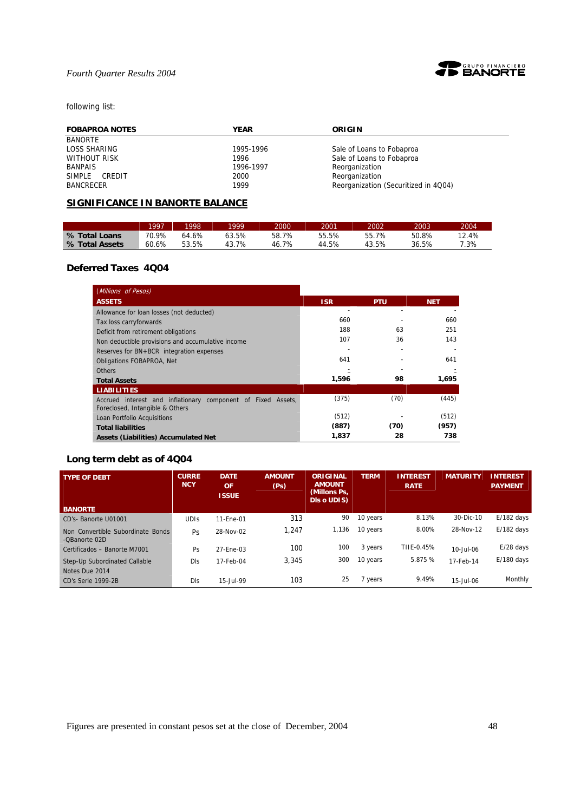

# following list:

| <b>FOBAPROA NOTES</b> | <b>YEAR</b> | ORIGIN                               |
|-----------------------|-------------|--------------------------------------|
| <b>BANORTE</b>        |             |                                      |
| LOSS SHARING          | 1995-1996   | Sale of Loans to Fobaproa            |
| <b>WITHOUT RISK</b>   | 1996        | Sale of Loans to Fobaproa            |
| BANPAIS               | 1996-1997   | Reorganization                       |
| SIMPLE<br>CREDIT      | 2000        | Reorganization                       |
| BANCRECER             | 1999        | Reorganization (Securitized in 4Q04) |

# **SIGNIFICANCE IN BANORTE BALANCE**

|                | 1997  | 1998  | 1999  | 2000  | 2001  | 2002  | 2003  | 2004   |
|----------------|-------|-------|-------|-------|-------|-------|-------|--------|
| % Total Loans  | 70.9% | 64.6% | 63.5% | 58.7% | 55.5% | 55.7% | 50.8% | 12.4%  |
| % Total Assets | 60.6% | 53.5% | 43.7% | 46.7% | 44.5% | 43.5% | 36.5% | $.3\%$ |

## **Deferred Taxes 4Q04**

| (Millions of Pesos)                                                                             |            |            |            |
|-------------------------------------------------------------------------------------------------|------------|------------|------------|
| <b>ASSETS</b>                                                                                   | <b>ISR</b> | <b>PTU</b> | <b>NET</b> |
| Allowance for loan losses (not deducted)                                                        |            |            |            |
| Tax loss carryforwards                                                                          | 660        |            | 660        |
| Deficit from retirement obligations                                                             | 188        | 63         | 251        |
| Non deductible provisions and accumulative income                                               | 107        | 36         | 143        |
| Reserves for BN+BCR integration expenses                                                        |            |            |            |
| <b>Obligations FOBAPROA, Net</b>                                                                | 641        |            | 641        |
| <b>Others</b>                                                                                   |            |            |            |
| <b>Total Assets</b>                                                                             | 1,596      | 98         | 1,695      |
| <b>LIABILITIES</b>                                                                              |            |            |            |
| Accrued interest and inflationary component of Fixed Assets,<br>Foreclosed, Intangible & Others | (375)      | (70)       | (445)      |
| Loan Portfolio Acquisitions                                                                     | (512)      |            | (512)      |
| <b>Total liabilities</b>                                                                        | (887)      | (70)       | (957)      |
| <b>Assets (Liabilities) Accumulated Net</b>                                                     | 1,837      | 28         | 738        |

# **Long term debt as of 4Q04**

| <b>TYPE OF DEBT</b>                                | <b>CURRE</b><br><b>NCY</b> | <b>DATE</b><br><b>OF</b><br><b>ISSUE</b> | <b>AMOUNT</b><br>(P <sub>S</sub> ) | <b>ORIGINAL</b><br><b>AMOUNT</b><br>(Millons Ps,<br><b>Dis o UDIS)</b> | <b>TERM</b> | <b>INTEREST</b><br><b>RATE</b> | <b>MATURITY</b> | <b>INTEREST</b><br><b>PAYMENT</b> |
|----------------------------------------------------|----------------------------|------------------------------------------|------------------------------------|------------------------------------------------------------------------|-------------|--------------------------------|-----------------|-----------------------------------|
| <b>BANORTE</b>                                     |                            |                                          |                                    |                                                                        |             |                                |                 |                                   |
| CD's-Banorte U01001                                | <b>UDIS</b>                | 11-Ene-01                                | 313                                | 90                                                                     | 10 years    | 8.13%                          | 30-Dic-10       | $E/182$ days                      |
| Non Convertible Subordinate Bonds<br>-QBanorte 02D | Ps                         | 28-Nov-02                                | 1.247                              | 1,136                                                                  | 10 years    | 8.00%                          | 28-Nov-12       | $E/182$ days                      |
| Certificados - Banorte M7001                       | Ps                         | 27-Ene-03                                | 100                                | 100                                                                    | 3 years     | TIIE-0.45%                     | 10-Jul-06       | $E/28$ days                       |
| Step-Up Subordinated Callable<br>Notes Due 2014    | DIs                        | 17-Feb-04                                | 3.345                              | 300                                                                    | 10 years    | 5.875 %                        | 17-Feb-14       | $E/180$ days                      |
| CD's Serie 1999-2B                                 | DIs                        | 15-Jul-99                                | 103                                | 25                                                                     | 7 years     | 9.49%                          | 15-Jul-06       | Monthly                           |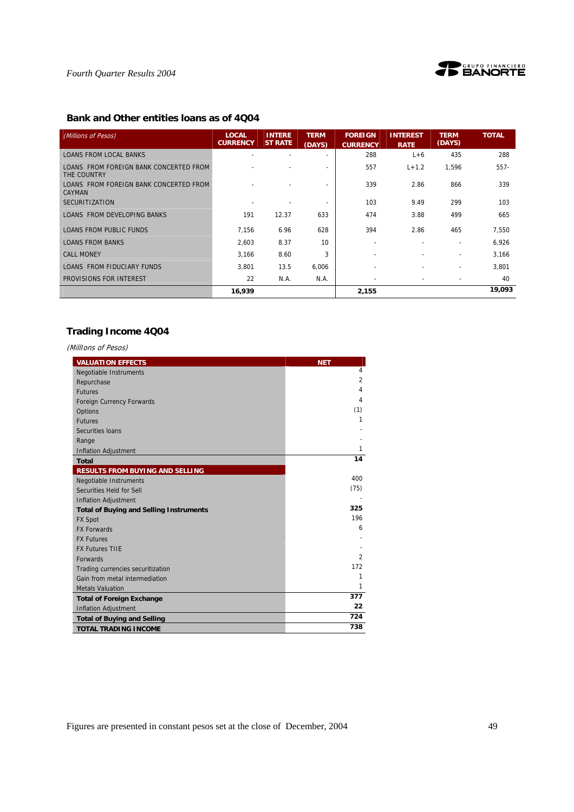



# **Bank and Other entities loans as of 4Q04**

| (Millions of Pesos)                                     | <b>LOCAL</b><br><b>CURRENCY</b> | <b>INTERE</b><br><b>ST RATE</b> | <b>TERM</b><br>(DAYS) | <b>FOREIGN</b><br><b>CURRENCY</b> | <b>INTEREST</b><br><b>RATE</b> | <b>TERM</b><br>(DAYS)    | <b>TOTAL</b> |
|---------------------------------------------------------|---------------------------------|---------------------------------|-----------------------|-----------------------------------|--------------------------------|--------------------------|--------------|
| <b>LOANS FROM LOCAL BANKS</b>                           |                                 |                                 |                       | 288                               | $L+6$                          | 435                      | 288          |
| LOANS FROM FOREIGN BANK CONCERTED FROM<br>THE COUNTRY   |                                 |                                 |                       | 557                               | $L + 1.2$                      | 1,596                    | $557-$       |
| LOANS FROM FOREIGN BANK CONCERTED FROM<br><b>CAYMAN</b> |                                 |                                 |                       | 339                               | 2.86                           | 866                      | 339          |
| <b>SECURITIZATION</b>                                   |                                 |                                 |                       | 103                               | 9.49                           | 299                      | 103          |
| <b>LOANS FROM DEVELOPING BANKS</b>                      | 191                             | 12.37                           | 633                   | 474                               | 3.88                           | 499                      | 665          |
| <b>LOANS FROM PUBLIC FUNDS</b>                          | 7.156                           | 6.96                            | 628                   | 394                               | 2.86                           | 465                      | 7,550        |
| <b>LOANS FROM BANKS</b>                                 | 2,603                           | 8.37                            | 10                    | $\overline{\phantom{a}}$          | $\overline{\phantom{a}}$       | $\overline{\phantom{a}}$ | 6,926        |
| <b>CALL MONEY</b>                                       | 3,166                           | 8.60                            | 3                     |                                   |                                |                          | 3,166        |
| LOANS FROM FIDUCIARY FUNDS                              | 3,801                           | 13.5                            | 6,006                 |                                   |                                |                          | 3,801        |
| PROVISIONS FOR INTEREST                                 | 22                              | N.A.                            | N.A.                  | $\overline{\phantom{a}}$          | $\overline{\phantom{a}}$       | $\overline{\phantom{a}}$ | 40           |
|                                                         | 16,939                          |                                 |                       | 2,155                             |                                |                          | 19,093       |

# **Trading Income 4Q04**

(MillIons of Pesos)

| <b>VALUATION EFFECTS</b>                       | <b>NET</b>     |
|------------------------------------------------|----------------|
| Negotiable Instruments                         | $\overline{4}$ |
| Repurchase                                     | $\overline{2}$ |
| <b>Futures</b>                                 | 4              |
| <b>Foreign Currency Forwards</b>               | 4              |
| Options                                        | (1)            |
| <b>Futures</b>                                 | 1              |
| Securities Ioans                               |                |
| Range                                          |                |
| <b>Inflation Adjustment</b>                    | 1              |
| <b>Total</b>                                   | 14             |
| <b>RESULTS FROM BUYING AND SELLING</b>         |                |
| <b>Negotiable Instruments</b>                  | 400            |
| Securities Held for Sell                       | (75)           |
| <b>Inflation Adjustment</b>                    |                |
| <b>Total of Buying and Selling Instruments</b> | 325            |
| <b>FX Spot</b>                                 | 196            |
| <b>FX Forwards</b>                             | 6              |
| <b>FX Futures</b>                              |                |
| <b>FX Futures TIIE</b>                         |                |
| Forwards                                       | $\overline{2}$ |
| Trading currencies securitization              | 172            |
| Gain from metal intermediation                 | 1              |
| <b>Metals Valuation</b>                        | 1              |
| <b>Total of Foreign Exchange</b>               | 377            |
| <b>Inflation Adjustment</b>                    | 22             |
| <b>Total of Buying and Selling</b>             | 724            |
| <b>TOTAL TRADING INCOME</b>                    | 738            |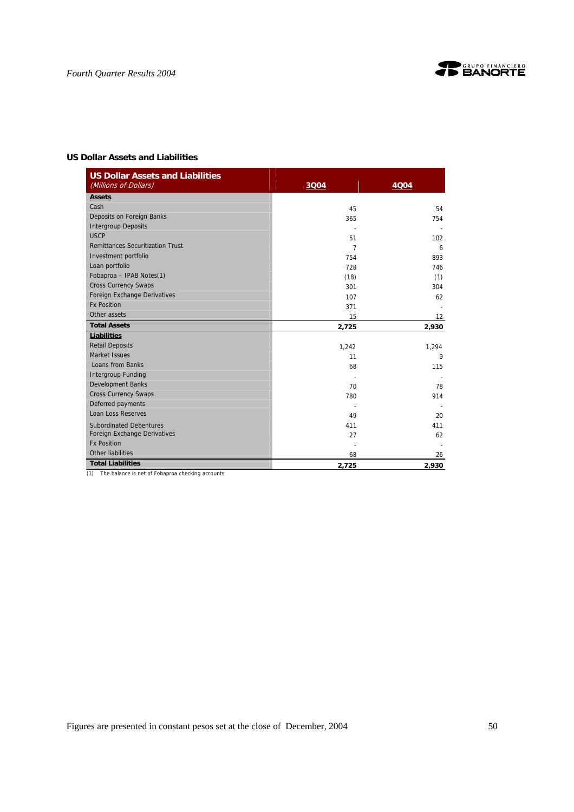

## **US Dollar Assets and Liabilities**

| <b>US Dollar Assets and Liabilities</b><br>(Millions of Dollars) | 3004  | <b>4004</b> |
|------------------------------------------------------------------|-------|-------------|
| <b>Assets</b>                                                    |       |             |
| Cash                                                             | 45    | 54          |
| Deposits on Foreign Banks                                        | 365   | 754         |
| <b>Intergroup Deposits</b>                                       |       |             |
| <b>USCP</b>                                                      | 51    | 102         |
| <b>Remittances Securitization Trust</b>                          | 7     | 6           |
| Investment portfolio                                             | 754   | 893         |
| Loan portfolio                                                   | 728   | 746         |
| Fobaproa - IPAB Notes(1)                                         | (18)  | (1)         |
| <b>Cross Currency Swaps</b>                                      | 301   | 304         |
| Foreign Exchange Derivatives                                     | 107   | 62          |
| <b>Fx Position</b>                                               | 371   |             |
| Other assets                                                     | 15    | 12          |
| <b>Total Assets</b>                                              | 2,725 | 2,930       |
| <b>Liabilities</b>                                               |       |             |
| <b>Retail Deposits</b>                                           | 1,242 | 1,294       |
| Market Issues                                                    | 11    | 9           |
| Loans from Banks                                                 | 68    | 115         |
| <b>Intergroup Funding</b>                                        |       |             |
| <b>Development Banks</b>                                         | 70    | 78          |
| <b>Cross Currency Swaps</b>                                      | 780   | 914         |
| Deferred payments                                                |       |             |
| <b>Loan Loss Reserves</b>                                        | 49    | 20          |
| <b>Subordinated Debentures</b>                                   | 411   | 411         |
| Foreign Exchange Derivatives                                     | 27    | 62          |
| <b>Fx Position</b>                                               |       |             |
| Other liabilities                                                | 68    | 26          |
| <b>Total Liabilities</b>                                         | 2,725 | 2,930       |

(1) The balance is net of Fobaproa checking accounts.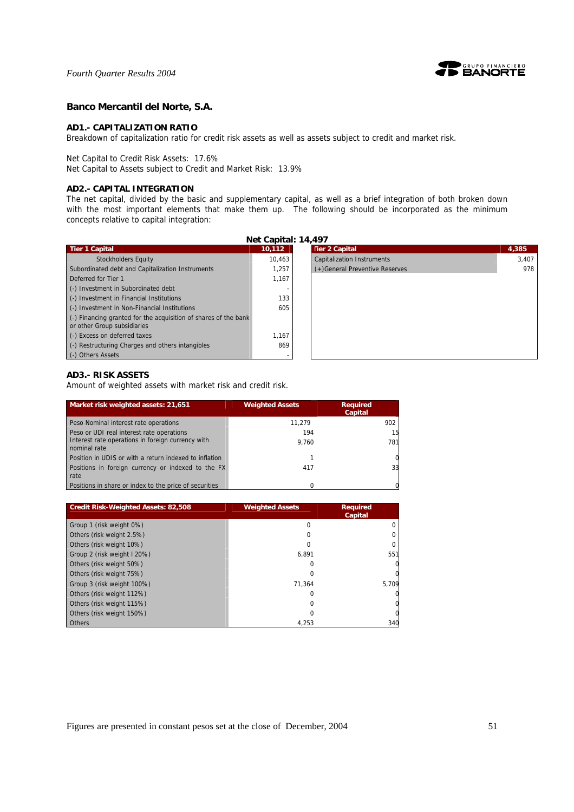

## **Banco Mercantil del Norte, S.A.**

## **AD1.- CAPITALIZATION RATIO**

Breakdown of capitalization ratio for credit risk assets as well as assets subject to credit and market risk.

Net Capital to Credit Risk Assets: 17.6%

Net Capital to Assets subject to Credit and Market Risk: 13.9%

## **AD2.- CAPITAL INTEGRATION**

The net capital, divided by the basic and supplementary capital, as well as a brief integration of both broken down with the most important elements that make them up. The following should be incorporated as the minimum concepts relative to capital integration:

| Net Capital: 14,497                                                                            |        |                                   |       |  |  |  |
|------------------------------------------------------------------------------------------------|--------|-----------------------------------|-------|--|--|--|
| <b>Tier 1 Capital</b>                                                                          | 10.112 | <b>Tier 2 Capital</b>             | 4,385 |  |  |  |
| <b>Stockholders Equity</b>                                                                     | 10.463 | <b>Capitalization Instruments</b> | 3,407 |  |  |  |
| Subordinated debt and Capitalization Instruments                                               | 1.257  | (+) General Preventive Reserves   | 978   |  |  |  |
| Deferred for Tier 1                                                                            | 1,167  |                                   |       |  |  |  |
| (-) Investment in Subordinated debt                                                            |        |                                   |       |  |  |  |
| (-) Investment in Financial Institutions                                                       | 133    |                                   |       |  |  |  |
| (-) Investment in Non-Financial Institutions                                                   | 605    |                                   |       |  |  |  |
| (-) Financing granted for the acquisition of shares of the bank<br>or other Group subsidiaries |        |                                   |       |  |  |  |
| (-) Excess on deferred taxes                                                                   | 1.167  |                                   |       |  |  |  |
| (-) Restructuring Charges and others intangibles                                               | 869    |                                   |       |  |  |  |
| (-) Others Assets                                                                              |        |                                   |       |  |  |  |

## **AD3.- RISK ASSETS**

Amount of weighted assets with market risk and credit risk.

| Market risk weighted assets: 21,651                               | <b>Weighted Assets</b> | <b>Required</b><br>Capital |
|-------------------------------------------------------------------|------------------------|----------------------------|
| Peso Nominal interest rate operations                             | 11.279                 | 902                        |
| Peso or UDI real interest rate operations                         | 194                    | 15                         |
| Interest rate operations in foreign currency with<br>nominal rate | 9.760                  | 781                        |
| Position in UDIS or with a return indexed to inflation            |                        |                            |
| Positions in foreign currency or indexed to the FX<br>rate        | 417                    | 33                         |
| Positions in share or index to the price of securities            |                        |                            |

| <b>Credit Risk-Weighted Assets: 82,508</b> | <b>Weighted Assets</b> | <b>Required</b><br>Capital |
|--------------------------------------------|------------------------|----------------------------|
| Group 1 (risk weight 0%)                   | 0                      |                            |
| Others (risk weight 2.5%)                  |                        |                            |
| Others (risk weight 10%)                   | O                      |                            |
| Group 2 (risk weight I 20%)                | 6.891                  | 551                        |
| Others (risk weight 50%)                   | 0                      |                            |
| Others (risk weight 75%)                   | O                      |                            |
| Group 3 (risk weight 100%)                 | 71.364                 | 5,709                      |
| Others (risk weight 112%)                  | 0                      |                            |
| Others (risk weight 115%)                  | 0                      |                            |
| Others (risk weight 150%)                  |                        |                            |
| <b>Others</b>                              | 4.253                  | 340                        |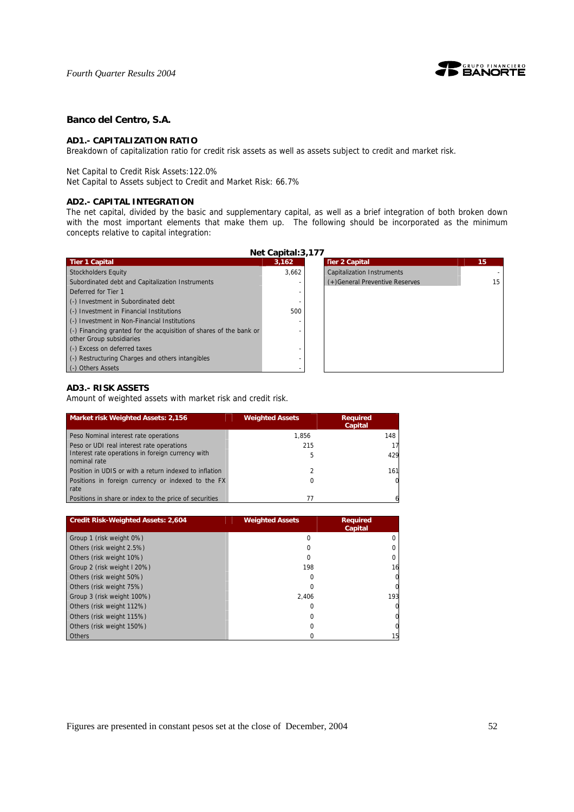

## **Banco del Centro, S.A.**

### **AD1.- CAPITALIZATION RATIO**

Breakdown of capitalization ratio for credit risk assets as well as assets subject to credit and market risk.

Net Capital to Credit Risk Assets:122.0%

Net Capital to Assets subject to Credit and Market Risk: 66.7%

### **AD2.- CAPITAL INTEGRATION**

The net capital, divided by the basic and supplementary capital, as well as a brief integration of both broken down with the most important elements that make them up. The following should be incorporated as the minimum concepts relative to capital integration:

| Net Capital: 3,177                                                                                     |       |                                   |  |  |
|--------------------------------------------------------------------------------------------------------|-------|-----------------------------------|--|--|
| <b>Tier 1 Capital</b>                                                                                  | 3,162 | <b>Tier 2 Capital</b>             |  |  |
| Stockholders Equity                                                                                    | 3.662 | <b>Capitalization Instruments</b> |  |  |
| Subordinated debt and Capitalization Instruments                                                       |       | (+) General Preventive Reserves   |  |  |
| Deferred for Tier 1                                                                                    |       |                                   |  |  |
| (-) Investment in Subordinated debt                                                                    |       |                                   |  |  |
| (-) Investment in Financial Institutions                                                               | 500   |                                   |  |  |
| (-) Investment in Non-Financial Institutions                                                           |       |                                   |  |  |
| $\left($ .) Financing granted for the acquisition of shares of the bank or<br>other Group subsidiaries |       |                                   |  |  |
| (-) Excess on deferred taxes                                                                           |       |                                   |  |  |
| (-) Restructuring Charges and others intangibles                                                       |       |                                   |  |  |
| (-) Others Assets                                                                                      |       |                                   |  |  |

## **AD3.- RISK ASSETS**

Amount of weighted assets with market risk and credit risk.

| Market risk Weighted Assets: 2,156                                | <b>Weighted Assets</b> | <b>Required</b><br><b>Capital</b> |
|-------------------------------------------------------------------|------------------------|-----------------------------------|
| Peso Nominal interest rate operations                             | 1.856                  | 148                               |
| Peso or UDI real interest rate operations                         | 215                    |                                   |
| Interest rate operations in foreign currency with<br>nominal rate | 5                      | 429                               |
| Position in UDIS or with a return indexed to inflation            | 2                      | 161                               |
| Positions in foreign currency or indexed to the FX<br>rate        | 0                      |                                   |
| Positions in share or index to the price of securities            | 77                     |                                   |

| <b>Credit Risk-Weighted Assets: 2,604</b> | <b>Weighted Assets</b> | <b>Required</b><br>Capital |
|-------------------------------------------|------------------------|----------------------------|
| Group 1 (risk weight 0%)                  | O                      |                            |
| Others (risk weight 2.5%)                 |                        |                            |
| Others (risk weight 10%)                  | O                      |                            |
| Group 2 (risk weight I 20%)               | 198                    | 16                         |
| Others (risk weight 50%)                  |                        |                            |
| Others (risk weight 75%)                  |                        |                            |
| Group 3 (risk weight 100%)                | 2.406                  | 193                        |
| Others (risk weight 112%)                 |                        |                            |
| Others (risk weight 115%)                 |                        |                            |
| Others (risk weight 150%)                 |                        |                            |
| <b>Others</b>                             |                        | 15                         |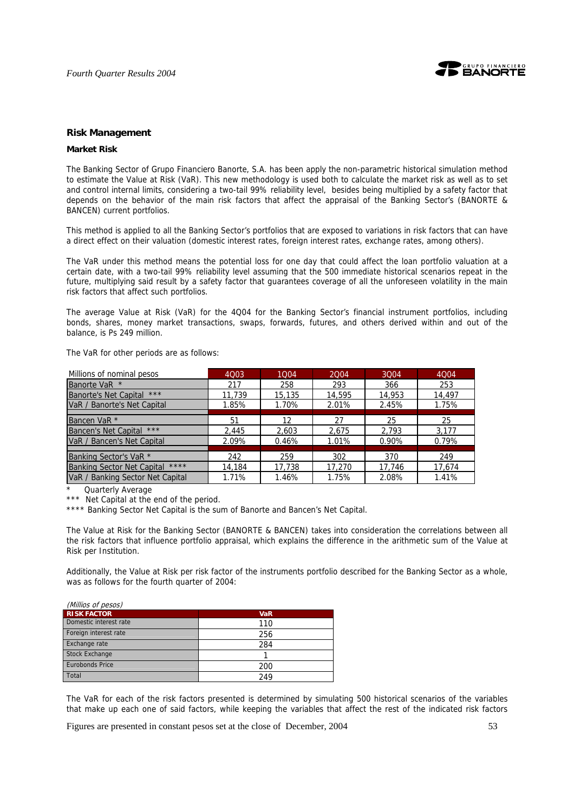

## **Risk Management**

#### **Market Risk**

The Banking Sector of Grupo Financiero Banorte, S.A. has been apply the non-parametric historical simulation method to estimate the Value at Risk (VaR). This new methodology is used both to calculate the market risk as well as to set and control internal limits, considering a two-tail 99% reliability level, besides being multiplied by a safety factor that depends on the behavior of the main risk factors that affect the appraisal of the Banking Sector's (BANORTE & BANCEN) current portfolios.

This method is applied to all the Banking Sector's portfolios that are exposed to variations in risk factors that can have a direct effect on their valuation (domestic interest rates, foreign interest rates, exchange rates, among others).

The VaR under this method means the potential loss for one day that could affect the loan portfolio valuation at a certain date, with a two-tail 99% reliability level assuming that the 500 immediate historical scenarios repeat in the future, multiplying said result by a safety factor that guarantees coverage of all the unforeseen volatility in the main risk factors that affect such portfolios.

The average Value at Risk (VaR) for the 4Q04 for the Banking Sector's financial instrument portfolios, including bonds, shares, money market transactions, swaps, forwards, futures, and others derived within and out of the balance, is Ps 249 million.

The VaR for other periods are as follows:

| Millions of nominal pesos                    | 4003   | 1004   | 2004   | 3004   | 4Q04   |
|----------------------------------------------|--------|--------|--------|--------|--------|
| Banorte VaR *                                | 217    | 258    | 293    | 366    | 253    |
| <b>Banorte's Net Capital</b><br>***          | 11.739 | 15,135 | 14,595 | 14,953 | 14,497 |
| VaR / Banorte's Net Capital                  | 1.85%  | 1.70%  | 2.01%  | 2.45%  | 1.75%  |
|                                              |        |        |        |        |        |
| Bancen VaR *                                 | 51     | 12     | 27     | 25     | 25     |
| Bancen's Net Capital ***                     | 2.445  | 2.603  | 2.675  | 2.793  | 3.177  |
| VaR / Bancen's Net Capital                   | 2.09%  | 0.46%  | 1.01%  | 0.90%  | 0.79%  |
|                                              |        |        |        |        |        |
| Banking Sector's VaR <sup>*</sup>            | 242    | 259    | 302    | 370    | 249    |
| $***$ *<br><b>Banking Sector Net Capital</b> | 14,184 | 17,738 | 17,270 | 17,746 | 17,674 |
| VaR / Banking Sector Net Capital             | 1.71%  | 1.46%  | 1.75%  | 2.08%  | 1.41%  |

Quarterly Average

\*\*\* Net Capital at the end of the period.

\*\*\*\* Banking Sector Net Capital is the sum of Banorte and Bancen's Net Capital.

The Value at Risk for the Banking Sector (BANORTE & BANCEN) takes into consideration the correlations between all the risk factors that influence portfolio appraisal, which explains the difference in the arithmetic sum of the Value at Risk per Institution.

Additionally, the Value at Risk per risk factor of the instruments portfolio described for the Banking Sector as a whole, was as follows for the fourth quarter of 2004:

| (Millios of pesos)     |            |
|------------------------|------------|
| <b>RISK FACTOR</b>     | <b>VaR</b> |
| Domestic interest rate | 110        |
| Foreign interest rate  | 256        |
| Exchange rate          | 284        |
| <b>Stock Exchange</b>  |            |
| <b>Eurobonds Price</b> | 200        |
| Total                  | 249        |

The VaR for each of the risk factors presented is determined by simulating 500 historical scenarios of the variables that make up each one of said factors, while keeping the variables that affect the rest of the indicated risk factors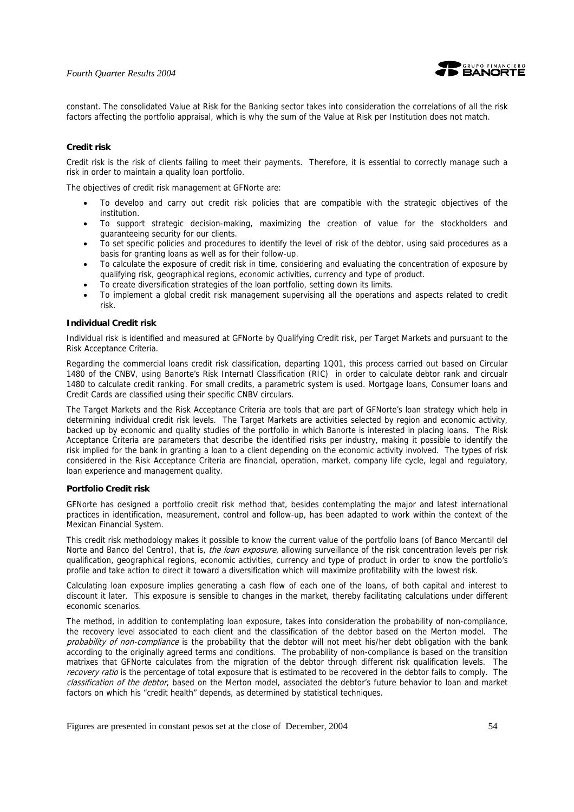

constant. The consolidated Value at Risk for the Banking sector takes into consideration the correlations of all the risk factors affecting the portfolio appraisal, which is why the sum of the Value at Risk per Institution does not match.

## **Credit risk**

Credit risk is the risk of clients failing to meet their payments. Therefore, it is essential to correctly manage such a risk in order to maintain a quality loan portfolio.

The objectives of credit risk management at GFNorte are:

- To develop and carry out credit risk policies that are compatible with the strategic objectives of the institution.
- To support strategic decision-making, maximizing the creation of value for the stockholders and guaranteeing security for our clients.
- To set specific policies and procedures to identify the level of risk of the debtor, using said procedures as a basis for granting loans as well as for their follow-up.
- To calculate the exposure of credit risk in time, considering and evaluating the concentration of exposure by qualifying risk, geographical regions, economic activities, currency and type of product.
- To create diversification strategies of the loan portfolio, setting down its limits.
- To implement a global credit risk management supervising all the operations and aspects related to credit risk.

## **Individual Credit risk**

Individual risk is identified and measured at GFNorte by Qualifying Credit risk, per Target Markets and pursuant to the Risk Acceptance Criteria.

Regarding the commercial loans credit risk classification, departing 1Q01, this process carried out based on Circular 1480 of the CNBV, using Banorte's Risk Internatl Classification (RIC) in order to calculate debtor rank and circualr 1480 to calculate credit ranking. For small credits, a parametric system is used. Mortgage loans, Consumer loans and Credit Cards are classified using their specific CNBV circulars.

The Target Markets and the Risk Acceptance Criteria are tools that are part of GFNorte's loan strategy which help in determining individual credit risk levels. The Target Markets are activities selected by region and economic activity, backed up by economic and quality studies of the portfolio in which Banorte is interested in placing loans. The Risk Acceptance Criteria are parameters that describe the identified risks per industry, making it possible to identify the risk implied for the bank in granting a loan to a client depending on the economic activity involved. The types of risk considered in the Risk Acceptance Criteria are financial, operation, market, company life cycle, legal and regulatory, loan experience and management quality.

#### **Portfolio Credit risk**

GFNorte has designed a portfolio credit risk method that, besides contemplating the major and latest international practices in identification, measurement, control and follow-up, has been adapted to work within the context of the Mexican Financial System.

This credit risk methodology makes it possible to know the current value of the portfolio loans (of Banco Mercantil del Norte and Banco del Centro), that is, *the loan exposure*, allowing surveillance of the risk concentration levels per risk qualification, geographical regions, economic activities, currency and type of product in order to know the portfolio's profile and take action to direct it toward a diversification which will maximize profitability with the lowest risk.

Calculating loan exposure implies generating a cash flow of each one of the loans, of both capital and interest to discount it later. This exposure is sensible to changes in the market, thereby facilitating calculations under different economic scenarios.

The method, in addition to contemplating loan exposure, takes into consideration the probability of non-compliance, the recovery level associated to each client and the classification of the debtor based on the Merton model. The probability of non-compliance is the probability that the debtor will not meet his/her debt obligation with the bank according to the originally agreed terms and conditions. The probability of non-compliance is based on the transition matrixes that GFNorte calculates from the migration of the debtor through different risk qualification levels. The recovery ratio is the percentage of total exposure that is estimated to be recovered in the debtor fails to comply. The classification of the debtor, based on the Merton model, associated the debtor's future behavior to loan and market factors on which his "credit health" depends, as determined by statistical techniques.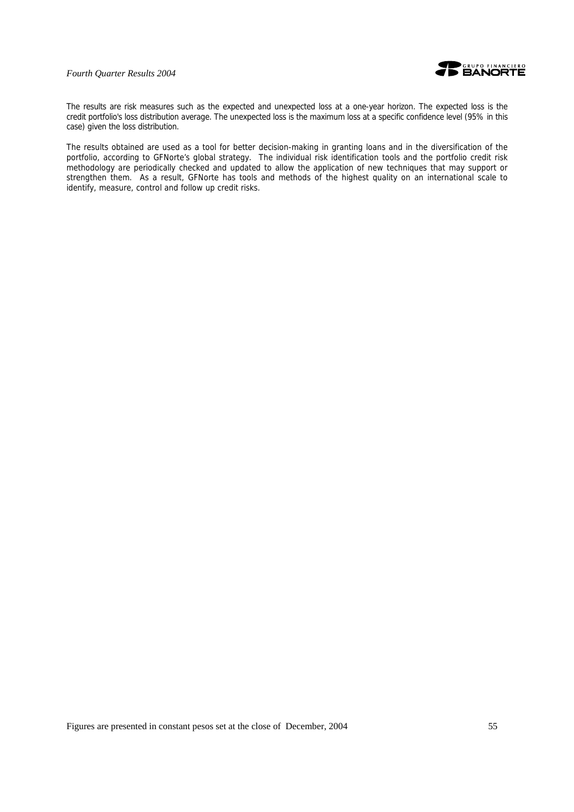

The results are risk measures such as the expected and unexpected loss at a one-year horizon. The expected loss is the credit portfolio's loss distribution average. The unexpected loss is the maximum loss at a specific confidence level (95% in this case) given the loss distribution.

The results obtained are used as a tool for better decision-making in granting loans and in the diversification of the portfolio, according to GFNorte's global strategy. The individual risk identification tools and the portfolio credit risk methodology are periodically checked and updated to allow the application of new techniques that may support or strengthen them. As a result, GFNorte has tools and methods of the highest quality on an international scale to identify, measure, control and follow up credit risks.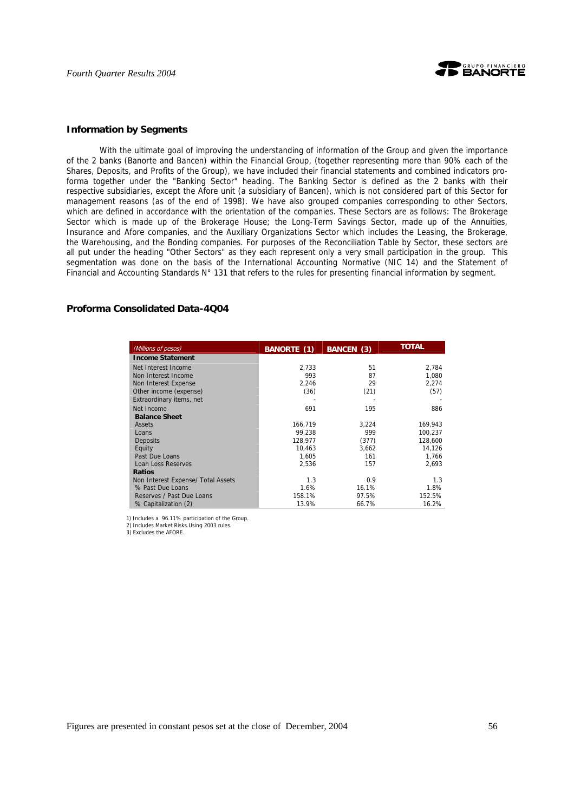

#### **Information by Segments**

With the ultimate goal of improving the understanding of information of the Group and given the importance of the 2 banks (Banorte and Bancen) within the Financial Group, (together representing more than 90% each of the Shares, Deposits, and Profits of the Group), we have included their financial statements and combined indicators proforma together under the "Banking Sector" heading. The Banking Sector is defined as the 2 banks with their respective subsidiaries, except the Afore unit (a subsidiary of Bancen), which is not considered part of this Sector for management reasons (as of the end of 1998). We have also grouped companies corresponding to other Sectors, which are defined in accordance with the orientation of the companies. These Sectors are as follows: The Brokerage Sector which is made up of the Brokerage House; the Long-Term Savings Sector, made up of the Annuities, Insurance and Afore companies, and the Auxiliary Organizations Sector which includes the Leasing, the Brokerage, the Warehousing, and the Bonding companies. For purposes of the Reconciliation Table by Sector, these sectors are all put under the heading "Other Sectors" as they each represent only a very small participation in the group. This segmentation was done on the basis of the International Accounting Normative (NIC 14) and the Statement of Financial and Accounting Standards N° 131 that refers to the rules for presenting financial information by segment.

## **Proforma Consolidated Data-4Q04**

| (Millions of pesos)                | <b>BANORTE (1)</b> | BANCEN (3) | <b>TOTAL</b> |
|------------------------------------|--------------------|------------|--------------|
| <b>Income Statement</b>            |                    |            |              |
| Net Interest Income                | 2,733              | 51         | 2,784        |
| Non Interest Income                | 993                | 87         | 1,080        |
| Non Interest Expense               | 2,246              | 29         | 2,274        |
| Other income (expense)             | (36)               | (21)       | (57)         |
| Extraordinary items, net           |                    |            |              |
| Net Income                         | 691                | 195        | 886          |
| <b>Balance Sheet</b>               |                    |            |              |
| Assets                             | 166,719            | 3,224      | 169,943      |
| Loans                              | 99,238             | 999        | 100,237      |
| Deposits                           | 128.977            | (377)      | 128,600      |
| Equity                             | 10.463             | 3.662      | 14.126       |
| Past Due Loans                     | 1.605              | 161        | 1.766        |
| Loan Loss Reserves                 | 2,536              | 157        | 2.693        |
| <b>Ratios</b>                      |                    |            |              |
| Non Interest Expense/ Total Assets | 1.3                | 0.9        | 1.3          |
| % Past Due Loans                   | 1.6%               | 16.1%      | 1.8%         |
| Reserves / Past Due Loans          | 158.1%             | 97.5%      | 152.5%       |
| % Capitalization (2)               | 13.9%              | 66.7%      | 16.2%        |

 1) Includes a 96.11% participation of the Group. 2) Includes Market Risks.Using 2003 rules.

3) Excludes the AFORE.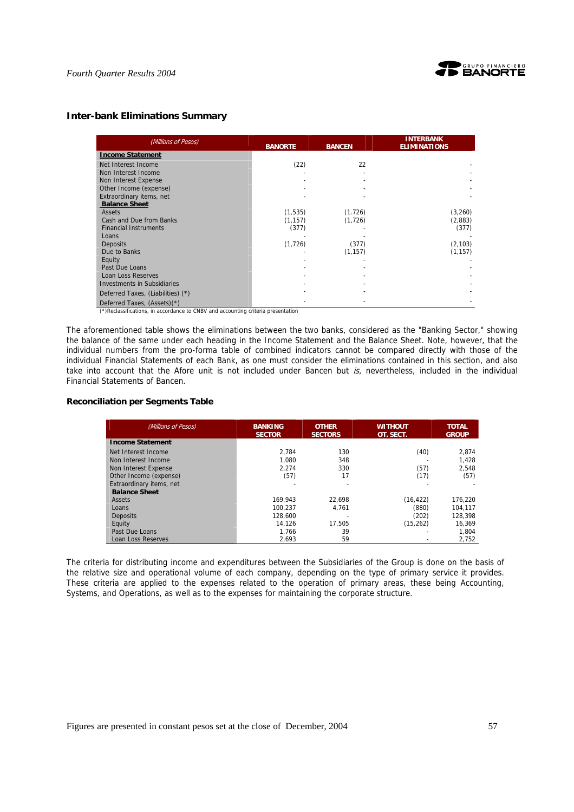

## **Inter-bank Eliminations Summary**

| (Millions of Pesos)                | <b>BANORTE</b> | <b>BANCEN</b> | <b>INTERBANK</b><br><b>ELIMINATIONS</b> |
|------------------------------------|----------------|---------------|-----------------------------------------|
| <b>Income Statement</b>            |                |               |                                         |
| Net Interest Income                | (22)           | 22            |                                         |
| Non Interest Income                |                |               |                                         |
| Non Interest Expense               |                |               |                                         |
| Other Income (expense)             |                |               |                                         |
| Extraordinary items, net           |                |               |                                         |
| <b>Balance Sheet</b>               |                |               |                                         |
| Assets                             | (1,535)        | (1.726)       | (3,260)                                 |
| Cash and Due from Banks            | (1, 157)       | (1, 726)      | (2,883)                                 |
| <b>Financial Instruments</b>       | (377)          |               | (377)                                   |
| Loans                              |                |               |                                         |
| <b>Deposits</b>                    | (1, 726)       | (377)         | (2, 103)                                |
| Due to Banks                       |                | (1, 157)      | (1, 157)                                |
| Equity                             |                |               |                                         |
| Past Due Loans                     |                |               |                                         |
| Loan Loss Reserves                 |                |               |                                         |
| <b>Investments in Subsidiaries</b> |                |               |                                         |
| Deferred Taxes, (Liabilities) (*)  |                |               |                                         |
| Deferred Taxes, (Assets)(*)        |                |               |                                         |

(\*)Reclassifications, in accordance to CNBV and accounting criteria presentation

The aforementioned table shows the eliminations between the two banks, considered as the "Banking Sector," showing the balance of the same under each heading in the Income Statement and the Balance Sheet. Note, however, that the individual numbers from the pro-forma table of combined indicators cannot be compared directly with those of the individual Financial Statements of each Bank, as one must consider the eliminations contained in this section, and also take into account that the Afore unit is not included under Bancen but  $is$ , nevertheless, included in the individual Financial Statements of Bancen.

## **Reconciliation per Segments Table**

| (Millions of Pesos)      | <b>BANKING</b><br><b>SECTOR</b> | <b>OTHER</b><br><b>SECTORS</b> | <b>WITHOUT</b><br>OT. SECT. | <b>TOTAL</b><br><b>GROUP</b> |
|--------------------------|---------------------------------|--------------------------------|-----------------------------|------------------------------|
| <b>Income Statement</b>  |                                 |                                |                             |                              |
| Net Interest Income      | 2.784                           | 130                            | (40)                        | 2.874                        |
| Non Interest Income      | 1.080                           | 348                            |                             | 1.428                        |
| Non Interest Expense     | 2.274                           | 330                            | (57)                        | 2.548                        |
| Other Income (expense)   | (57)                            | 17                             | (17)                        | (57)                         |
| Extraordinary items, net |                                 | $\overline{\phantom{a}}$       |                             |                              |
| <b>Balance Sheet</b>     |                                 |                                |                             |                              |
| Assets                   | 169.943                         | 22.698                         | (16, 422)                   | 176.220                      |
| Loans                    | 100.237                         | 4.761                          | (880)                       | 104.117                      |
| Deposits                 | 128,600                         |                                | (202)                       | 128.398                      |
| Equity                   | 14.126                          | 17.505                         | (15, 262)                   | 16.369                       |
| Past Due Loans           | 1.766                           | 39                             |                             | 1.804                        |
| Loan Loss Reserves       | 2.693                           | 59                             |                             | 2,752                        |

The criteria for distributing income and expenditures between the Subsidiaries of the Group is done on the basis of the relative size and operational volume of each company, depending on the type of primary service it provides. These criteria are applied to the expenses related to the operation of primary areas, these being Accounting, Systems, and Operations, as well as to the expenses for maintaining the corporate structure.